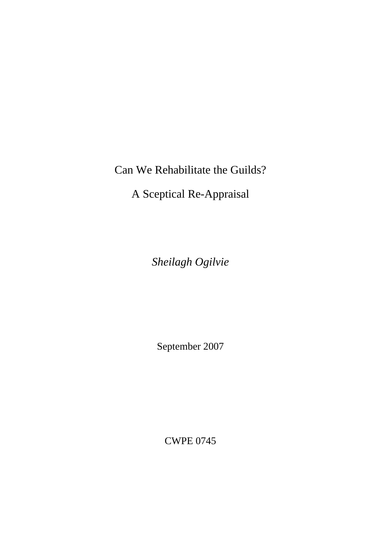Can We Rehabilitate the Guilds?

A Sceptical Re-Appraisal

*Sheilagh Ogilvie* 

September 2007

CWPE 0745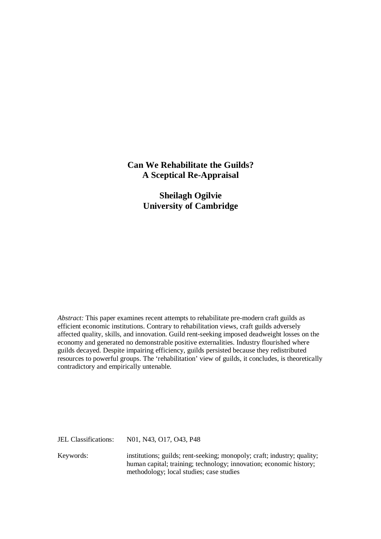## **Can We Rehabilitate the Guilds? A Sceptical Re-Appraisal**

**Sheilagh Ogilvie University of Cambridge** 

*Abstract:* This paper examines recent attempts to rehabilitate pre-modern craft guilds as efficient economic institutions. Contrary to rehabilitation views, craft guilds adversely affected quality, skills, and innovation. Guild rent-seeking imposed deadweight losses on the economy and generated no demonstrable positive externalities. Industry flourished where guilds decayed. Despite impairing efficiency, guilds persisted because they redistributed resources to powerful groups. The 'rehabilitation' view of guilds, it concludes, is theoretically contradictory and empirically untenable.

JEL Classifications: N01, N43, O17, O43, P48

Keywords: institutions; guilds; rent-seeking; monopoly; craft; industry; quality; human capital; training; technology; innovation; economic history; methodology; local studies; case studies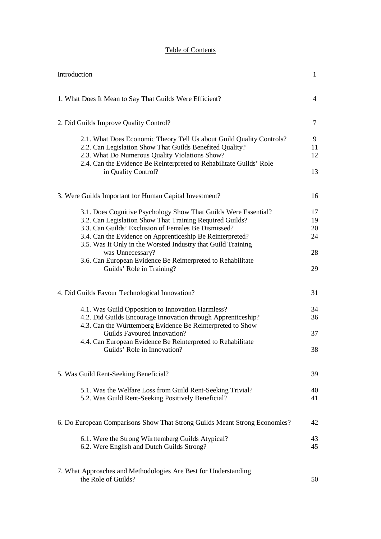# Table of Contents

| Introduction                                                                                                                                                                                                                                                                                                                                                                                                                    | $\mathbf{1}$                     |
|---------------------------------------------------------------------------------------------------------------------------------------------------------------------------------------------------------------------------------------------------------------------------------------------------------------------------------------------------------------------------------------------------------------------------------|----------------------------------|
| 1. What Does It Mean to Say That Guilds Were Efficient?                                                                                                                                                                                                                                                                                                                                                                         | $\overline{4}$                   |
| 2. Did Guilds Improve Quality Control?                                                                                                                                                                                                                                                                                                                                                                                          | 7                                |
| 2.1. What Does Economic Theory Tell Us about Guild Quality Controls?<br>2.2. Can Legislation Show That Guilds Benefited Quality?<br>2.3. What Do Numerous Quality Violations Show?<br>2.4. Can the Evidence Be Reinterpreted to Rehabilitate Guilds' Role<br>in Quality Control?                                                                                                                                                | 9<br>11<br>12<br>13              |
| 3. Were Guilds Important for Human Capital Investment?                                                                                                                                                                                                                                                                                                                                                                          | 16                               |
| 3.1. Does Cognitive Psychology Show That Guilds Were Essential?<br>3.2. Can Legislation Show That Training Required Guilds?<br>3.3. Can Guilds' Exclusion of Females Be Dismissed?<br>3.4. Can the Evidence on Apprenticeship Be Reinterpreted?<br>3.5. Was It Only in the Worsted Industry that Guild Training<br>was Unnecessary?<br>3.6. Can European Evidence Be Reinterpreted to Rehabilitate<br>Guilds' Role in Training? | 17<br>19<br>20<br>24<br>28<br>29 |
| 4. Did Guilds Favour Technological Innovation?                                                                                                                                                                                                                                                                                                                                                                                  | 31                               |
| 4.1. Was Guild Opposition to Innovation Harmless?<br>4.2. Did Guilds Encourage Innovation through Apprenticeship?<br>4.3. Can the Württemberg Evidence Be Reinterpreted to Show<br>Guilds Favoured Innovation?                                                                                                                                                                                                                  | 34<br>36<br>37                   |
| 4.4. Can European Evidence Be Reinterpreted to Rehabilitate<br>Guilds' Role in Innovation?                                                                                                                                                                                                                                                                                                                                      | 38                               |
| 5. Was Guild Rent-Seeking Beneficial?                                                                                                                                                                                                                                                                                                                                                                                           | 39                               |
| 5.1. Was the Welfare Loss from Guild Rent-Seeking Trivial?<br>5.2. Was Guild Rent-Seeking Positively Beneficial?                                                                                                                                                                                                                                                                                                                | 40<br>41                         |
| 6. Do European Comparisons Show That Strong Guilds Meant Strong Economies?                                                                                                                                                                                                                                                                                                                                                      | 42                               |
| 6.1. Were the Strong Württemberg Guilds Atypical?<br>6.2. Were English and Dutch Guilds Strong?                                                                                                                                                                                                                                                                                                                                 | 43<br>45                         |
| 7. What Approaches and Methodologies Are Best for Understanding                                                                                                                                                                                                                                                                                                                                                                 |                                  |

the Role of Guilds? 50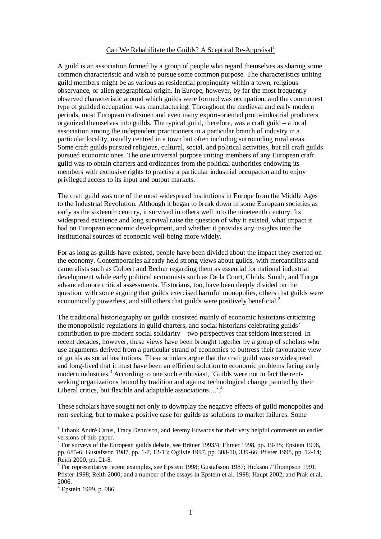## Can We Rehabilitate the Guilds? A Sceptical Re-Appraisal<sup>1</sup>

A guild is an association formed by a group of people who regard themselves as sharing some common characteristic and wish to pursue some common purpose. The characteristics uniting guild members might be as various as residential propinquity within a town, religious observance, or alien geographical origin. In Europe, however, by far the most frequently observed characteristic around which guilds were formed was occupation, and the commonest type of guilded occupation was manufacturing. Throughout the medieval and early modern periods, most European craftsmen and even many export-oriented proto-industrial producers organized themselves into guilds. The typical guild, therefore, was a craft guild – a local association among the independent practitioners in a particular branch of industry in a particular locality, usually centred in a town but often including surrounding rural areas. Some craft guilds pursued religious, cultural, social, and political activities, but all craft guilds pursued economic ones. The one universal purpose uniting members of any European craft guild was to obtain charters and ordinances from the political authorities endowing its members with exclusive rights to practise a particular industrial occupation and to enjoy privileged access to its input and output markets.

The craft guild was one of the most widespread institutions in Europe from the Middle Ages to the Industrial Revolution. Although it began to break down in some European societies as early as the sixteenth century, it survived in others well into the nineteenth century. Its widespread existence and long survival raise the question of why it existed, what impact it had on European economic development, and whether it provides any insights into the institutional sources of economic well-being more widely.

For as long as guilds have existed, people have been divided about the impact they exerted on the economy. Contemporaries already held strong views about guilds, with mercantilists and cameralists such as Colbert and Becher regarding them as essential for national industrial development while early political economists such as De la Court, Childs, Smith, and Turgot advanced more critical assessments. Historians, too, have been deeply divided on the question, with some arguing that guilds exercised harmful monopolies, others that guilds were economically powerless, and still others that guilds were positively beneficial.<sup>2</sup>

The traditional historiography on guilds consisted mainly of economic historians criticizing the monopolistic regulations in guild charters, and social historians celebrating guilds' contribution to pre-modern social solidarity – two perspectives that seldom intersected. In recent decades, however, these views have been brought together by a group of scholars who use arguments derived from a particular strand of economics to buttress their favourable view of guilds as social institutions. These scholars argue that the craft guild was so widespread and long-lived that it must have been an efficient solution to economic problems facing early modern industries.<sup>3</sup> According to one such enthusiast, 'Guilds were not in fact the rentseeking organizations bound by tradition and against technological change painted by their Liberal critics, but flexible and adaptable associations ...'.<sup>4</sup>

These scholars have sought not only to downplay the negative effects of guild monopolies and rent-seeking, but to make a positive case for guilds as solutions to market failures. Some

<sup>&</sup>lt;sup>1</sup> I thank André Carus, Tracy Dennison, and Jeremy Edwards for their very helpful comments on earlier versions of this paper.

 $2^{2}$  For surveys of the European guilds debate, see Bräuer 1993/4; Ehmer 1998, pp. 19-35; Epstein 1998, pp. 685-6; Gustafsson 1987, pp. 1-7, 12-13; Ogilvie 1997, pp. 308-10, 339-66; Pfister 1998, pp. 12-14; Reith 2000, pp. 21-8.

<sup>&</sup>lt;sup>3</sup> For representative recent examples, see Epstein 1998; Gustafsson 1987; Hickson / Thompson 1991; Pfister 1998; Reith 2000; and a number of the essays in Epstein et al. 1998; Haupt 2002; and Prak et al. 2006.

<sup>4</sup> Epstein 1999, p. 986.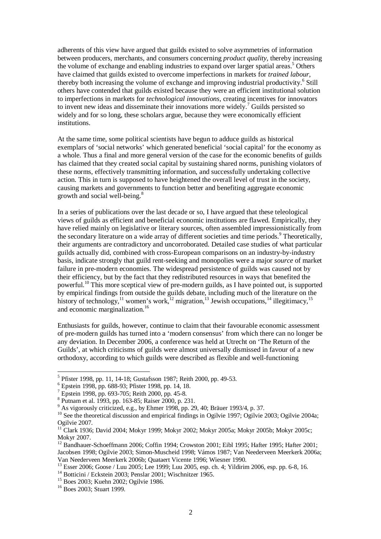adherents of this view have argued that guilds existed to solve asymmetries of information between producers, merchants, and consumers concerning *product quality*, thereby increasing the volume of exchange and enabling industries to expand over larger spatial areas.<sup>5</sup> Others have claimed that guilds existed to overcome imperfections in markets for *trained labour*, thereby both increasing the volume of exchange and improving industrial productivity.<sup>6</sup> Still others have contended that guilds existed because they were an efficient institutional solution to imperfections in markets for *technological innovations*, creating incentives for innovators to invent new ideas and disseminate their innovations more widely.<sup>7</sup> Guilds persisted so widely and for so long, these scholars argue, because they were economically efficient institutions.

At the same time, some political scientists have begun to adduce guilds as historical exemplars of 'social networks' which generated beneficial 'social capital' for the economy as a whole. Thus a final and more general version of the case for the economic benefits of guilds has claimed that they created social capital by sustaining shared norms, punishing violators of these norms, effectively transmitting information, and successfully undertaking collective action. This in turn is supposed to have heightened the overall level of trust in the society, causing markets and governments to function better and benefiting aggregate economic growth and social well-being.<sup>8</sup>

In a series of publications over the last decade or so, I have argued that these teleological views of guilds as efficient and beneficial economic institutions are flawed. Empirically, they have relied mainly on legislative or literary sources, often assembled impressionistically from the secondary literature on a wide array of different societies and time periods.<sup>9</sup> Theoretically, their arguments are contradictory and uncorroborated. Detailed case studies of what particular guilds actually did, combined with cross-European comparisons on an industry-by-industry basis, indicate strongly that guild rent-seeking and monopolies were a major *source* of market failure in pre-modern economies. The widespread persistence of guilds was caused not by their efficiency, but by the fact that they redistributed resources in ways that benefited the powerful.<sup>10</sup> This more sceptical view of pre-modern guilds, as I have pointed out, is supported by empirical findings from outside the guilds debate, including much of the literature on the history of technology,<sup>11</sup> women's work,<sup>12</sup> migration,<sup>13</sup> Jewish occupations,<sup>14</sup> illegitimacy,<sup>15</sup> and economic marginalization.<sup>16</sup>

Enthusiasts for guilds, however, continue to claim that their favourable economic assessment of pre-modern guilds has turned into a 'modern consensus' from which there can no longer be any deviation. In December 2006, a conference was held at Utrecht on 'The Return of the Guilds', at which criticisms of guilds were almost universally dismissed in favour of a new orthodoxy, according to which guilds were described as flexible and well-functioning

<sup>5</sup> Pfister 1998, pp. 11, 14-18; Gustafsson 1987; Reith 2000, pp. 49-53.

<sup>6</sup> Epstein 1998, pp. 688-93; Pfister 1998, pp. 14, 18.

<sup>7</sup> Epstein 1998, pp. 693-705; Reith 2000, pp. 45-8.

<sup>8</sup> Putnam et al. 1993, pp. 163-85; Raiser 2000, p. 231.

<sup>9</sup> As vigorously criticized, e.g., by Ehmer 1998, pp. 29, 40; Bräuer 1993/4, p. 37.

<sup>&</sup>lt;sup>10</sup> See the theoretical discussion and empirical findings in Ogilvie 1997; Ogilvie 2003; Ogilvie 2004a; Ogilvie 2007.

<sup>&</sup>lt;sup>11</sup> Clark 1936; David 2004; Mokyr 1999; Mokyr 2002; Mokyr 2005a; Mokyr 2005b; Mokyr 2005c; Mokyr 2007.

<sup>&</sup>lt;sup>12</sup> Bandhauer-Schoeffmann 2006; Coffin 1994; Crowston 2001; Eibl 1995; Hafter 1995; Hafter 2001; Jacobsen 1998; Ogilvie 2003; Simon-Muscheid 1998; Vámos 1987; Van Neederveen Meerkerk 2006a; Van Neederveen Meerkerk 2006b; Quataert Vicente 1996; Wiesner 1990.

<sup>13</sup> Esser 2006; Goose / Luu 2005; Lee 1999; Luu 2005, esp. ch. 4; Yildirim 2006, esp. pp. 6-8, 16.

<sup>&</sup>lt;sup>14</sup> Botticini / Eckstein 2003; Penslar 2001; Wischnitzer 1965.

<sup>15</sup> Boes 2003; Kuehn 2002; Ogilvie 1986.

<sup>16</sup> Boes 2003; Stuart 1999.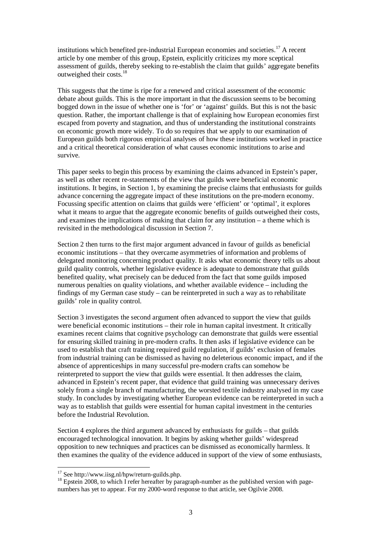institutions which benefited pre-industrial European economies and societies.<sup>17</sup> A recent article by one member of this group, Epstein, explicitly criticizes my more sceptical assessment of guilds, thereby seeking to re-establish the claim that guilds' aggregate benefits outweighed their costs.<sup>18</sup>

This suggests that the time is ripe for a renewed and critical assessment of the economic debate about guilds. This is the more important in that the discussion seems to be becoming bogged down in the issue of whether one is 'for' or 'against' guilds. But this is not the basic question. Rather, the important challenge is that of explaining how European economies first escaped from poverty and stagnation, and thus of understanding the institutional constraints on economic growth more widely. To do so requires that we apply to our examination of European guilds both rigorous empirical analyses of how these institutions worked in practice and a critical theoretical consideration of what causes economic institutions to arise and survive.

This paper seeks to begin this process by examining the claims advanced in Epstein's paper, as well as other recent re-statements of the view that guilds were beneficial economic institutions. It begins, in Section 1, by examining the precise claims that enthusiasts for guilds advance concerning the aggregate impact of these institutions on the pre-modern economy. Focussing specific attention on claims that guilds were 'efficient' or 'optimal', it explores what it means to argue that the aggregate economic benefits of guilds outweighed their costs, and examines the implications of making that claim for any institution – a theme which is revisited in the methodological discussion in Section 7.

Section 2 then turns to the first major argument advanced in favour of guilds as beneficial economic institutions – that they overcame asymmetries of information and problems of delegated monitoring concerning product quality. It asks what economic theory tells us about guild quality controls, whether legislative evidence is adequate to demonstrate that guilds benefited quality, what precisely can be deduced from the fact that some guilds imposed numerous penalties on quality violations, and whether available evidence – including the findings of my German case study – can be reinterpreted in such a way as to rehabilitate guilds' role in quality control.

Section 3 investigates the second argument often advanced to support the view that guilds were beneficial economic institutions – their role in human capital investment. It critically examines recent claims that cognitive psychology can demonstrate that guilds were essential for ensuring skilled training in pre-modern crafts. It then asks if legislative evidence can be used to establish that craft training required guild regulation, if guilds' exclusion of females from industrial training can be dismissed as having no deleterious economic impact, and if the absence of apprenticeships in many successful pre-modern crafts can somehow be reinterpreted to support the view that guilds were essential. It then addresses the claim, advanced in Epstein's recent paper, that evidence that guild training was unnecessary derives solely from a single branch of manufacturing, the worsted textile industry analysed in my case study. In concludes by investigating whether European evidence can be reinterpreted in such a way as to establish that guilds were essential for human capital investment in the centuries before the Industrial Revolution.

Section 4 explores the third argument advanced by enthusiasts for guilds – that guilds encouraged technological innovation. It begins by asking whether guilds' widespread opposition to new techniques and practices can be dismissed as economically harmless. It then examines the quality of the evidence adduced in support of the view of some enthusiasts,

 $17$  See http://www.iisg.nl/hpw/return-guilds.php.

<sup>&</sup>lt;sup>18</sup> Epstein 2008, to which I refer hereafter by paragraph-number as the published version with pagenumbers has yet to appear. For my 2000-word response to that article, see Ogilvie 2008.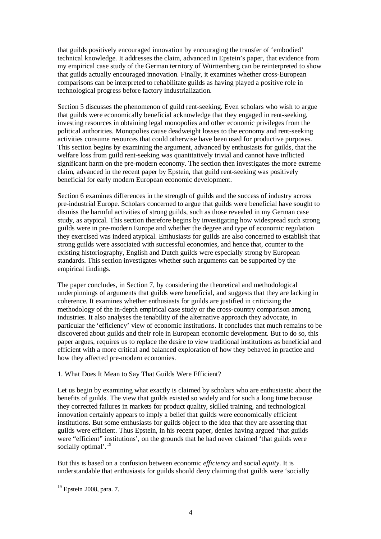that guilds positively encouraged innovation by encouraging the transfer of 'embodied' technical knowledge. It addresses the claim, advanced in Epstein's paper, that evidence from my empirical case study of the German territory of Württemberg can be reinterpreted to show that guilds actually encouraged innovation. Finally, it examines whether cross-European comparisons can be interpreted to rehabilitate guilds as having played a positive role in technological progress before factory industrialization.

Section 5 discusses the phenomenon of guild rent-seeking. Even scholars who wish to argue that guilds were economically beneficial acknowledge that they engaged in rent-seeking, investing resources in obtaining legal monopolies and other economic privileges from the political authorities. Monopolies cause deadweight losses to the economy and rent-seeking activities consume resources that could otherwise have been used for productive purposes. This section begins by examining the argument, advanced by enthusiasts for guilds, that the welfare loss from guild rent-seeking was quantitatively trivial and cannot have inflicted significant harm on the pre-modern economy. The section then investigates the more extreme claim, advanced in the recent paper by Epstein, that guild rent-seeking was positively beneficial for early modern European economic development.

Section 6 examines differences in the strength of guilds and the success of industry across pre-industrial Europe. Scholars concerned to argue that guilds were beneficial have sought to dismiss the harmful activities of strong guilds, such as those revealed in my German case study, as atypical. This section therefore begins by investigating how widespread such strong guilds were in pre-modern Europe and whether the degree and type of economic regulation they exercised was indeed atypical. Enthusiasts for guilds are also concerned to establish that strong guilds were associated with successful economies, and hence that, counter to the existing historiography, English and Dutch guilds were especially strong by European standards. This section investigates whether such arguments can be supported by the empirical findings.

The paper concludes, in Section 7, by considering the theoretical and methodological underpinnings of arguments that guilds were beneficial, and suggests that they are lacking in coherence. It examines whether enthusiasts for guilds are justified in criticizing the methodology of the in-depth empirical case study or the cross-country comparison among industries. It also analyses the tenability of the alternative approach they advocate, in particular the 'efficiency' view of economic institutions. It concludes that much remains to be discovered about guilds and their role in European economic development. But to do so, this paper argues, requires us to replace the desire to view traditional institutions as beneficial and efficient with a more critical and balanced exploration of how they behaved in practice and how they affected pre-modern economies.

## 1. What Does It Mean to Say That Guilds Were Efficient?

Let us begin by examining what exactly is claimed by scholars who are enthusiastic about the benefits of guilds. The view that guilds existed so widely and for such a long time because they corrected failures in markets for product quality, skilled training, and technological innovation certainly appears to imply a belief that guilds were economically efficient institutions. But some enthusiasts for guilds object to the idea that they are asserting that guilds were efficient. Thus Epstein, in his recent paper, denies having argued 'that guilds were "efficient" institutions', on the grounds that he had never claimed 'that guilds were socially optimal'.<sup>19</sup>

But this is based on a confusion between economic *efficiency* and social *equity*. It is understandable that enthusiasts for guilds should deny claiming that guilds were 'socially

 $\overline{a}$ <sup>19</sup> Epstein 2008, para. 7.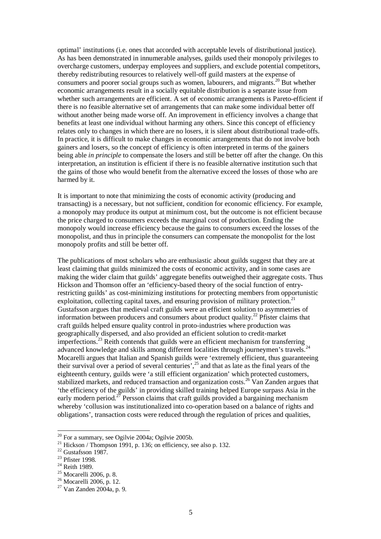optimal' institutions (i.e. ones that accorded with acceptable levels of distributional justice). As has been demonstrated in innumerable analyses, guilds used their monopoly privileges to overcharge customers, underpay employees and suppliers, and exclude potential competitors, thereby redistributing resources to relatively well-off guild masters at the expense of consumers and poorer social groups such as women, labourers, and migrants.<sup>20</sup> But whether economic arrangements result in a socially equitable distribution is a separate issue from whether such arrangements are efficient. A set of economic arrangements is Pareto-efficient if there is no feasible alternative set of arrangements that can make some individual better off without another being made worse off. An improvement in efficiency involves a change that benefits at least one individual without harming any others. Since this concept of efficiency relates only to changes in which there are no losers, it is silent about distributional trade-offs. In practice, it is difficult to make changes in economic arrangements that do not involve both gainers and losers, so the concept of efficiency is often interpreted in terms of the gainers being able *in principle* to compensate the losers and still be better off after the change. On this interpretation, an institution is efficient if there is no feasible alternative institution such that the gains of those who would benefit from the alternative exceed the losses of those who are harmed by it.

It is important to note that minimizing the costs of economic activity (producing and transacting) is a necessary, but not sufficient, condition for economic efficiency. For example, a monopoly may produce its output at minimum cost, but the outcome is not efficient because the price charged to consumers exceeds the marginal cost of production. Ending the monopoly would increase efficiency because the gains to consumers exceed the losses of the monopolist, and thus in principle the consumers can compensate the monopolist for the lost monopoly profits and still be better off.

The publications of most scholars who are enthusiastic about guilds suggest that they are at least claiming that guilds minimized the costs of economic activity, and in some cases are making the wider claim that guilds' aggregate benefits outweighed their aggregate costs. Thus Hickson and Thomson offer an 'efficiency-based theory of the social function of entryrestricting guilds' as cost-minimizing institutions for protecting members from opportunistic exploitation, collecting capital taxes, and ensuring provision of military protection.<sup>21</sup> Gustafsson argues that medieval craft guilds were an efficient solution to asymmetries of information between producers and consumers about product quality.<sup>22</sup> Pfister claims that craft guilds helped ensure quality control in proto-industries where production was geographically dispersed, and also provided an efficient solution to credit-market imperfections.<sup>23</sup> Reith contends that guilds were an efficient mechanism for transferring advanced knowledge and skills among different localities through journeymen's travels.<sup>24</sup> Mocarelli argues that Italian and Spanish guilds were 'extremely efficient, thus guaranteeing their survival over a period of several centuries',<sup>25</sup> and that as late as the final years of the eighteenth century, guilds were 'a still efficient organization' which protected customers, stabilized markets, and reduced transaction and organization costs.<sup>26</sup> Van Zanden argues that 'the efficiency of the guilds' in providing skilled training helped Europe surpass Asia in the early modern period.<sup>27</sup> Persson claims that craft guilds provided a bargaining mechanism whereby 'collusion was institutionalized into co-operation based on a balance of rights and obligations', transaction costs were reduced through the regulation of prices and qualities,

 $20$  For a summary, see Ogilvie 2004a; Ogilvie 2005b.

<sup>&</sup>lt;sup>21</sup> Hickson / Thompson 1991, p. 136; on efficiency, see also p. 132.

 $^{22}$  Gustafsson 1987.

<sup>23</sup> Pfister 1998.

<sup>&</sup>lt;sup>24</sup> Reith 1989.

 $25$  Mocarelli 2006, p. 8.

 $26$  Mocarelli 2006, p. 12.

 $27$  Van Zanden 2004a, p. 9.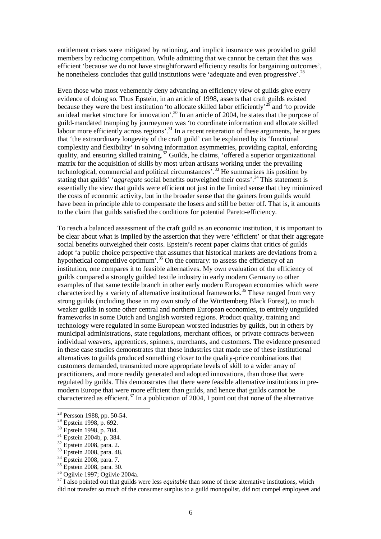entitlement crises were mitigated by rationing, and implicit insurance was provided to guild members by reducing competition. While admitting that we cannot be certain that this was efficient 'because we do not have straightforward efficiency results for bargaining outcomes', he nonetheless concludes that guild institutions were 'adequate and even progressive'.<sup>28</sup>

Even those who most vehemently deny advancing an efficiency view of guilds give every evidence of doing so. Thus Epstein, in an article of 1998, asserts that craft guilds existed because they were the best institution 'to allocate skilled labor efficiently'<sup>29</sup> and 'to provide an ideal market structure for innovation'.<sup>30</sup> In an article of 2004, he states that the purpose of guild-mandated tramping by journeymen was 'to coordinate information and allocate skilled labour more efficiently across regions'.<sup>31</sup> In a recent reiteration of these arguments, he argues that 'the extraordinary longevity of the craft guild' can be explained by its 'functional complexity and flexibility' in solving information asymmetries, providing capital, enforcing quality, and ensuring skilled training.<sup>32</sup> Guilds, he claims, 'offered a superior organizational matrix for the acquisition of skills by most urban artisans working under the prevailing technological, commercial and political circumstances'.<sup>33</sup> He summarizes his position by stating that guilds' '*aggregate* social benefits outweighed their costs'.<sup>34</sup> This statement is essentially the view that guilds were efficient not just in the limited sense that they minimized the costs of economic activity, but in the broader sense that the gainers from guilds would have been in principle able to compensate the losers and still be better off. That is, it amounts to the claim that guilds satisfied the conditions for potential Pareto-efficiency.

To reach a balanced assessment of the craft guild as an economic institution, it is important to be clear about what is implied by the assertion that they were 'efficient' or that their aggregate social benefits outweighed their costs. Epstein's recent paper claims that critics of guilds adopt 'a public choice perspective that assumes that historical markets are deviations from a hypothetical competitive optimum'.<sup>35</sup> On the contrary: to assess the efficiency of an institution, one compares it to feasible alternatives. My own evaluation of the efficiency of guilds compared a strongly guilded textile industry in early modern Germany to other examples of that same textile branch in other early modern European economies which were characterized by a variety of alternative institutional frameworks.<sup>36</sup> These ranged from very strong guilds (including those in my own study of the Württemberg Black Forest), to much weaker guilds in some other central and northern European economies, to entirely unguilded frameworks in some Dutch and English worsted regions. Product quality, training and technology were regulated in some European worsted industries by guilds, but in others by municipal administrations, state regulations, merchant offices, or private contracts between individual weavers, apprentices, spinners, merchants, and customers. The evidence presented in these case studies demonstrates that those industries that made use of these institutional alternatives to guilds produced something closer to the quality-price combinations that customers demanded, transmitted more appropriate levels of skill to a wider array of practitioners, and more readily generated and adopted innovations, than those that were regulated by guilds. This demonstrates that there were feasible alternative institutions in premodern Europe that were more efficient than guilds, and hence that guilds cannot be characterized as efficient.<sup>37</sup> In a publication of 2004, I point out that none of the alternative

 $\ddot{\phantom{a}}$ 

<sup>37</sup> I also pointed out that guilds were less *equitable* than some of these alternative institutions, which did not transfer so much of the consumer surplus to a guild monopolist, did not compel employees and

<sup>&</sup>lt;sup>28</sup> Persson 1988, pp. 50-54.

<sup>29</sup> Epstein 1998, p. 692.

<sup>30</sup> Epstein 1998, p. 704.

<sup>&</sup>lt;sup>31</sup> Epstein 2004b, p. 384.

<sup>32</sup> Epstein 2008, para. 2.

<sup>33</sup> Epstein 2008, para. 48.

<sup>&</sup>lt;sup>34</sup> Epstein 2008, para. 7.

<sup>&</sup>lt;sup>35</sup> Epstein 2008, para. 30.

<sup>36</sup> Ogilvie 1997; Ogilvie 2004a.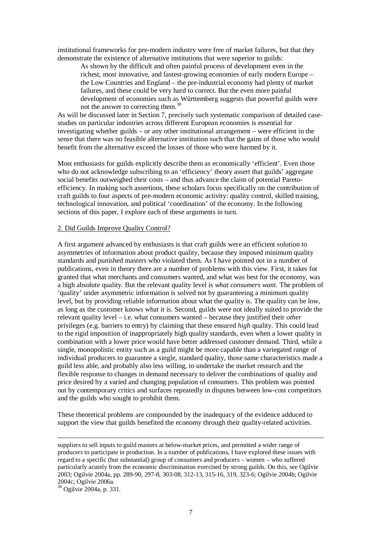institutional frameworks for pre-modern industry were free of market failures, but that they demonstrate the existence of alternative institutions that were superior to guilds:

As shown by the difficult and often painful process of development even in the richest, most innovative, and fastest-growing economies of early modern Europe – the Low Countries and England – the pre-industrial economy had plenty of market failures, and these could be very hard to correct. But the even more painful development of economies such as Württemberg suggests that powerful guilds were not the answer to correcting them.<sup>38</sup>

As will be discussed later in Section 7, precisely such systematic comparison of detailed casestudies on particular industries across different European economies is essential for investigating whether guilds – or any other institutional arrangement – were efficient in the sense that there was no feasible alternative institution such that the gains of those who would benefit from the alternative exceed the losses of those who were harmed by it.

Most enthusiasts for guilds explicitly describe them as economically 'efficient'. Even those who do not acknowledge subscribing to an 'efficiency' theory assert that guilds' aggregate social benefits outweighed their costs – and thus advance the claim of potential Paretoefficiency. In making such assertions, these scholars focus specifically on the contribution of craft guilds to four aspects of pre-modern economic activity: quality control, skilled training, technological innovation, and political 'coordination' of the economy. In the following sections of this paper, I explore each of these arguments in turn.

#### 2. Did Guilds Improve Quality Control?

A first argument advanced by enthusiasts is that craft guilds were an efficient solution to asymmetries of information about product quality, because they imposed minimum quality standards and punished masters who violated them. As I have pointed out in a number of publications, even in theory there are a number of problems with this view. First, it takes for granted that what merchants and consumers wanted, and what was best for the economy, was a high absolute quality. But the relevant quality level is *what consumers want*. The problem of 'quality' under asymmetric information is solved not by guaranteeing a minimum quality level, but by providing reliable information about what the quality is. The quality can be low, as long as the customer knows what it is. Second, guilds were not ideally suited to provide the relevant quality level – i.e. what consumers wanted – because they justified their *other* privileges (e.g. barriers to entry) by claiming that these ensured *high* quality. This could lead to the rigid imposition of inappropriately high quality standards, even when a lower quality in combination with a lower price would have better addressed customer demand. Third, while a single, monopolistic entity such as a guild might be more capable than a variegated range of individual producers to guarantee a single, standard quality, those same characteristics made a guild less able, and probably also less willing, to undertake the market research and the flexible response to changes in demand necessary to deliver the combinations of quality and price desired by a varied and changing population of consumers. This problem was pointed out by contemporary critics and surfaces repeatedly in disputes between low-cost competitors and the guilds who sought to prohibit them.

These theoretical problems are compounded by the inadequacy of the evidence adduced to support the view that guilds benefited the economy through their quality-related activities.

 $\frac{200}{38}$  Ogilvie 2004a, p. 331.

suppliers to sell inputs to guild masters at below-market prices, and permitted a wider range of producers to participate in production. In a number of publications, I have explored these issues with regard to a specific (but substantial) group of consumers and producers – women – who suffered particularly acutely from the economic discrimination exercised by strong guilds. On this, see Ogilvie 2003; Ogilvie 2004a, pp. 289-90, 297-8, 303-08, 312-13, 315-16, 319, 323-6; Ogilvie 2004b; Ogilvie 2004c; Ogilvie 2006a.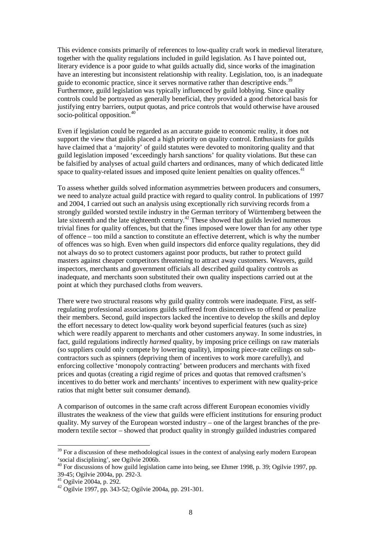This evidence consists primarily of references to low-quality craft work in medieval literature, together with the quality regulations included in guild legislation. As I have pointed out, literary evidence is a poor guide to what guilds actually did, since works of the imagination have an interesting but inconsistent relationship with reality. Legislation, too, is an inadequate guide to economic practice, since it serves normative rather than descriptive ends.<sup>39</sup> Furthermore, guild legislation was typically influenced by guild lobbying. Since quality controls could be portrayed as generally beneficial, they provided a good rhetorical basis for justifying entry barriers, output quotas, and price controls that would otherwise have aroused socio-political opposition.<sup>40</sup>

Even if legislation could be regarded as an accurate guide to economic reality, it does not support the view that guilds placed a high priority on quality control. Enthusiasts for guilds have claimed that a 'majority' of guild statutes were devoted to monitoring quality and that guild legislation imposed 'exceedingly harsh sanctions' for quality violations. But these can be falsified by analyses of actual guild charters and ordinances, many of which dedicated little space to quality-related issues and imposed quite lenient penalties on quality offences.<sup>41</sup>

To assess whether guilds solved information asymmetries between producers and consumers, we need to analyze actual guild practice with regard to quality control. In publications of 1997 and 2004, I carried out such an analysis using exceptionally rich surviving records from a strongly guilded worsted textile industry in the German territory of Württemberg between the late sixteenth and the late eighteenth century.<sup>42</sup> These showed that guilds levied numerous trivial fines for quality offences, but that the fines imposed were lower than for any other type of offence – too mild a sanction to constitute an effective deterrent, which is why the number of offences was so high. Even when guild inspectors did enforce quality regulations, they did not always do so to protect customers against poor products, but rather to protect guild masters against cheaper competitors threatening to attract away customers. Weavers, guild inspectors, merchants and government officials all described guild quality controls as inadequate, and merchants soon substituted their own quality inspections carried out at the point at which they purchased cloths from weavers.

There were two structural reasons why guild quality controls were inadequate. First, as selfregulating professional associations guilds suffered from disincentives to offend or penalize their members. Second, guild inspectors lacked the incentive to develop the skills and deploy the effort necessary to detect low-quality work beyond superficial features (such as size) which were readily apparent to merchants and other customers anyway. In some industries, in fact, guild regulations indirectly *harmed* quality, by imposing price ceilings on raw materials (so suppliers could only compete by lowering quality), imposing piece-rate ceilings on subcontractors such as spinners (depriving them of incentives to work more carefully), and enforcing collective 'monopoly contracting' between producers and merchants with fixed prices and quotas (creating a rigid regime of prices and quotas that removed craftsmen's incentives to do better work and merchants' incentives to experiment with new quality-price ratios that might better suit consumer demand).

A comparison of outcomes in the same craft across different European economies vividly illustrates the weakness of the view that guilds were efficient institutions for ensuring product quality. My survey of the European worsted industry – one of the largest branches of the premodern textile sector – showed that product quality in strongly guilded industries compared

 $39$  For a discussion of these methodological issues in the context of analysing early modern European 'social disciplining', see Ogilvie 2006b.

<sup>&</sup>lt;sup>40</sup> For discussions of how guild legislation came into being, see Ehmer 1998, p. 39; Ogilvie 1997, pp. 39-45; Ogilvie 2004a, pp. 292-3.

<sup>41</sup> Ogilvie 2004a, p. 292.

<sup>42</sup> Ogilvie 1997, pp. 343-52; Ogilvie 2004a, pp. 291-301.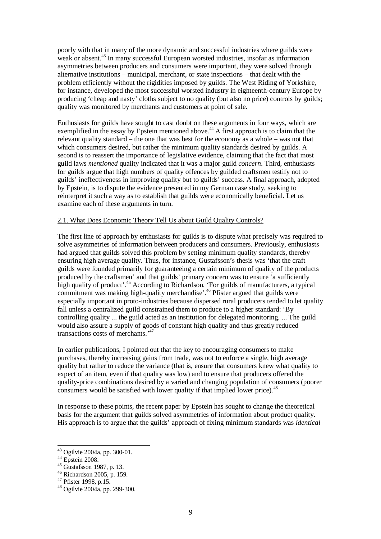poorly with that in many of the more dynamic and successful industries where guilds were weak or absent.<sup>43</sup> In many successful European worsted industries, insofar as information asymmetries between producers and consumers were important, they were solved through alternative institutions – municipal, merchant, or state inspections – that dealt with the problem efficiently without the rigidities imposed by guilds. The West Riding of Yorkshire, for instance, developed the most successful worsted industry in eighteenth-century Europe by producing 'cheap and nasty' cloths subject to no quality (but also no price) controls by guilds; quality was monitored by merchants and customers at point of sale.

Enthusiasts for guilds have sought to cast doubt on these arguments in four ways, which are exemplified in the essay by Epstein mentioned above.<sup>44</sup> A first approach is to claim that the relevant quality standard – the one that was best for the economy as a whole – was not that which consumers desired, but rather the minimum quality standards desired by guilds. A second is to reassert the importance of legislative evidence, claiming that the fact that most guild laws *mentioned* quality indicated that it was a major guild *concern*. Third, enthusiasts for guilds argue that high numbers of quality offences by guilded craftsmen testify not to guilds' ineffectiveness in improving quality but to guilds' success. A final approach, adopted by Epstein, is to dispute the evidence presented in my German case study, seeking to reinterpret it such a way as to establish that guilds were economically beneficial. Let us examine each of these arguments in turn.

#### 2.1. What Does Economic Theory Tell Us about Guild Quality Controls?

The first line of approach by enthusiasts for guilds is to dispute what precisely was required to solve asymmetries of information between producers and consumers. Previously, enthusiasts had argued that guilds solved this problem by setting minimum quality standards, thereby ensuring high average quality. Thus, for instance, Gustafsson's thesis was 'that the craft guilds were founded primarily for guaranteeing a certain minimum of quality of the products produced by the craftsmen' and that guilds' primary concern was to ensure 'a sufficiently high quality of product'.<sup>45</sup> According to Richardson, 'For guilds of manufacturers, a typical commitment was making high-quality merchandise.<sup>46</sup> Pfister argued that guilds were especially important in proto-industries because dispersed rural producers tended to let quality fall unless a centralized guild constrained them to produce to a higher standard: 'By controlling quality ... the guild acted as an institution for delegated monitoring. ... The guild would also assure a supply of goods of constant high quality and thus greatly reduced transactions costs of merchants.'<sup>47</sup>

In earlier publications, I pointed out that the key to encouraging consumers to make purchases, thereby increasing gains from trade, was not to enforce a single, high average quality but rather to reduce the variance (that is, ensure that consumers knew what quality to expect of an item, even if that quality was low) and to ensure that producers offered the quality-price combinations desired by a varied and changing population of consumers (poorer consumers would be satisfied with lower quality if that implied lower price).<sup>48</sup>

In response to these points, the recent paper by Epstein has sought to change the theoretical basis for the argument that guilds solved asymmetries of information about product quality. His approach is to argue that the guilds' approach of fixing minimum standards was *identical*

<sup>&</sup>lt;sup>43</sup> Ogilvie 2004a, pp. 300-01.

 $44$  Epstein 2008.

 $45$  Gustafsson 1987, p. 13.

<sup>46</sup> Richardson 2005, p. 159.

<sup>47</sup> Pfister 1998, p.15.

 $48$  Ogilvie 2004a, pp. 299-300.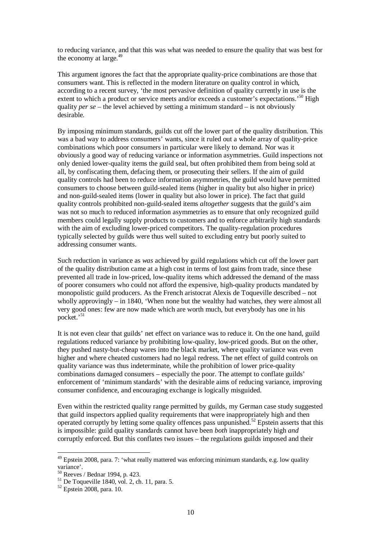to reducing variance, and that this was what was needed to ensure the quality that was best for the economy at large. $49$ 

This argument ignores the fact that the appropriate quality-price combinations are those that consumers want. This is reflected in the modern literature on quality control in which, according to a recent survey, 'the most pervasive definition of quality currently in use is the extent to which a product or service meets and/or exceeds a customer's expectations.<sup>50</sup> High quality *per se* – the level achieved by setting a minimum standard – is not obviously desirable.

By imposing minimum standards, guilds cut off the lower part of the quality distribution. This was a bad way to address consumers' wants, since it ruled out a whole array of quality-price combinations which poor consumers in particular were likely to demand. Nor was it obviously a good way of reducing variance or information asymmetries. Guild inspections not only denied lower-quality items the guild seal, but often prohibited them from being sold at all, by confiscating them, defacing them, or prosecuting their sellers. If the aim of guild quality controls had been to reduce information asymmetries, the guild would have permitted consumers to choose between guild-sealed items (higher in quality but also higher in price) and non-guild-sealed items (lower in quality but also lower in price). The fact that guild quality controls prohibited non-guild-sealed items *altogether* suggests that the guild's aim was not so much to reduced information asymmetries as to ensure that only recognized guild members could legally supply products to customers and to enforce arbitrarily high standards with the aim of excluding lower-priced competitors. The quality-regulation procedures typically selected by guilds were thus well suited to excluding entry but poorly suited to addressing consumer wants.

Such reduction in variance as *was* achieved by guild regulations which cut off the lower part of the quality distribution came at a high cost in terms of lost gains from trade, since these prevented all trade in low-priced, low-quality items which addressed the demand of the mass of poorer consumers who could not afford the expensive, high-quality products mandated by monopolistic guild producers. As the French aristocrat Alexis de Toqueville described – not wholly approvingly – in 1840, 'When none but the wealthy had watches, they were almost all very good ones: few are now made which are worth much, but everybody has one in his pocket.'<sup>51</sup>

It is not even clear that guilds' net effect on variance was to reduce it. On the one hand, guild regulations reduced variance by prohibiting low-quality, low-priced goods. But on the other, they pushed nasty-but-cheap wares into the black market, where quality variance was even higher and where cheated customers had no legal redress. The net effect of guild controls on quality variance was thus indeterminate, while the prohibition of lower price-quality combinations damaged consumers – especially the poor. The attempt to conflate guilds' enforcement of 'minimum standards' with the desirable aims of reducing variance, improving consumer confidence, and encouraging exchange is logically misguided.

Even within the restricted quality range permitted by guilds, my German case study suggested that guild inspectors applied quality requirements that were inappropriately high and then operated corruptly by letting some quality offences pass unpunished.<sup>52</sup> Epstein asserts that this is impossible: guild quality standards cannot have been *both* inappropriately high *and* corruptly enforced. But this conflates two issues – the regulations guilds imposed and their

 $49$  Epstein 2008, para. 7: 'what really mattered was enforcing minimum standards, e.g. low quality variance'.

<sup>50</sup> Reeves / Bednar 1994, p. 423.

 $51$  De Toqueville 1840, vol. 2, ch. 11, para. 5.

<sup>52</sup> Epstein 2008, para. 10.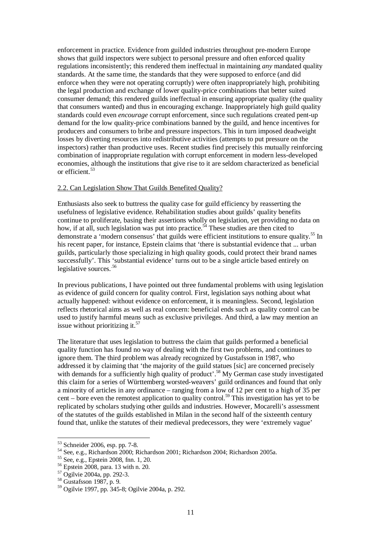enforcement in practice. Evidence from guilded industries throughout pre-modern Europe shows that guild inspectors were subject to personal pressure and often enforced quality regulations inconsistently; this rendered them ineffectual in maintaining *any* mandated quality standards. At the same time, the standards that they were supposed to enforce (and did enforce when they were not operating corruptly) were often inappropriately high, prohibiting the legal production and exchange of lower quality-price combinations that better suited consumer demand; this rendered guilds ineffectual in ensuring appropriate quality (the quality that consumers wanted) and thus in encouraging exchange. Inappropriately high guild quality standards could even *encourage* corrupt enforcement, since such regulations created pent-up demand for the low quality-price combinations banned by the guild, and hence incentives for producers and consumers to bribe and pressure inspectors. This in turn imposed deadweight losses by diverting resources into redistributive activities (attempts to put pressure on the inspectors) rather than productive uses. Recent studies find precisely this mutually reinforcing combination of inappropriate regulation with corrupt enforcement in modern less-developed economies, although the institutions that give rise to it are seldom characterized as beneficial or efficient.<sup>53</sup>

## 2.2. Can Legislation Show That Guilds Benefited Quality?

Enthusiasts also seek to buttress the quality case for guild efficiency by reasserting the usefulness of legislative evidence. Rehabilitation studies about guilds' quality benefits continue to proliferate, basing their assertions wholly on legislation, yet providing no data on how, if at all, such legislation was put into practice.<sup> $54$ </sup> These studies are then cited to demonstrate a 'modern consensus' that guilds were efficient institutions to ensure quality.<sup>55</sup> In his recent paper, for instance, Epstein claims that 'there is substantial evidence that ... urban guilds, particularly those specializing in high quality goods, could protect their brand names successfully'. This 'substantial evidence' turns out to be a single article based entirely on legislative sources.<sup>56</sup>

In previous publications, I have pointed out three fundamental problems with using legislation as evidence of guild concern for quality control. First, legislation says nothing about what actually happened: without evidence on enforcement, it is meaningless. Second, legislation reflects rhetorical aims as well as real concern: beneficial ends such as quality control can be used to justify harmful means such as exclusive privileges. And third, a law may mention an issue without prioritizing it. $57$ 

The literature that uses legislation to buttress the claim that guilds performed a beneficial quality function has found no way of dealing with the first two problems, and continues to ignore them. The third problem was already recognized by Gustafsson in 1987, who addressed it by claiming that 'the majority of the guild statues [sic] are concerned precisely with demands for a sufficiently high quality of product'.<sup>58</sup> My German case study investigated this claim for a series of Württemberg worsted-weavers' guild ordinances and found that only a minority of articles in any ordinance – ranging from a low of 12 per cent to a high of 35 per cent – bore even the remotest application to quality control.<sup>59</sup> This investigation has yet to be replicated by scholars studying other guilds and industries. However, Mocarelli's assessment of the statutes of the guilds established in Milan in the second half of the sixteenth century found that, unlike the statutes of their medieval predecessors, they were 'extremely vague'

<sup>53</sup> Schneider 2006, esp. pp. 7-8.

<sup>54</sup> See, e.g., Richardson 2000; Richardson 2001; Richardson 2004; Richardson 2005a.

<sup>55</sup> See, e.g., Epstein 2008, fnn. 1, 20.

<sup>56</sup> Epstein 2008, para. 13 with n. 20.

<sup>57</sup> Ogilvie 2004a, pp. 292-3.

<sup>58</sup> Gustafsson 1987, p. 9.

<sup>59</sup> Ogilvie 1997, pp. 345-8; Ogilvie 2004a, p. 292.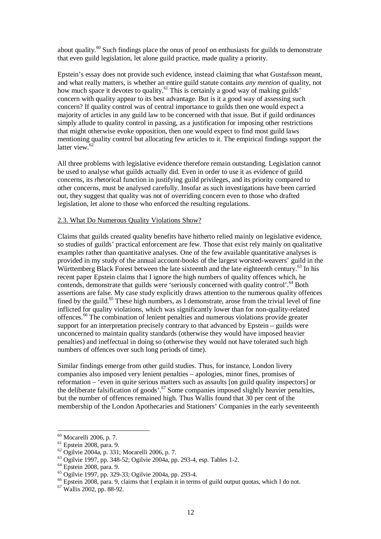about quality.<sup>60</sup> Such findings place the onus of proof on enthusiasts for guilds to demonstrate that even guild legislation, let alone guild practice, made quality a priority.

Epstein's essay does not provide such evidence, instead claiming that what Gustafsson meant, and what really matters, is whether an entire guild statute contains *any mention* of quality, not how much space it devotes to quality.<sup>61</sup> This is certainly a good way of making guilds' concern with quality appear to its best advantage. But is it a good way of assessing such concern? If quality control was of central importance to guilds then one would expect a majority of articles in any guild law to be concerned with that issue. But if guild ordinances simply allude to quality control in passing, as a justification for imposing other restrictions that might otherwise evoke opposition, then one would expect to find most guild laws mentioning quality control but allocating few articles to it. The empirical findings support the latter view.<sup>62</sup>

All three problems with legislative evidence therefore remain outstanding. Legislation cannot be used to analyse what guilds actually did. Even in order to use it as evidence of guild concerns, its rhetorical function in justifying guild privileges, and its priority compared to other concerns, must be analysed carefully. Insofar as such investigations have been carried out, they suggest that quality was not of overriding concern even to those who drafted legislation, let alone to those who enforced the resulting regulations.

#### 2.3. What Do Numerous Quality Violations Show?

Claims that guilds created quality benefits have hitherto relied mainly on legislative evidence, so studies of guilds' practical enforcement are few. Those that exist rely mainly on qualitative examples rather than quantitative analyses. One of the few available quantitative analyses is provided in my study of the annual account-books of the largest worsted-weavers' guild in the Württemberg Black Forest between the late sixteenth and the late eighteenth century.<sup>63</sup> In his recent paper Epstein claims that I ignore the high numbers of quality offences which, he contends, demonstrate that guilds were 'seriously concerned with quality control'.<sup>64</sup> Both assertions are false. My case study explicitly draws attention to the numerous quality offences fined by the guild.<sup>65</sup> These high numbers, as I demonstrate, arose from the trivial level of fine inflicted for quality violations, which was significantly lower than for non-quality-related offences.<sup>66</sup> The combination of lenient penalties and numerous violations provide greater support for an interpretation precisely contrary to that advanced by Epstein – guilds were unconcerned to maintain quality standards (otherwise they would have imposed heavier penalties) and ineffectual in doing so (otherwise they would not have tolerated such high numbers of offences over such long periods of time).

Similar findings emerge from other guild studies. Thus, for instance, London livery companies also imposed very lenient penalties – apologies, minor fines, promises of reformation – 'even in quite serious matters such as assaults [on guild quality inspectors] or the deliberate falsification of goods'.<sup>67</sup> Some companies imposed slightly heavier penalties, but the number of offences remained high. Thus Wallis found that 30 per cent of the membership of the London Apothecaries and Stationers' Companies in the early seventeenth

 $\overline{a}$ <sup>60</sup> Mocarelli 2006, p. 7.

<sup>61</sup> Epstein 2008, para. 9.

<sup>62</sup> Ogilvie 2004a, p. 331; Mocarelli 2006, p. 7.

<sup>63</sup> Ogilvie 1997, pp. 348-52; Ogilvie 2004a, pp. 293-4, esp. Tables 1-2.

<sup>64</sup> Epstein 2008, para. 9.

<sup>65</sup> Ogilvie 1997, pp. 329-33; Ogilvie 2004a, pp. 293-4.

<sup>&</sup>lt;sup>66</sup> Epstein 2008, para. 9, claims that I explain it in terms of guild output quotas, which I do not.

 $67$  Wallis 2002, pp. 88-92.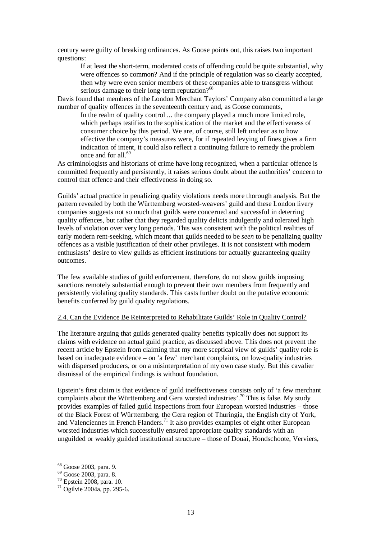century were guilty of breaking ordinances. As Goose points out, this raises two important questions:

If at least the short-term, moderated costs of offending could be quite substantial, why were offences so common? And if the principle of regulation was so clearly accepted, then why were even senior members of these companies able to transgress without serious damage to their long-term reputation?<sup>68</sup>

Davis found that members of the London Merchant Taylors' Company also committed a large number of quality offences in the seventeenth century and, as Goose comments,

In the realm of quality control ... the company played a much more limited role, which perhaps testifies to the sophistication of the market and the effectiveness of consumer choice by this period. We are, of course, still left unclear as to how effective the company's measures were, for if repeated levying of fines gives a firm indication of intent, it could also reflect a continuing failure to remedy the problem once and for all.<sup>69</sup>

As criminologists and historians of crime have long recognized, when a particular offence is committed frequently and persistently, it raises serious doubt about the authorities' concern to control that offence and their effectiveness in doing so.

Guilds' actual practice in penalizing quality violations needs more thorough analysis. But the pattern revealed by both the Württemberg worsted-weavers' guild and these London livery companies suggests not so much that guilds were concerned and successful in deterring quality offences, but rather that they regarded quality delicts indulgently and tolerated high levels of violation over very long periods. This was consistent with the political realities of early modern rent-seeking, which meant that guilds needed to be *seen* to be penalizing quality offences as a visible justification of their other privileges. It is not consistent with modern enthusiasts' desire to view guilds as efficient institutions for actually guaranteeing quality outcomes.

The few available studies of guild enforcement, therefore, do not show guilds imposing sanctions remotely substantial enough to prevent their own members from frequently and persistently violating quality standards. This casts further doubt on the putative economic benefits conferred by guild quality regulations.

## 2.4. Can the Evidence Be Reinterpreted to Rehabilitate Guilds' Role in Quality Control?

The literature arguing that guilds generated quality benefits typically does not support its claims with evidence on actual guild practice, as discussed above. This does not prevent the recent article by Epstein from claiming that my more sceptical view of guilds' quality role is based on inadequate evidence – on 'a few' merchant complaints, on low-quality industries with dispersed producers, or on a misinterpretation of my own case study. But this cavalier dismissal of the empirical findings is without foundation.

Epstein's first claim is that evidence of guild ineffectiveness consists only of 'a few merchant complaints about the Württemberg and Gera worsted industries'.<sup>70</sup> This is false. My study provides examples of failed guild inspections from four European worsted industries – those of the Black Forest of Württemberg, the Gera region of Thuringia, the English city of York, and Valenciennes in French Flanders.<sup>71</sup> It also provides examples of eight other European worsted industries which successfully ensured appropriate quality standards with an unguilded or weakly guilded institutional structure – those of Douai, Hondschoote, Verviers,

<sup>68</sup> Goose 2003, para. 9.

<sup>69</sup> Goose 2003, para. 8.

<sup>70</sup> Epstein 2008, para. 10.

<sup>71</sup> Ogilvie 2004a, pp. 295-6.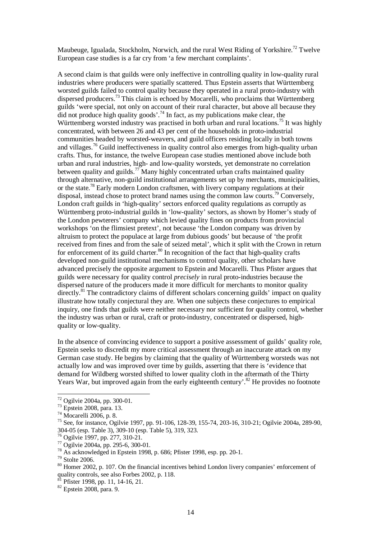Maubeuge, Igualada, Stockholm, Norwich, and the rural West Riding of Yorkshire.<sup>72</sup> Twelve European case studies is a far cry from 'a few merchant complaints'.

A second claim is that guilds were only ineffective in controlling quality in low-quality rural industries where producers were spatially scattered. Thus Epstein asserts that Württemberg worsted guilds failed to control quality because they operated in a rural proto-industry with dispersed producers.<sup>73</sup> This claim is echoed by Mocarelli, who proclaims that Württemberg guilds 'were special, not only on account of their rural character, but above all because they did not produce high quality goods'.<sup>74</sup> In fact, as my publications make clear, the Württemberg worsted industry was practised in both urban and rural locations.<sup>75</sup> It was highly concentrated, with between 26 and 43 per cent of the households in proto-industrial communities headed by worsted-weavers, and guild officers residing locally in both towns and villages.<sup>76</sup> Guild ineffectiveness in quality control also emerges from high-quality urban crafts. Thus, for instance, the twelve European case studies mentioned above include both urban and rural industries, high- and low-quality worsteds, yet demonstrate no correlation between quality and guilds.<sup>77</sup> Many highly concentrated urban crafts maintained quality through alternative, non-guild institutional arrangements set up by merchants, municipalities, or the state.<sup>78</sup> Early modern London craftsmen, with livery company regulations at their disposal, instead chose to protect brand names using the common law courts.<sup>79</sup> Conversely, London craft guilds in 'high-quality' sectors enforced quality regulations as corruptly as Württemberg proto-industrial guilds in 'low-quality' sectors, as shown by Homer's study of the London pewterers' company which levied quality fines on products from provincial workshops 'on the flimsiest pretext', not because 'the London company was driven by altruism to protect the populace at large from dubious goods' but because of 'the profit received from fines and from the sale of seized metal', which it split with the Crown in return for enforcement of its guild charter.<sup>80</sup> In recognition of the fact that high-quality crafts developed non-guild institutional mechanisms to control quality, other scholars have advanced precisely the opposite argument to Epstein and Mocarelli. Thus Pfister argues that guilds were necessary for quality control *precisely* in rural proto-industries because the dispersed nature of the producers made it more difficult for merchants to monitor quality directly.<sup>81</sup> The contradictory claims of different scholars concerning guilds' impact on quality illustrate how totally conjectural they are. When one subjects these conjectures to empirical inquiry, one finds that guilds were neither necessary nor sufficient for quality control, whether the industry was urban or rural, craft or proto-industry, concentrated or dispersed, highquality or low-quality.

In the absence of convincing evidence to support a positive assessment of guilds' quality role, Epstein seeks to discredit my more critical assessment through an inaccurate attack on my German case study. He begins by claiming that the quality of Württemberg worsteds was not actually low and was improved over time by guilds, asserting that there is 'evidence that demand for Wildberg worsted shifted to lower quality cloth in the aftermath of the Thirty Years War, but improved again from the early eighteenth century'.<sup>82</sup> He provides no footnote

 $\overline{a}$ 

Pfister 1998, pp. 11, 14-16, 21.

 $72$  Ogilvie 2004a, pp. 300-01.

<sup>73</sup> Epstein 2008, para. 13.

 $74$  Mocarelli 2006, p. 8.

<sup>75</sup> See, for instance, Ogilvie 1997, pp. 91-106, 128-39, 155-74, 203-16, 310-21; Ogilvie 2004a, 289-90, 304-05 (esp. Table 3), 309-10 (esp. Table 5), 319, 323.

<sup>76</sup> Ogilvie 1997, pp. 277, 310-21.

<sup>77</sup> Ogilvie 2004a, pp. 295-6, 300-01.

<sup>78</sup> As acknowledged in Epstein 1998, p. 686; Pfister 1998, esp. pp. 20-1.

<sup>79</sup> Stolte 2006.

<sup>80</sup> Homer 2002, p. 107. On the financial incentives behind London livery companies' enforcement of quality controls, see also Forbes 2002, p. 118.

<sup>82</sup> Epstein 2008, para. 9.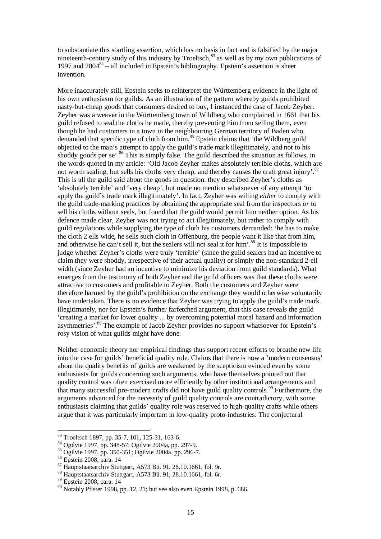to substantiate this startling assertion, which has no basis in fact and is falsified by the major nineteenth-century study of this industry by Troeltsch,<sup>83</sup> as well as by my own publications of 1997 and  $2004^{84}$  – all included in Epstein's bibliography. Epstein's assertion is sheer invention.

More inaccurately still, Epstein seeks to reinterpret the Württemberg evidence in the light of his own enthusiasm for guilds. As an illustration of the pattern whereby guilds prohibited nasty-but-cheap goods that consumers desired to buy, I instanced the case of Jacob Zeyher. Zeyher was a weaver in the Württemberg town of Wildberg who complained in 1661 that his guild refused to seal the cloths he made, thereby preventing him from selling them, even though he had customers in a town in the neighbouring German territory of Baden who demanded that specific type of cloth from him.<sup>85</sup> Epstein claims that 'the Wildberg guild objected to the man's attempt to apply the guild's trade mark illegitimately, and not to his shoddy goods per se'.<sup>86</sup> This is simply false. The guild described the situation as follows, in the words quoted in my article: 'Old Jacob Zeyher makes absolutely terrible cloths, which are not worth sealing, but sells his cloths very cheap, and thereby causes the craft great injury'.<sup>87</sup> This is all the guild said about the goods in question: they described Zeyher's cloths as 'absolutely terrible' and 'very cheap', but made no mention whatsoever of any attempt 'to apply the guild's trade mark illegitimately'. In fact, Zeyher was willing *either* to comply with the guild trade-marking practices by obtaining the appropriate seal from the inspectors *or* to sell his cloths without seals, but found that the guild would permit him neither option. As his defence made clear, Zeyher was not trying to act illegitimately, but rather to comply with guild regulations while supplying the type of cloth his customers demanded: 'he has to make the cloth 2 ells wide, he sells such cloth in Offenburg, the people want it like that from him, and otherwise he can't sell it, but the sealers will not seal it for him'.<sup>88</sup> It is impossible to judge whether Zeyher's cloths were truly 'terrible' (since the guild sealers had an incentive to claim they were shoddy, irrespective of their actual quality) or simply the non-standard 2-ell width (since Zeyher had an incentive to minimize his deviation from guild standards). What emerges from the testimony of both Zeyher and the guild officers was that these cloths were attractive to customers and profitable to Zeyher. Both the customers and Zeyher were therefore harmed by the guild's prohibition on the exchange they would otherwise voluntarily have undertaken. There is no evidence that Zeyher was trying to apply the guild's trade mark illegitimately, nor for Epstein's further farfetched argument, that this case reveals the guild 'creating a market for lower quality ... by overcoming potential moral hazard and information asymmetries'.<sup>89</sup> The example of Jacob Zeyher provides no support whatsoever for Epstein's rosy vision of what guilds might have done.

Neither economic theory nor empirical findings thus support recent efforts to breathe new life into the case for guilds' beneficial quality role. Claims that there is now a 'modern consensus' about the quality benefits of guilds are weakened by the scepticism evinced even by some enthusiasts for guilds concerning such arguments, who have themselves pointed out that quality control was often exercised more efficiently by other institutional arrangements and that many successful pre-modern crafts did not have guild quality controls.<sup>90</sup> Furthermore, the arguments advanced for the necessity of guild quality controls are contradictory, with some enthusiasts claiming that guilds' quality role was reserved to high-quality crafts while others argue that it was particularly important in low-quality proto-industries. The conjectural

<sup>&</sup>lt;sup>83</sup> Troeltsch 1897, pp. 35-7, 101, 125-31, 163-6.

<sup>84</sup> Ogilvie 1997, pp. 348-57; Ogilvie 2004a, pp. 297-9.

<sup>85</sup> Ogilvie 1997, pp. 350-351; Ogilvie 2004a, pp. 296-7.

<sup>86</sup> Epstein 2008, para. 14

<sup>87</sup> Hauptstaatsarchiv Stuttgart, A573 Bü. 91, 28.10.1661, fol. 9r.

<sup>88</sup> Hauptstaatsarchiv Stuttgart, A573 Bü. 91, 28.10.1661, fol. 6r.

<sup>89</sup> Epstein 2008, para. 14

 $90$  Notably Pfister 1998, pp. 12, 21; but see also even Epstein 1998, p. 686.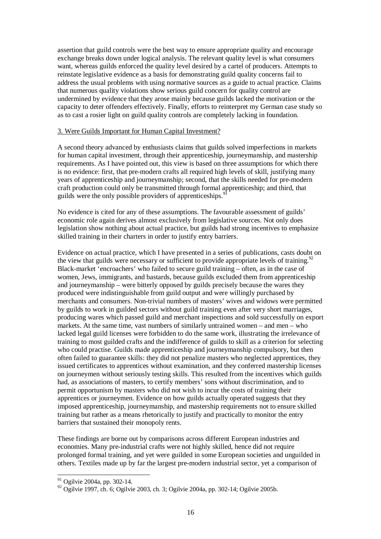assertion that guild controls were the best way to ensure appropriate quality and encourage exchange breaks down under logical analysis. The relevant quality level is what consumers want, whereas guilds enforced the quality level desired by a cartel of producers. Attempts to reinstate legislative evidence as a basis for demonstrating guild quality concerns fail to address the usual problems with using normative sources as a guide to actual practice. Claims that numerous quality violations show serious guild concern for quality control are undermined by evidence that they arose mainly because guilds lacked the motivation or the capacity to deter offenders effectively. Finally, efforts to reinterpret my German case study so as to cast a rosier light on guild quality controls are completely lacking in foundation.

## 3. Were Guilds Important for Human Capital Investment?

A second theory advanced by enthusiasts claims that guilds solved imperfections in markets for human capital investment, through their apprenticeship, journeymanship, and mastership requirements. As I have pointed out, this view is based on three assumptions for which there is no evidence: first, that pre-modern crafts all required high levels of skill, justifying many years of apprenticeship and journeymanship; second, that the skills needed for pre-modern craft production could only be transmitted through formal apprenticeship; and third, that guilds were the only possible providers of apprenticeships.<sup>9</sup>

No evidence is cited for any of these assumptions. The favourable assessment of guilds' economic role again derives almost exclusively from legislative sources. Not only does legislation show nothing about actual practice, but guilds had strong incentives to emphasize skilled training in their charters in order to justify entry barriers.

Evidence on actual practice, which I have presented in a series of publications, casts doubt on the view that guilds were necessary or sufficient to provide appropriate levels of training.<sup>92</sup> Black-market 'encroachers' who failed to secure guild training – often, as in the case of women, Jews, immigrants, and bastards, because guilds excluded them from apprenticeship and journeymanship – were bitterly opposed by guilds precisely because the wares they produced were indistinguishable from guild output and were willingly purchased by merchants and consumers. Non-trivial numbers of masters' wives and widows were permitted by guilds to work in guilded sectors without guild training even after very short marriages, producing wares which passed guild and merchant inspections and sold successfully on export markets. At the same time, vast numbers of similarly untrained women – and men – who lacked legal guild licenses were forbidden to do the same work, illustrating the irrelevance of training to most guilded crafts and the indifference of guilds to skill as a criterion for selecting who could practise. Guilds made apprenticeship and journeymanship compulsory, but then often failed to guarantee skills: they did not penalize masters who neglected apprentices, they issued certificates to apprentices without examination, and they conferred mastership licenses on journeymen without seriously testing skills. This resulted from the incentives which guilds had, as associations of masters, to certify members' sons without discrimination, and to permit opportunism by masters who did not wish to incur the costs of training their apprentices or journeymen. Evidence on how guilds actually operated suggests that they imposed apprenticeship, journeymanship, and mastership requirements not to ensure skilled training but rather as a means rhetorically to justify and practically to monitor the entry barriers that sustained their monopoly rents.

These findings are borne out by comparisons across different European industries and economies. Many pre-industrial crafts were not highly skilled, hence did not require prolonged formal training, and yet were guilded in some European societies and unguilded in others. Textiles made up by far the largest pre-modern industrial sector, yet a comparison of

 $91$  Ogilvie 2004a, pp. 302-14.

 $^{92}$  Ogilvie 1997, ch. 6; Ogilvie 2003, ch. 3; Ogilvie 2004a, pp. 302-14; Ogilvie 2005b.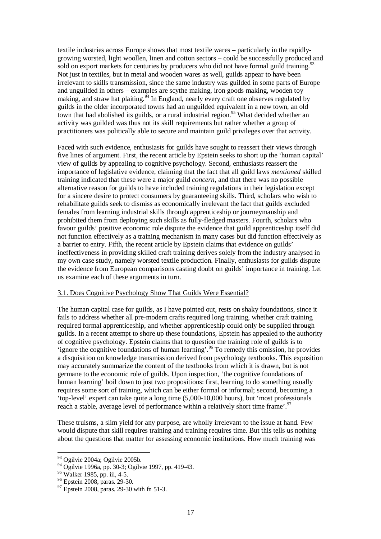textile industries across Europe shows that most textile wares – particularly in the rapidlygrowing worsted, light woollen, linen and cotton sectors – could be successfully produced and sold on export markets for centuries by producers who did not have formal guild training.<sup>93</sup> Not just in textiles, but in metal and wooden wares as well, guilds appear to have been irrelevant to skills transmission, since the same industry was guilded in some parts of Europe and unguilded in others – examples are scythe making, iron goods making, wooden toy making, and straw hat plaiting.  $\frac{94}{4}$  In England, nearly every craft one observes regulated by guilds in the older incorporated towns had an unguilded equivalent in a new town, an old town that had abolished its guilds, or a rural industrial region.<sup>95</sup> What decided whether an activity was guilded was thus not its skill requirements but rather whether a group of practitioners was politically able to secure and maintain guild privileges over that activity.

Faced with such evidence, enthusiasts for guilds have sought to reassert their views through five lines of argument. First, the recent article by Epstein seeks to short up the 'human capital' view of guilds by appealing to cognitive psychology. Second, enthusiasts reassert the importance of legislative evidence, claiming that the fact that all guild laws *mentioned* skilled training indicated that these were a major guild *concern*, and that there was no possible alternative reason for guilds to have included training regulations in their legislation except for a sincere desire to protect consumers by guaranteeing skills. Third, scholars who wish to rehabilitate guilds seek to dismiss as economically irrelevant the fact that guilds excluded females from learning industrial skills through apprenticeship or journeymanship and prohibited them from deploying such skills as fully-fledged masters. Fourth, scholars who favour guilds' positive economic role dispute the evidence that guild apprenticeship itself did not function effectively as a training mechanism in many cases but did function effectively as a barrier to entry. Fifth, the recent article by Epstein claims that evidence on guilds' ineffectiveness in providing skilled craft training derives solely from the industry analysed in my own case study, namely worsted textile production. Finally, enthusiasts for guilds dispute the evidence from European comparisons casting doubt on guilds' importance in training. Let us examine each of these arguments in turn.

## 3.1. Does Cognitive Psychology Show That Guilds Were Essential?

The human capital case for guilds, as I have pointed out, rests on shaky foundations, since it fails to address whether all pre-modern crafts required long training, whether craft training required formal apprenticeship, and whether apprenticeship could only be supplied through guilds. In a recent attempt to shore up these foundations, Epstein has appealed to the authority of cognitive psychology. Epstein claims that to question the training role of guilds is to 'ignore the cognitive foundations of human learning'.<sup>96</sup> To remedy this omission, he provides a disquisition on knowledge transmission derived from psychology textbooks. This exposition may accurately summarize the content of the textbooks from which it is drawn, but is not germane to the economic role of guilds. Upon inspection, 'the cognitive foundations of human learning' boil down to just two propositions: first, learning to do something usually requires some sort of training, which can be either formal or informal; second, becoming a 'top-level' expert can take quite a long time (5,000-10,000 hours), but 'most professionals reach a stable, average level of performance within a relatively short time frame'.<sup>97</sup>

These truisms, a slim yield for any purpose, are wholly irrelevant to the issue at hand. Few would dispute that skill requires training and training requires time. But this tells us nothing about the questions that matter for assessing economic institutions. How much training was

<sup>&</sup>lt;sup>93</sup> Ogilvie 2004a; Ogilvie 2005b.

<sup>94</sup> Ogilvie 1996a, pp. 30-3; Ogilvie 1997, pp. 419-43.

<sup>95</sup> Walker 1985, pp. iii, 4-5.

 $96$  Epstein 2008, paras. 29-30.

 $^{97}$  Epstein 2008, paras. 29-30 with fn 51-3.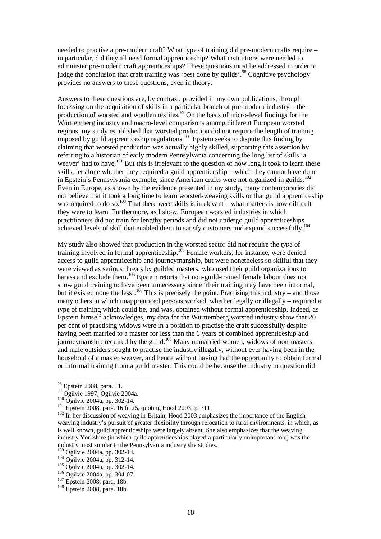needed to practise a pre-modern craft? What type of training did pre-modern crafts require – in particular, did they all need formal apprenticeship? What institutions were needed to administer pre-modern craft apprenticeships? These questions must be addressed in order to judge the conclusion that craft training was 'best done by guilds'.<sup>98</sup> Cognitive psychology provides no answers to these questions, even in theory.

Answers to these questions are, by contrast, provided in my own publications, through focussing on the acquisition of skills in a particular branch of pre-modern industry – the production of worsted and woollen textiles.<sup>99</sup> On the basis of micro-level findings for the Württemberg industry and macro-level comparisons among different European worsted regions, my study established that worsted production did not require the length of training imposed by guild apprenticeship regulations.<sup>100</sup> Epstein seeks to dispute this finding by claiming that worsted production was actually highly skilled, supporting this assertion by referring to a historian of early modern Pennsylvania concerning the long list of skills 'a weaver' had to have.<sup>101</sup> But this is irrelevant to the question of how long it took to learn these skills, let alone whether they required a guild apprenticeship – which they cannot have done in Epstein's Pennsylvania example, since American crafts were not organized in guilds.<sup>102</sup> Even in Europe, as shown by the evidence presented in my study, many contemporaries did not believe that it took a long time to learn worsted-weaving skills or that guild apprenticeship was required to do so.<sup>103</sup> That there *were* skills is irrelevant – what matters is how difficult they were to learn. Furthermore, as I show, European worsted industries in which practitioners did not train for lengthy periods and did not undergo guild apprenticeships achieved levels of skill that enabled them to satisfy customers and expand successfully.<sup>104</sup>

My study also showed that production in the worsted sector did not require the *type* of training involved in formal apprenticeship.<sup>105</sup> Female workers, for instance, were denied access to guild apprenticeship and journeymanship, but were nonetheless so skilful that they were viewed as serious threats by guilded masters, who used their guild organizations to harass and exclude them.<sup>106</sup> Epstein retorts that non-guild-trained female labour does not show guild training to have been unnecessary since 'their training may have been informal, but it existed none the less'.<sup>107</sup> This is precisely the point. Practising this industry – and those many others in which unapprenticed persons worked, whether legally or illegally – required a type of training which could be, and was, obtained without formal apprenticeship. Indeed, as Epstein himself acknowledges, my data for the Württemberg worsted industry show that 20 per cent of practising widows were in a position to practise the craft successfully despite having been married to a master for less than the 6 years of combined apprenticeship and journeymanship required by the guild.<sup>108</sup> Many unmarried women, widows of non-masters, and male outsiders sought to practise the industry illegally, without ever having been in the household of a master weaver, and hence without having had the opportunity to obtain formal or informal training from a guild master. This could be because the industry in question did

<sup>&</sup>lt;sup>98</sup> Epstein 2008, para. 11.

<sup>99</sup> Ogilvie 1997; Ogilvie 2004a.

<sup>&</sup>lt;sup>100</sup> Ogilvie 2004a, pp. 302-14.

 $^{101}$  Epstein 2008, para. 16 fn 25, quoting Hood 2003, p. 311.

 $102$  In her discussion of weaving in Britain, Hood 2003 emphasizes the importance of the English weaving industry's pursuit of greater flexibility through relocation to rural environments, in which, as is well known, guild apprenticeships were largely absent. She also emphasizes that the weaving industry Yorkshire (in which guild apprenticeships played a particularly unimportant role) was the industry most similar to the Pennsylvania industry she studies.

<sup>103</sup> Ogilvie 2004a, pp. 302-14.

<sup>104</sup> Ogilvie 2004a, pp. 312-14.

<sup>105</sup> Ogilvie 2004a, pp. 302-14.

<sup>106</sup> Ogilvie 2004a, pp. 304-07.

<sup>107</sup> Epstein 2008, para. 18b.

<sup>108</sup> Epstein 2008, para. 18b.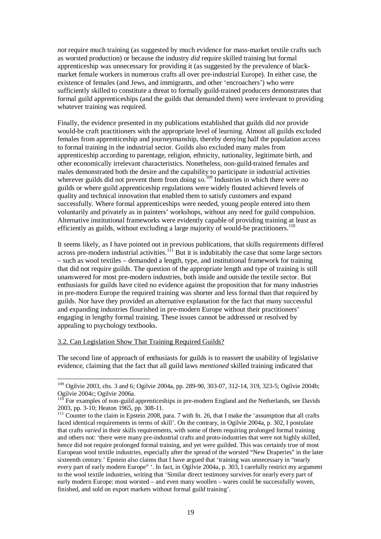*not* require much training (as suggested by much evidence for mass-market textile crafts such as worsted production) or because the industry *did* require skilled training but formal apprenticeship was unnecessary for providing it (as suggested by the prevalence of blackmarket female workers in numerous crafts all over pre-industrial Europe). In either case, the existence of females (and Jews, and immigrants, and other 'encroachers') who were sufficiently skilled to constitute a threat to formally guild-trained producers demonstrates that formal guild apprenticeships (and the guilds that demanded them) were irrelevant to providing whatever training was required.

Finally, the evidence presented in my publications established that guilds did *not* provide would-be craft practitioners with the appropriate level of learning. Almost all guilds excluded females from apprenticeship and journeymanship, thereby denying half the population access to formal training in the industrial sector. Guilds also excluded many males from apprenticeship according to parentage, religion, ethnicity, nationality, legitimate birth, and other economically irrelevant characteristics. Nonetheless, non-guild-trained females and males demonstrated both the desire and the capability to participate in industrial activities wherever guilds did not prevent them from doing so.<sup>109</sup> Industries in which there were no guilds or where guild apprenticeship regulations were widely flouted achieved levels of quality and technical innovation that enabled them to satisfy customers and expand successfully. Where formal apprenticeships were needed, young people entered into them voluntarily and privately as in painters' workshops, without any need for guild compulsion. Alternative institutional frameworks were evidently capable of providing training at least as efficiently as guilds, without excluding a large majority of would-be practitioners.<sup>110</sup>

It seems likely, as I have pointed out in previous publications, that skills requirements differed across pre-modern industrial activities.<sup>111</sup> But it is indubitably the case that some large sectors – such as wool textiles – demanded a length, type, and institutional framework for training that did not require guilds. The question of the appropriate length and type of training is still unanswered for most pre-modern industries, both inside and outside the textile sector. But enthusiasts for guilds have cited no evidence against the proposition that for many industries in pre-modern Europe the required training was shorter and less formal than that required by guilds. Nor have they provided an alternative explanation for the fact that many successful and expanding industries flourished in pre-modern Europe without their practitioners' engaging in lengthy formal training. These issues cannot be addressed or resolved by appealing to psychology textbooks.

## 3.2. Can Legislation Show That Training Required Guilds?

 $\overline{a}$ 

The second line of approach of enthusiasts for guilds is to reassert the usability of legislative evidence, claiming that the fact that all guild laws *mentioned* skilled training indicated that

<sup>&</sup>lt;sup>109</sup> Ogilvie 2003, chs. 3 and 6; Ogilvie 2004a, pp. 289-90, 303-07, 312-14, 319, 323-5; Ogilvie 2004b; Ogilvie 2004c; Ogilvie 2006a.

 $110$  For examples of non-guild apprenticeships in pre-modern England and the Netherlands, see Davids 2003, pp. 3-10; Heaton 1965, pp. 308-11.

<sup>&</sup>lt;sup>111</sup> Counter to the claim in Epstein 2008, para. 7 with fn. 26, that I make the 'assumption that all crafts faced identical requirements in terms of skill'. On the contrary, in Ogilvie 2004a, p. 302, I postulate that crafts *varied* in their skills requirements, with some of them requiring prolonged formal training and others not: 'there were many pre-industrial crafts and proto-industries that were not highly skilled, hence did not require prolonged formal training, and yet were guilded. This was certainly true of most European wool textile industries, especially after the spread of the worsted "New Draperies" in the later sixteenth century.' Epstein also claims that I have argued that 'training was unnecessary in "nearly every part of early modern Europe" '. In fact, in Ogilvie 2004a, p. 303, I carefully restrict my argument to the wool textile industries, writing that 'Similar direct testimony survives for nearly every part of early modern Europe: most worsted – and even many woollen – wares could be successfully woven, finished, and sold on export markets without formal guild training'.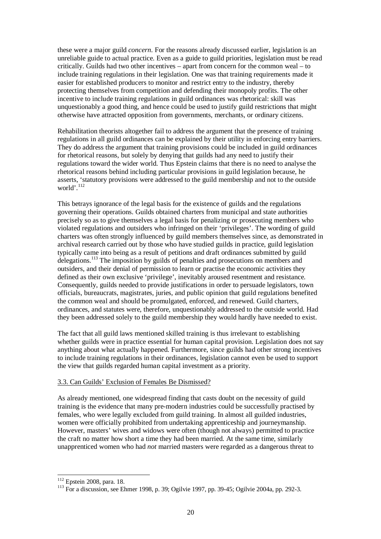these were a major guild *concern*. For the reasons already discussed earlier, legislation is an unreliable guide to actual practice. Even as a guide to guild priorities, legislation must be read critically. Guilds had two other incentives – apart from concern for the common weal – to include training regulations in their legislation. One was that training requirements made it easier for established producers to monitor and restrict entry to the industry, thereby protecting themselves from competition and defending their monopoly profits. The other incentive to include training regulations in guild ordinances was rhetorical: skill was unquestionably a good thing, and hence could be used to justify guild restrictions that might otherwise have attracted opposition from governments, merchants, or ordinary citizens.

Rehabilitation theorists altogether fail to address the argument that the presence of training regulations in all guild ordinances can be explained by their utility in enforcing entry barriers. They do address the argument that training provisions could be included in guild ordinances for rhetorical reasons, but solely by denying that guilds had any need to justify their regulations toward the wider world. Thus Epstein claims that there is no need to analyse the rhetorical reasons behind including particular provisions in guild legislation because, he asserts, 'statutory provisions were addressed to the guild membership and not to the outside world'.<sup>112</sup>

This betrays ignorance of the legal basis for the existence of guilds and the regulations governing their operations. Guilds obtained charters from municipal and state authorities precisely so as to give themselves a legal basis for penalizing or prosecuting members who violated regulations and outsiders who infringed on their 'privileges'. The wording of guild charters was often strongly influenced by guild members themselves since, as demonstrated in archival research carried out by those who have studied guilds in practice, guild legislation typically came into being as a result of petitions and draft ordinances submitted by guild delegations.<sup>113</sup> The imposition by guilds of penalties and prosecutions on members and outsiders, and their denial of permission to learn or practise the economic activities they defined as their own exclusive 'privilege', inevitably aroused resentment and resistance. Consequently, guilds needed to provide justifications in order to persuade legislators, town officials, bureaucrats, magistrates, juries, and public opinion that guild regulations benefited the common weal and should be promulgated, enforced, and renewed. Guild charters, ordinances, and statutes were, therefore, unquestionably addressed to the outside world. Had they been addressed solely to the guild membership they would hardly have needed to exist.

The fact that all guild laws mentioned skilled training is thus irrelevant to establishing whether guilds were in practice essential for human capital provision. Legislation does not say anything about what actually happened. Furthermore, since guilds had other strong incentives to include training regulations in their ordinances, legislation cannot even be used to support the view that guilds regarded human capital investment as a priority.

## 3.3. Can Guilds' Exclusion of Females Be Dismissed?

As already mentioned, one widespread finding that casts doubt on the necessity of guild training is the evidence that many pre-modern industries could be successfully practised by females, who were legally excluded from guild training. In almost all guilded industries, women were officially prohibited from undertaking apprenticeship and journeymanship. However, masters' wives and widows were often (though not always) permitted to practice the craft no matter how short a time they had been married. At the same time, similarly unapprenticed women who had *not* married masters were regarded as a dangerous threat to

<sup>&</sup>lt;sup>112</sup> Epstein 2008, para. 18.

<sup>113</sup> For a discussion, see Ehmer 1998, p. 39; Ogilvie 1997, pp. 39-45; Ogilvie 2004a, pp. 292-3.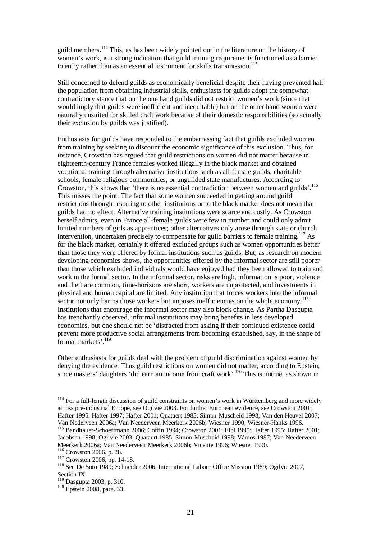guild members.<sup>114</sup> This, as has been widely pointed out in the literature on the history of women's work, is a strong indication that guild training requirements functioned as a barrier to entry rather than as an essential instrument for skills transmission.<sup>115</sup>

Still concerned to defend guilds as economically beneficial despite their having prevented half the population from obtaining industrial skills, enthusiasts for guilds adopt the somewhat contradictory stance that on the one hand guilds did not restrict women's work (since that would imply that guilds were inefficient and inequitable) but on the other hand women were naturally unsuited for skilled craft work because of their domestic responsibilities (so actually their exclusion by guilds was justified).

Enthusiasts for guilds have responded to the embarrassing fact that guilds excluded women from training by seeking to discount the economic significance of this exclusion. Thus, for instance, Crowston has argued that guild restrictions on women did not matter because in eighteenth-century France females worked illegally in the black market and obtained vocational training through alternative institutions such as all-female guilds, charitable schools, female religious communities, or unguilded state manufactures. According to Crowston, this shows that 'there is no essential contradiction between women and guilds'.<sup>116</sup> This misses the point. The fact that some women succeeded in getting around guild restrictions through resorting to other institutions or to the black market does not mean that guilds had no effect. Alternative training institutions were scarce and costly. As Crowston herself admits, even in France all-female guilds were few in number and could only admit limited numbers of girls as apprentices; other alternatives only arose through state or church intervention, undertaken precisely to compensate for guild barriers to female training.<sup>117</sup> As for the black market, certainly it offered excluded groups such as women opportunities better than those they were offered by formal institutions such as guilds. But, as research on modern developing economies shows, the opportunities offered by the informal sector are still poorer than those which excluded individuals would have enjoyed had they been allowed to train and work in the formal sector. In the informal sector, risks are high, information is poor, violence and theft are common, time-horizons are short, workers are unprotected, and investments in physical and human capital are limited. Any institution that forces workers into the informal sector not only harms those workers but imposes inefficiencies on the whole economy.<sup>118</sup> Institutions that encourage the informal sector may also block change. As Partha Dasgupta has trenchantly observed, informal institutions may bring benefits in less developed economies, but one should not be 'distracted from asking if their continued existence could prevent more productive social arrangements from becoming established, say, in the shape of formal markets'.<sup>119</sup>

Other enthusiasts for guilds deal with the problem of guild discrimination against women by denying the evidence. Thus guild restrictions on women did not matter, according to Epstein, since masters' daughters 'did earn an income from craft work'.<sup>120</sup> This is untrue, as shown in

 $114$  For a full-length discussion of guild constraints on women's work in Württemberg and more widely across pre-industrial Europe, see Ogilvie 2003. For further European evidence, see Crowston 2001; Hafter 1995; Hafter 1997; Hafter 2001; Quataert 1985; Simon-Muscheid 1998; Van den Heuvel 2007; Van Nederveen 2006a; Van Neederveen Meerkerk 2006b; Wiesner 1990; Wiesner-Hanks 1996. <sup>115</sup> Bandhauer-Schoeffmann 2006; Coffin 1994; Crowston 2001; Eibl 1995; Hafter 1995; Hafter 2001;

Jacobsen 1998; Ogilvie 2003; Quataert 1985; Simon-Muscheid 1998; Vámos 1987; Van Neederveen Meerkerk 2006a; Van Neederveen Meerkerk 2006b; Vicente 1996; Wiesner 1990.

<sup>116</sup> Crowston 2006, p. 28.

<sup>117</sup> Crowston 2006, pp. 14-18.

<sup>118</sup> See De Soto 1989; Schneider 2006; International Labour Office Mission 1989; Ogilvie 2007, Section IX.

 $\frac{119}{119}$  Dasgupta 2003, p. 310.

 $120$  Epstein 2008, para. 33.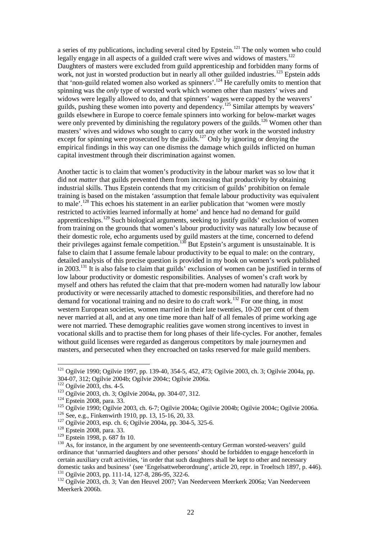a series of my publications, including several cited by Epstein.<sup>121</sup> The only women who could legally engage in all aspects of a guilded craft were wives and widows of masters.<sup>122</sup> Daughters of masters were excluded from guild apprenticeship and forbidden many forms of work, not just in worsted production but in nearly all other guilded industries.<sup>123</sup> Epstein adds that 'non-guild related women also worked as spinners'.<sup>124</sup> He carefully omits to mention that spinning was the *only* type of worsted work which women other than masters' wives and widows were legally allowed to do, and that spinners' wages were capped by the weavers' guilds, pushing these women into poverty and dependency.<sup>125</sup> Similar attempts by weavers' guilds elsewhere in Europe to coerce female spinners into working for below-market wages were only prevented by diminishing the regulatory powers of the guilds.<sup>126</sup> Women other than masters' wives and widows who sought to carry out any other work in the worsted industry except for spinning were prosecuted by the guilds.<sup>127</sup> Only by ignoring or denying the empirical findings in this way can one dismiss the damage which guilds inflicted on human capital investment through their discrimination against women.

Another tactic is to claim that women's productivity in the labour market was so low that it did not *matter* that guilds prevented them from increasing that productivity by obtaining industrial skills. Thus Epstein contends that my criticism of guilds' prohibition on female training is based on the mistaken 'assumption that female labour productivity was equivalent to male'.<sup>128</sup> This echoes his statement in an earlier publication that 'women were mostly restricted to activities learned informally at home' and hence had no demand for guild apprenticeships.<sup>129</sup> Such biological arguments, seeking to justify guilds' exclusion of women from training on the grounds that women's labour productivity was naturally low because of their domestic role, echo arguments used by guild masters at the time, concerned to defend their privileges against female competition.<sup>130</sup> But Epstein's argument is unsustainable. It is false to claim that I assume female labour productivity to be equal to male: on the contrary, detailed analysis of this precise question is provided in my book on women's work published in 2003.<sup>131</sup> It is also false to claim that guilds' exclusion of women can be justified in terms of low labour productivity or domestic responsibilities. Analyses of women's craft work by myself and others has refuted the claim that that pre-modern women had naturally low labour productivity or were necessarily attached to domestic responsibilities, and therefore had no demand for vocational training and no desire to do craft work.<sup>132</sup> For one thing, in most western European societies, women married in their late twenties, 10-20 per cent of them never married at all, and at any one time more than half of all females of prime working age were not married. These demographic realities gave women strong incentives to invest in vocational skills and to practise them for long phases of their life-cycles. For another, females without guild licenses were regarded as dangerous competitors by male journeymen and masters, and persecuted when they encroached on tasks reserved for male guild members.

 $121$  Ogilvie 1990; Ogilvie 1997, pp. 139-40, 354-5, 452, 473; Ogilvie 2003, ch. 3; Ogilvie 2004a, pp. 304-07, 312; Ogilvie 2004b; Ogilvie 2004c; Ogilvie 2006a.

<sup>&</sup>lt;sup>122</sup> Ogilvie 2003, chs. 4-5.

<sup>123</sup> Ogilvie 2003, ch. 3; Ogilvie 2004a, pp. 304-07, 312.

<sup>&</sup>lt;sup>124</sup> Epstein 2008, para. 33.

<sup>&</sup>lt;sup>125</sup> Ogilvie 1990; Ogilvie 2003, ch. 6-7; Ogilvie 2004a; Ogilvie 2004b; Ogilvie 2004c; Ogilvie 2006a. <sup>126</sup> See, e.g., Finkenwirth 1910, pp. 13, 15-16, 20, 33.

<sup>127</sup> Ogilvie 2003, esp. ch. 6; Ogilvie 2004a, pp. 304-5, 325-6.

<sup>&</sup>lt;sup>128</sup> Epstein 2008, para. 33.

<sup>129</sup> Epstein 1998, p. 687 fn 10.

 $130$  As, for instance, in the argument by one seventeenth-century German worsted-weavers' guild ordinance that 'unmarried daughters and other persons' should be forbidden to engage henceforth in certain auxiliary craft activities, 'in order that such daughters shall be kept to other and necessary domestic tasks and business' (see 'Engelsattweberordnung', article 20, repr. in Troeltsch 1897, p. 446). <sup>131</sup> Ogilvie 2003, pp. 111-14, 127-8, 286-95, 322-6.

<sup>&</sup>lt;sup>132</sup> Ogilvie 2003, ch. 3; Van den Heuvel 2007; Van Neederveen Meerkerk 2006a; Van Neederveen Meerkerk 2006b.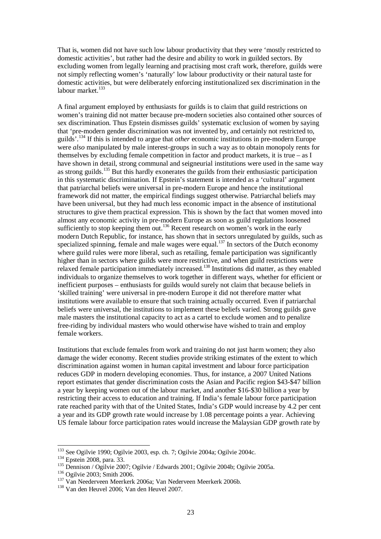That is, women did not have such low labour productivity that they were 'mostly restricted to domestic activities', but rather had the desire and ability to work in guilded sectors. By excluding women from legally learning and practising most craft work, therefore, guilds were not simply reflecting women's 'naturally' low labour productivity or their natural taste for domestic activities, but were deliberately enforcing institutionalized sex discrimination in the labour market.<sup>133</sup>

A final argument employed by enthusiasts for guilds is to claim that guild restrictions on women's training did not matter because pre-modern societies also contained other sources of sex discrimination. Thus Epstein dismisses guilds' systematic exclusion of women by saying that 'pre-modern gender discrimination was not invented by, and certainly not restricted to, guilds'.<sup>134</sup> If this is intended to argue that *other* economic institutions in pre-modern Europe were *also* manipulated by male interest-groups in such a way as to obtain monopoly rents for themselves by excluding female competition in factor and product markets, it is true – as I have shown in detail, strong communal and seigneurial institutions were used in the same way as strong guilds.<sup>135</sup> But this hardly exonerates the guilds from their enthusiastic participation in this systematic discrimination. If Epstein's statement is intended as a 'cultural' argument that patriarchal beliefs were universal in pre-modern Europe and hence the institutional framework did not matter, the empirical findings suggest otherwise. Patriarchal beliefs may have been universal, but they had much less economic impact in the absence of institutional structures to give them practical expression. This is shown by the fact that women moved into almost any economic activity in pre-modern Europe as soon as guild regulations loosened sufficiently to stop keeping them out.<sup>136</sup> Recent research on women's work in the early modern Dutch Republic, for instance, has shown that in sectors unregulated by guilds, such as specialized spinning, female and male wages were equal.<sup>137</sup> In sectors of the Dutch economy where guild rules were more liberal, such as retailing, female participation was significantly higher than in sectors where guilds were more restrictive, and when guild restrictions were relaxed female participation immediately increased.<sup>138</sup> Institutions did matter, as they enabled individuals to organize themselves to work together in different ways, whether for efficient or inefficient purposes – enthusiasts for guilds would surely not claim that because beliefs in 'skilled training' were universal in pre-modern Europe it did not therefore matter what institutions were available to ensure that such training actually occurred. Even if patriarchal beliefs were universal, the institutions to implement these beliefs varied. Strong guilds gave male masters the institutional capacity to act as a cartel to exclude women and to penalize free-riding by individual masters who would otherwise have wished to train and employ female workers.

Institutions that exclude females from work and training do not just harm women; they also damage the wider economy. Recent studies provide striking estimates of the extent to which discrimination against women in human capital investment and labour force participation reduces GDP in modern developing economies. Thus, for instance, a 2007 United Nations report estimates that gender discrimination costs the Asian and Pacific region \$43-\$47 billion a year by keeping women out of the labour market, and another \$16-\$30 billion a year by restricting their access to education and training. If India's female labour force participation rate reached parity with that of the United States, India's GDP would increase by 4.2 per cent a year and its GDP growth rate would increase by 1.08 percentage points a year. Achieving US female labour force participation rates would increase the Malaysian GDP growth rate by

<sup>&</sup>lt;sup>133</sup> See Ogilvie 1990; Ogilvie 2003, esp. ch. 7; Ogilvie 2004a; Ogilvie 2004c.

<sup>&</sup>lt;sup>134</sup> Epstein 2008, para. 33.

<sup>&</sup>lt;sup>135</sup> Dennison / Ogilvie 2007; Ogilvie / Edwards 2001; Ogilvie 2004b; Ogilvie 2005a.

<sup>&</sup>lt;sup>136</sup> Ogilvie 2003; Smith 2006.

<sup>137</sup> Van Neederveen Meerkerk 2006a; Van Nederveen Meerkerk 2006b.

<sup>138</sup> Van den Heuvel 2006; Van den Heuvel 2007.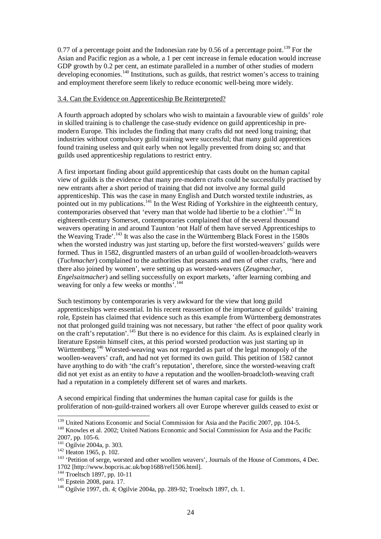0.77 of a percentage point and the Indonesian rate by 0.56 of a percentage point.<sup>139</sup> For the Asian and Pacific region as a whole, a 1 per cent increase in female education would increase GDP growth by 0.2 per cent, an estimate paralleled in a number of other studies of modern developing economies.<sup>140</sup> Institutions, such as guilds, that restrict women's access to training and employment therefore seem likely to reduce economic well-being more widely.

#### 3.4. Can the Evidence on Apprenticeship Be Reinterpreted?

A fourth approach adopted by scholars who wish to maintain a favourable view of guilds' role in skilled training is to challenge the case-study evidence on guild apprenticeship in premodern Europe. This includes the finding that many crafts did not need long training; that industries without compulsory guild training were successful; that many guild apprentices found training useless and quit early when not legally prevented from doing so; and that guilds used apprenticeship regulations to restrict entry.

A first important finding about guild apprenticeship that casts doubt on the human capital view of guilds is the evidence that many pre-modern crafts could be successfully practised by new entrants after a short period of training that did not involve any formal guild apprenticeship. This was the case in many English and Dutch worsted textile industries, as pointed out in my publications.<sup>141</sup> In the West Riding of Yorkshire in the eighteenth century, contemporaries observed that 'every man that wolde had libertie to be a clothier'.<sup>142</sup> In eighteenth-century Somerset, contemporaries complained that of the several thousand weavers operating in and around Taunton 'not Half of them have served Apprenticeships to the Weaving Trade'.<sup>143</sup> It was also the case in the Württemberg Black Forest in the 1580s when the worsted industry was just starting up, before the first worsted-weavers' guilds were formed. Thus in 1582, disgruntled masters of an urban guild of woollen-broadcloth-weavers (*Tuchmacher*) complained to the authorities that peasants and men of other crafts, 'here and there also joined by women', were setting up as worsted-weavers (*Zeugmacher*, *Engelsaitmacher*) and selling successfully on export markets, 'after learning combing and weaving for only a few weeks or months<sup>'.144</sup>

Such testimony by contemporaries is very awkward for the view that long guild apprenticeships were essential. In his recent reassertion of the importance of guilds' training role, Epstein has claimed that evidence such as this example from Württemberg demonstrates not that prolonged guild training was not necessary, but rather 'the effect of poor quality work on the craft's reputation'.<sup>145</sup> But there is no evidence for this claim. As is explained clearly in literature Epstein himself cites, at this period worsted production was just starting up in Württemberg.<sup>146</sup> Worsted-weaving was not regarded as part of the legal monopoly of the woollen-weavers' craft, and had not yet formed its own guild. This petition of 1582 cannot have anything to do with 'the craft's reputation', therefore, since the worsted-weaving craft did not yet exist as an entity to *have* a reputation and the woollen-broadcloth-weaving craft had a reputation in a completely different set of wares and markets.

A second empirical finding that undermines the human capital case for guilds is the proliferation of non-guild-trained workers all over Europe wherever guilds ceased to exist or

<sup>&</sup>lt;sup>139</sup> United Nations Economic and Social Commission for Asia and the Pacific 2007, pp. 104-5. <sup>140</sup> Knowles et al. 2002; United Nations Economic and Social Commission for Asia and the Pacific 2007, pp. 105-6.

<sup>&</sup>lt;sup>141</sup> Ogilvie 2004a, p. 303.

<sup>&</sup>lt;sup>142</sup> Heaton 1965, p. 102.

<sup>&</sup>lt;sup>143</sup> 'Petition of serge, worsted and other woollen weavers', Journals of the House of Commons, 4 Dec. 1702 [http://www.bopcris.ac.uk/bop1688/ref1506.html].

<sup>144</sup> Troeltsch 1897, pp. 10-11

<sup>145</sup> Epstein 2008, para. 17.

<sup>&</sup>lt;sup>146</sup> Ogilvie 1997, ch. 4; Ogilvie 2004a, pp. 289-92; Troeltsch 1897, ch. 1.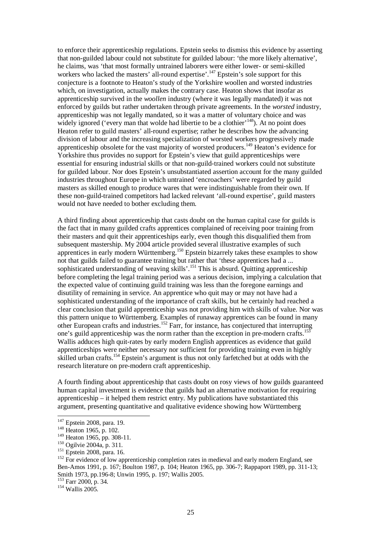to enforce their apprenticeship regulations. Epstein seeks to dismiss this evidence by asserting that non-guilded labour could not substitute for guilded labour: 'the more likely alternative', he claims, was 'that most formally untrained laborers were either lower- or semi-skilled workers who lacked the masters' all-round expertise'.<sup>147</sup> Epstein's sole support for this conjecture is a footnote to Heaton's study of the Yorkshire woollen and worsted industries which, on investigation, actually makes the contrary case. Heaton shows that insofar as apprenticeship survived in the *woollen* industry (where it was legally mandated) it was not enforced by guilds but rather undertaken through private agreements. In the *worsted* industry, apprenticeship was not legally mandated, so it was a matter of voluntary choice and was widely ignored ('every man that wolde had libertie to be a clothier'<sup>148</sup>). At no point does Heaton refer to guild masters' all-round expertise; rather he describes how the advancing division of labour and the increasing specialization of worsted workers progressively made apprenticeship obsolete for the vast majority of worsted producers.<sup>149</sup> Heaton's evidence for Yorkshire thus provides no support for Epstein's view that guild apprenticeships were essential for ensuring industrial skills or that non-guild-trained workers could not substitute for guilded labour. Nor does Epstein's unsubstantiated assertion account for the many guilded industries throughout Europe in which untrained 'encroachers' were regarded by guild masters as skilled enough to produce wares that were indistinguishable from their own. If these non-guild-trained competitors had lacked relevant 'all-round expertise', guild masters would not have needed to bother excluding them.

A third finding about apprenticeship that casts doubt on the human capital case for guilds is the fact that in many guilded crafts apprentices complained of receiving poor training from their masters and quit their apprenticeships early, even though this disqualified them from subsequent mastership. My 2004 article provided several illustrative examples of such apprentices in early modern Württemberg.<sup>150</sup> Epstein bizarrely takes these examples to show not that guilds failed to guarantee training but rather that 'these apprentices had a ... sophisticated understanding of weaving skills'.<sup>151</sup> This is absurd. Quitting apprenticeship before completing the legal training period was a serious decision, implying a calculation that the expected value of continuing guild training was less than the foregone earnings and disutility of remaining in service. An apprentice who quit may or may not have had a sophisticated understanding of the importance of craft skills, but he certainly had reached a clear conclusion that guild apprenticeship was not providing him with skills of value. Nor was this pattern unique to Württemberg. Examples of runaway apprentices can be found in many other European crafts and industries.<sup>152</sup> Farr, for instance, has conjectured that interrupting one's guild apprenticeship was the norm rather than the exception in pre-modern crafts.<sup>153</sup> Wallis adduces high quit-rates by early modern English apprentices as evidence that guild apprenticeships were neither necessary nor sufficient for providing training even in highly skilled urban crafts.<sup>154</sup> Epstein's argument is thus not only farfetched but at odds with the research literature on pre-modern craft apprenticeship.

A fourth finding about apprenticeship that casts doubt on rosy views of how guilds guaranteed human capital investment is evidence that guilds had an alternative motivation for requiring apprenticeship – it helped them restrict entry. My publications have substantiated this argument, presenting quantitative and qualitative evidence showing how Württemberg

<sup>&</sup>lt;sup>147</sup> Epstein 2008, para. 19.

 $148$  Heaton 1965, p. 102.

<sup>&</sup>lt;sup>149</sup> Heaton 1965, pp. 308-11.

<sup>150</sup> Ogilvie 2004a, p. 311.

<sup>&</sup>lt;sup>151</sup> Epstein 2008, para. 16.

 $152$  For evidence of low apprenticeship completion rates in medieval and early modern England, see Ben-Amos 1991, p. 167; Boulton 1987, p. 104; Heaton 1965, pp. 306-7; Rappaport 1989, pp. 311-13; Smith 1973, pp.196-8; Unwin 1995, p. 197; Wallis 2005.

<sup>153</sup> Farr 2000, p. 34.

<sup>154</sup> Wallis 2005.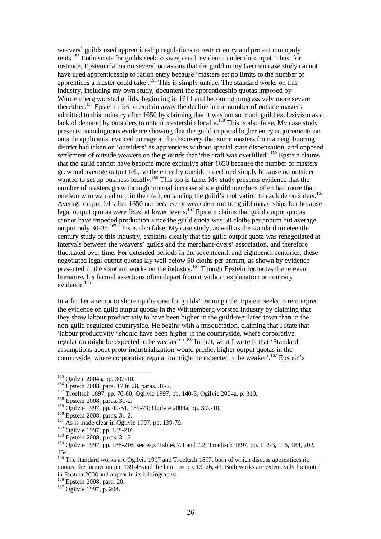weavers' guilds used apprenticeship regulations to restrict entry and protect monopoly rents.<sup>155</sup> Enthusiasts for guilds seek to sweep such evidence under the carpet. Thus, for instance, Epstein claims on several occasions that the guild in my German case study cannot have used apprenticeship to ration entry because 'masters set no limits to the number of apprentices a master could take'.<sup>156</sup> This is simply untrue. The standard works on this industry, including my own study, document the apprenticeship quotas imposed by Württemberg worsted guilds, beginning in 1611 and becoming progressively more severe thereafter.<sup>157</sup> Epstein tries to explain away the decline in the number of outside masters admitted to this industry after 1650 by claiming that it was not so much guild exclusivism as a lack of demand by outsiders to obtain mastership locally.<sup>158</sup> This is also false. My case study presents unambiguous evidence showing that the guild imposed higher entry requirements on outside applicants, evinced outrage at the discovery that some masters from a neighbouring district had taken on 'outsiders' as apprentices without special state dispensation, and opposed settlement of outside weavers on the grounds that 'the craft was overfilled'.<sup>159</sup> Epstein claims that the guild cannot have become more exclusive after 1650 because the number of masters grew and average output fell, so the entry by outsiders declined simply because no outsider wanted to set up business locally.<sup>160</sup> This too is false. My study presents evidence that the number of masters grew through internal increase since guild members often had more than one son who wanted to join the craft, enhancing the guild's motivation to exclude outsiders.<sup>161</sup> Average output fell after 1650 not because of weak demand for guild masterships but because legal output quotas were fixed at lower levels.<sup>162</sup> Epstein claims that guild output quotas cannot have impeded production since the guild quota was 50 cloths per annum but average output only 30-35.<sup>163</sup> This is also false. My case study, as well as the standard nineteenthcentury study of this industry, explains clearly that the guild output quota was renegotiated at intervals between the weavers' guilds and the merchant-dyers' association, and therefore fluctuated over time. For extended periods in the seventeenth and eighteenth centuries, these negotiated legal output quotas lay well below 50 cloths per annum, as shown by evidence presented in the standard works on the industry.<sup>164</sup> Though Epstein footnotes the relevant literature, his factual assertions often depart from it without explanation or contrary evidence.<sup>165</sup>

In a further attempt to shore up the case for guilds' training role, Epstein seeks to reinterpret the evidence on guild output quotas in the Württemberg worsted industry by claiming that they show labour productivity to have been higher in the guild-regulated town than in the non-guild-regulated countryside. He begins with a misquotation, claiming that I state that 'labour productivity "should have been higher in the countryside, where corporative regulation might be expected to be weaker" :<sup>166</sup> In fact, what I write is that 'Standard' assumptions about proto-industrialization would predict higher output quotas in the countryside, where corporative regulation might be expected to be weaker'.<sup>167</sup> Epstein's

<sup>&</sup>lt;sup>155</sup> Ogilvie 2004a, pp. 307-10.

<sup>156</sup> Epstein 2008, para. 17 fn 28, paras. 31-2.

<sup>&</sup>lt;sup>157</sup> Troeltsch 1897, pp. 76-80; Ogilvie 1997, pp. 140-3; Ogilvie 2004a, p. 310.

<sup>158</sup> Epstein 2008, paras. 31-2.

<sup>159</sup> Ogilvie 1997, pp. 49-51, 139-79; Ogilvie 2004a, pp. 309-10.

<sup>160</sup> Epstein 2008, paras. 31-2.

<sup>&</sup>lt;sup>161</sup> As is made clear in Ogilvie 1997, pp. 139-79.

<sup>162</sup> Ogilvie 1997, pp. 188-216.

<sup>163</sup> Epstein 2008, paras. 31-2.

<sup>&</sup>lt;sup>164</sup> Ogilvie 1997, pp. 188-216, see esp. Tables 7.1 and 7.2; Troeltsch 1897, pp. 112-3, 116, 184, 202, 454.

<sup>&</sup>lt;sup>165</sup> The standard works are Ogilvie 1997 and Troeltsch 1897, both of which discuss apprenticeship quotas, the former on pp. 139-43 and the latter on pp. 13, 26, 43. Both works are extensively footnoted in Epstein 2008 and appear in its bibliography.

<sup>166</sup> Epstein 2008, para. 20.

<sup>167</sup> Ogilvie 1997, p. 204.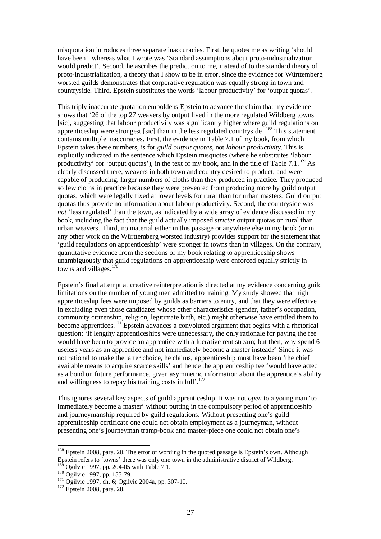misquotation introduces three separate inaccuracies. First, he quotes me as writing 'should have been', whereas what I wrote was 'Standard assumptions about proto-industrialization would predict'. Second, he ascribes the prediction to me, instead of to the standard theory of proto-industrialization, a theory that I show to be in error, since the evidence for Württemberg worsted guilds demonstrates that corporative regulation was equally strong in town and countryside. Third, Epstein substitutes the words 'labour productivity' for 'output quotas'.

This triply inaccurate quotation emboldens Epstein to advance the claim that my evidence shows that '26 of the top 27 weavers by output lived in the more regulated Wildberg towns [sic], suggesting that labour productivity was significantly higher where guild regulations on apprenticeship were strongest [sic] than in the less regulated countryside'.<sup>168</sup> This statement contains multiple inaccuracies. First, the evidence in Table 7.1 of my book, from which Epstein takes these numbers, is for *guild output quotas*, not *labour productivity*. This is explicitly indicated in the sentence which Epstein misquotes (where he substitutes 'labour productivity' for 'output quotas'), in the text of my book, and in the title of Table 7.1.<sup>169</sup> As clearly discussed there, weavers in both town and country desired to product, and were capable of producing, larger numbers of cloths than they produced in practice. They produced so few cloths in practice because they were prevented from producing more by guild output quotas, which were legally fixed at lower levels for rural than for urban masters. Guild output quotas thus provide no information about labour productivity. Second, the countryside was *not* 'less regulated' than the town, as indicated by a wide array of evidence discussed in my book, including the fact that the guild actually imposed *stricter* output quotas on rural than urban weavers. Third, no material either in this passage or anywhere else in my book (or in any other work on the Württemberg worsted industry) provides support for the statement that 'guild regulations on apprenticeship' were stronger in towns than in villages. On the contrary, quantitative evidence from the sections of my book relating to apprenticeship shows unambiguously that guild regulations on apprenticeship were enforced equally strictly in towns and villages. $170$ 

Epstein's final attempt at creative reinterpretation is directed at my evidence concerning guild limitations on the number of young men admitted to training. My study showed that high apprenticeship fees were imposed by guilds as barriers to entry, and that they were effective in excluding even those candidates whose other characteristics (gender, father's occupation, community citizenship, religion, legitimate birth, etc.) might otherwise have entitled them to become apprentices.<sup>171</sup> Epstein advances a convoluted argument that begins with a rhetorical question: 'If lengthy apprenticeships were unnecessary, the only rationale for paying the fee would have been to provide an apprentice with a lucrative rent stream; but then, why spend 6 useless years as an apprentice and not immediately become a master instead?' Since it was not rational to make the latter choice, he claims, apprenticeship must have been 'the chief available means to acquire scarce skills' and hence the apprenticeship fee 'would have acted as a bond on future performance, given asymmetric information about the apprentice's ability and willingness to repay his training costs in full'.<sup>172</sup>

This ignores several key aspects of guild apprenticeship. It was not *open* to a young man 'to immediately become a master' without putting in the compulsory period of apprenticeship and journeymanship required by guild regulations. Without presenting one's guild apprenticeship certificate one could not obtain employment as a journeyman, without presenting one's journeyman tramp-book and master-piece one could not obtain one's

<sup>&</sup>lt;sup>168</sup> Epstein 2008, para. 20. The error of wording in the quoted passage is Epstein's own. Although Epstein refers to 'towns' there was only one town in the administrative district of Wildberg.  $169$  Ogilvie 1997, pp. 204-05 with Table 7.1.

<sup>&</sup>lt;sup>170</sup> Ogilvie 1997, pp. 155-79.

<sup>&</sup>lt;sup>171</sup> Ogilvie 1997, ch. 6; Ogilvie 2004a, pp. 307-10.

<sup>&</sup>lt;sup>172</sup> Epstein 2008, para. 28.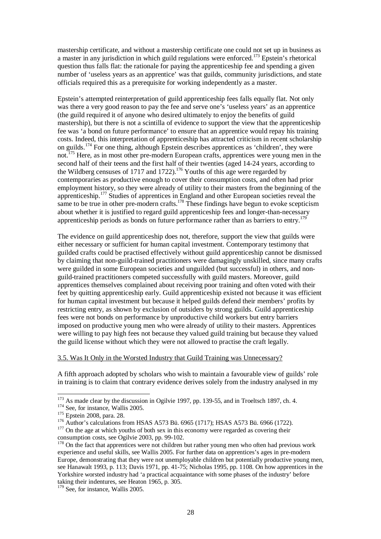mastership certificate, and without a mastership certificate one could not set up in business as a master in any jurisdiction in which guild regulations were enforced.<sup>173</sup> Epstein's rhetorical question thus falls flat: the rationale for paying the apprenticeship fee and spending a given number of 'useless years as an apprentice' was that guilds, community jurisdictions, and state officials required this as a prerequisite for working independently as a master.

Epstein's attempted reinterpretation of guild apprenticeship fees falls equally flat. Not only was there a very good reason to pay the fee and serve one's 'useless years' as an apprentice (the guild required it of anyone who desired ultimately to enjoy the benefits of guild mastership), but there is not a scintilla of evidence to support the view that the apprenticeship fee was 'a bond on future performance' to ensure that an apprentice would repay his training costs. Indeed, this interpretation of apprenticeship has attracted criticism in recent scholarship on guilds.<sup>174</sup> For one thing, although Epstein describes apprentices as 'children', they were not.<sup>175</sup> Here, as in most other pre-modern European crafts, apprentices were young men in the second half of their teens and the first half of their twenties (aged 14-24 years, according to the Wildberg censuses of 1717 and 1722).<sup>176</sup> Youths of this age were regarded by contemporaries as productive enough to cover their consumption costs, and often had prior employment history, so they were already of utility to their masters from the beginning of the apprenticeship.<sup>177</sup> Studies of apprentices in England and other European societies reveal the same to be true in other pre-modern crafts.<sup>178</sup> These findings have begun to evoke scepticism about whether it is justified to regard guild apprenticeship fees and longer-than-necessary apprenticeship periods as bonds on future performance rather than as barriers to entry.<sup>179</sup>

The evidence on guild apprenticeship does not, therefore, support the view that guilds were either necessary or sufficient for human capital investment. Contemporary testimony that guilded crafts could be practised effectively without guild apprenticeship cannot be dismissed by claiming that non-guild-trained practitioners were damagingly unskilled, since many crafts were guilded in some European societies and unguilded (but successful) in others, and nonguild-trained practitioners competed successfully with guild masters. Moreover, guild apprentices themselves complained about receiving poor training and often voted with their feet by quitting apprenticeship early. Guild apprenticeship existed not because it was efficient for human capital investment but because it helped guilds defend their members' profits by restricting entry, as shown by exclusion of outsiders by strong guilds. Guild apprenticeship fees were not bonds on performance by unproductive child workers but entry barriers imposed on productive young men who were already of utility to their masters. Apprentices were willing to pay high fees not because they valued guild training but because they valued the guild license without which they were not allowed to practise the craft legally.

## 3.5. Was It Only in the Worsted Industry that Guild Training was Unnecessary?

A fifth approach adopted by scholars who wish to maintain a favourable view of guilds' role in training is to claim that contrary evidence derives solely from the industry analysed in my

 $173$  As made clear by the discussion in Ogilvie 1997, pp. 139-55, and in Troeltsch 1897, ch. 4.

<sup>&</sup>lt;sup>174</sup> See, for instance, Wallis 2005.

<sup>&</sup>lt;sup>175</sup> Epstein 2008, para. 28.

<sup>176</sup> Author's calculations from HSAS A573 Bü. 6965 (1717); HSAS A573 Bü. 6966 (1722).

 $177$  On the age at which youths of both sex in this economy were regarded as covering their consumption costs, see Ogilvie 2003, pp. 99-102.

<sup>&</sup>lt;sup>178</sup> On the fact that apprentices were not children but rather young men who often had previous work experience and useful skills, see Wallis 2005. For further data on apprentices's ages in pre-modern Europe, demonstrating that they were not unemployable children but potentially productive young men, see Hanawalt 1993, p. 113; Davis 1971, pp. 41-75; Nicholas 1995, pp. 1108. On how apprentices in the Yorkshire worsted industry had 'a practical acquaintance with some phases of the industry' before taking their indentures, see Heaton 1965, p. 305.

 $179$  See, for instance, Wallis 2005.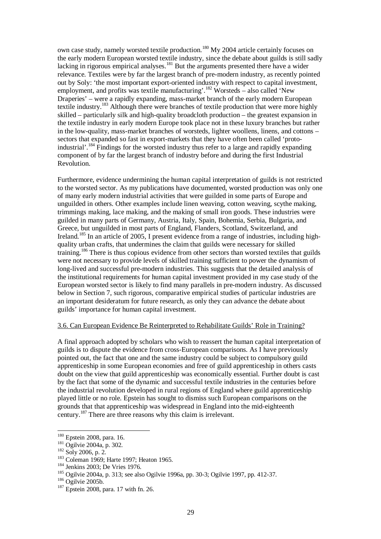own case study, namely worsted textile production.<sup>180</sup> My 2004 article certainly focuses on the early modern European worsted textile industry, since the debate about guilds is still sadly lacking in rigorous empirical analyses.<sup>181</sup> But the arguments presented there have a wider relevance. Textiles were by far the largest branch of pre-modern industry, as recently pointed out by Soly: 'the most important export-oriented industry with respect to capital investment, employment, and profits was textile manufacturing'.<sup>182</sup> Worsteds – also called 'New Draperies' – were a rapidly expanding, mass-market branch of the early modern European textile industry.<sup>183</sup> Although there were branches of textile production that were more highly skilled – particularly silk and high-quality broadcloth production – the greatest expansion in the textile industry in early modern Europe took place not in these luxury branches but rather in the low-quality, mass-market branches of worsteds, lighter woollens, linens, and cottons – sectors that expanded so fast in export-markets that they have often been called 'protoindustrial'.<sup>184</sup> Findings for the worsted industry thus refer to a large and rapidly expanding component of by far the largest branch of industry before and during the first Industrial Revolution.

Furthermore, evidence undermining the human capital interpretation of guilds is not restricted to the worsted sector. As my publications have documented, worsted production was only one of many early modern industrial activities that were guilded in some parts of Europe and unguilded in others. Other examples include linen weaving, cotton weaving, scythe making, trimmings making, lace making, and the making of small iron goods. These industries were guilded in many parts of Germany, Austria, Italy, Spain, Bohemia, Serbia, Bulgaria, and Greece, but unguilded in most parts of England, Flanders, Scotland, Switzerland, and Ireland.<sup>185</sup> In an article of 2005, I present evidence from a range of industries, including highquality urban crafts, that undermines the claim that guilds were necessary for skilled training.<sup>186</sup> There is thus copious evidence from other sectors than worsted textiles that guilds were not necessary to provide levels of skilled training sufficient to power the dynamism of long-lived and successful pre-modern industries. This suggests that the detailed analysis of the institutional requirements for human capital investment provided in my case study of the European worsted sector is likely to find many parallels in pre-modern industry. As discussed below in Section 7, such rigorous, comparative empirical studies of particular industries are an important desideratum for future research, as only they can advance the debate about guilds' importance for human capital investment.

#### 3.6. Can European Evidence Be Reinterpreted to Rehabilitate Guilds' Role in Training?

A final approach adopted by scholars who wish to reassert the human capital interpretation of guilds is to dispute the evidence from cross-European comparisons. As I have previously pointed out, the fact that one and the same industry could be subject to compulsory guild apprenticeship in some European economies and free of guild apprenticeship in others casts doubt on the view that guild apprenticeship was economically essential. Further doubt is cast by the fact that some of the dynamic and successful textile industries in the centuries before the industrial revolution developed in rural regions of England where guild apprenticeship played little or no role. Epstein has sought to dismiss such European comparisons on the grounds that that apprenticeship was widespread in England into the mid-eighteenth century.<sup>187</sup> There are three reasons why this claim is irrelevant.

 $\overline{a}$ <sup>180</sup> Epstein 2008, para. 16.

<sup>181</sup> Ogilvie 2004a, p. 302.

<sup>182</sup> Soly 2006, p. 2.

<sup>&</sup>lt;sup>183</sup> Coleman 1969; Harte 1997; Heaton 1965.

<sup>184</sup> Jenkins 2003; De Vries 1976.

<sup>185</sup> Ogilvie 2004a, p. 313; see also Ogilvie 1996a, pp. 30-3; Ogilvie 1997, pp. 412-37.

 $186$  Ogilvie 2005b.

<sup>187</sup> Epstein 2008, para. 17 with fn. 26.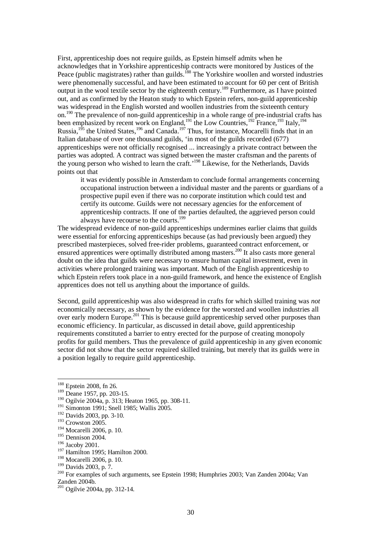First, apprenticeship does not require guilds, as Epstein himself admits when he acknowledges that in Yorkshire apprenticeship contracts were monitored by Justices of the Peace (public magistrates) rather than guilds.<sup>188</sup> The Yorkshire woollen and worsted industries were phenomenally successful, and have been estimated to account for 60 per cent of British output in the wool textile sector by the eighteenth century.<sup>189</sup> Furthermore, as I have pointed out, and as confirmed by the Heaton study to which Epstein refers, non-guild apprenticeship was widespread in the English worsted and woollen industries from the sixteenth century on.<sup>190</sup> The prevalence of non-guild apprenticeship in a whole range of pre-industrial crafts has been emphasized by recent work on England, $191$  the Low Countries,  $192$  France,  $193$  Italy,  $194$ Russia,<sup>195</sup> the United States,<sup>196</sup> and Canada.<sup>197</sup> Thus, for instance, Mocarelli finds that in an Italian database of over one thousand guilds, 'in most of the guilds recorded (677) apprenticeships were not officially recognised ... increasingly a private contract between the parties was adopted. A contract was signed between the master craftsman and the parents of the young person who wished to learn the craft.<sup>198</sup> Likewise, for the Netherlands, Davids points out that

it was evidently possible in Amsterdam to conclude formal arrangements concerning occupational instruction between a individual master and the parents or guardians of a prospective pupil even if there was no corporate institution which could test and certify its outcome. Guilds were not necessary agencies for the enforcement of apprenticeship contracts. If one of the parties defaulted, the aggrieved person could always have recourse to the courts.<sup>199</sup>

The widespread evidence of non-guild apprenticeships undermines earlier claims that guilds were essential for enforcing apprenticeships because (as had previously been argued) they prescribed masterpieces, solved free-rider problems, guaranteed contract enforcement, or ensured apprentices were optimally distributed among masters.<sup>200</sup> It also casts more general doubt on the idea that guilds were necessary to ensure human capital investment, even in activities where prolonged training was important. Much of the English apprenticeship to which Epstein refers took place in a non-guild framework, and hence the existence of English apprentices does not tell us anything about the importance of guilds.

Second, guild apprenticeship was also widespread in crafts for which skilled training was *not* economically necessary, as shown by the evidence for the worsted and woollen industries all over early modern Europe.<sup>201</sup> This is because guild apprenticeship served other purposes than economic efficiency. In particular, as discussed in detail above, guild apprenticeship requirements constituted a barrier to entry erected for the purpose of creating monopoly profits for guild members. Thus the prevalence of guild apprenticeship in any given economic sector did not show that the sector required skilled training, but merely that its guilds were in a position legally to require guild apprenticeship.

<sup>&</sup>lt;sup>188</sup> Epstein 2008, fn 26.

<sup>189</sup> Deane 1957, pp. 203-15.

 $190$  Ogilvie 2004a, p. 313; Heaton 1965, pp. 308-11.

<sup>&</sup>lt;sup>191</sup> Simonton 1991; Snell 1985; Wallis 2005.

<sup>192</sup> Davids 2003, pp. 3-10.

<sup>&</sup>lt;sup>193</sup> Crowston 2005.

<sup>194</sup> Mocarelli 2006, p. 10.

<sup>195</sup> Dennison 2004.

<sup>196</sup> Jacoby 2001.

<sup>&</sup>lt;sup>197</sup> Hamilton 1995; Hamilton 2000.

<sup>198</sup> Mocarelli 2006, p. 10.

<sup>199</sup> Davids 2003, p. 7.

<sup>200</sup> For examples of such arguments, see Epstein 1998; Humphries 2003; Van Zanden 2004a; Van Zanden 2004b.

<sup>&</sup>lt;sup>201</sup> Ogilvie 2004a, pp. 312-14.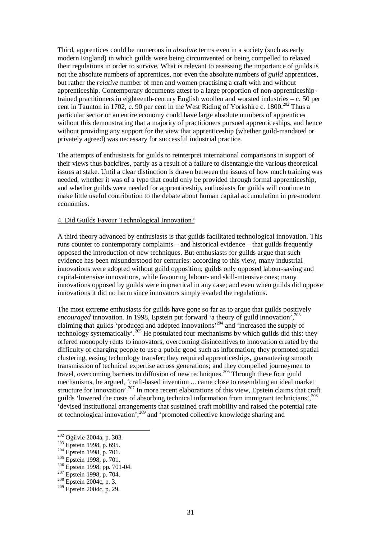Third, apprentices could be numerous in *absolute* terms even in a society (such as early modern England) in which guilds were being circumvented or being compelled to relaxed their regulations in order to survive. What is relevant to assessing the importance of guilds is not the absolute numbers of apprentices, nor even the absolute numbers of *guild* apprentices, but rather the *relative* number of men and women practising a craft with and without apprenticeship. Contemporary documents attest to a large proportion of non-apprenticeshiptrained practitioners in eighteenth-century English woollen and worsted industries – c. 50 per cent in Taunton in 1702, c. 90 per cent in the West Riding of Yorkshire c.  $1800^{202}$  Thus a particular sector or an entire economy could have large absolute numbers of apprentices without this demonstrating that a majority of practitioners pursued apprenticeships, and hence without providing any support for the view that apprenticeship (whether guild-mandated or privately agreed) was necessary for successful industrial practice.

The attempts of enthusiasts for guilds to reinterpret international comparisons in support of their views thus backfires, partly as a result of a failure to disentangle the various theoretical issues at stake. Until a clear distinction is drawn between the issues of how much training was needed, whether it was of a type that could only be provided through formal apprenticeship, and whether guilds were needed for apprenticeship, enthusiasts for guilds will continue to make little useful contribution to the debate about human capital accumulation in pre-modern economies.

#### 4. Did Guilds Favour Technological Innovation?

A third theory advanced by enthusiasts is that guilds facilitated technological innovation. This runs counter to contemporary complaints – and historical evidence – that guilds frequently opposed the introduction of new techniques. But enthusiasts for guilds argue that such evidence has been misunderstood for centuries: according to this view, many industrial innovations were adopted without guild opposition; guilds only opposed labour-saving and capital-intensive innovations, while favouring labour- and skill-intensive ones; many innovations opposed by guilds were impractical in any case; and even when guilds did oppose innovations it did no harm since innovators simply evaded the regulations.

The most extreme enthusiasts for guilds have gone so far as to argue that guilds positively *encouraged* innovation. In 1998, Epstein put forward 'a theory of guild innovation',<sup>203</sup> claiming that guilds 'produced and adopted innovations'<sup>204</sup> and 'increased the supply of technology systematically'.<sup>205</sup> He postulated four mechanisms by which guilds did this: they offered monopoly rents to innovators, overcoming disincentives to innovation created by the difficulty of charging people to use a public good such as information; they promoted spatial clustering, easing technology transfer; they required apprenticeships, guaranteeing smooth transmission of technical expertise across generations; and they compelled journeymen to travel, overcoming barriers to diffusion of new techniques.<sup>206</sup> Through these four guild mechanisms, he argued, 'craft-based invention ... came close to resembling an ideal market structure for innovation'.<sup>207</sup> In more recent elaborations of this view, Epstein claims that craft guilds 'lowered the costs of absorbing technical information from immigrant technicians',<sup>208</sup> 'devised institutional arrangements that sustained craft mobility and raised the potential rate of technological innovation',<sup>209</sup> and 'promoted collective knowledge sharing and

 $\overline{a}$ <sup>202</sup> Ogilvie 2004a, p. 303.

<sup>203</sup> Epstein 1998, p. 695.

<sup>&</sup>lt;sup>204</sup> Epstein 1998, p. 701.

<sup>&</sup>lt;sup>205</sup> Epstein 1998, p. 701.

<sup>206</sup> Epstein 1998, pp. 701-04.

 $207$  Epstein 1998, p. 704.

 $^{208}$  Epstein 2004c, p. 3.

 $209$  Epstein 2004c, p. 29.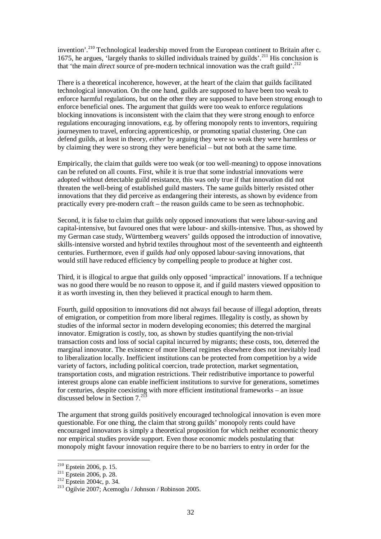invention'.<sup>210</sup> Technological leadership moved from the European continent to Britain after c. 1675, he argues, 'largely thanks to skilled individuals trained by guilds'.<sup>211</sup> His conclusion is that 'the main *direct* source of pre-modern technical innovation was the craft guild'.<sup>212</sup>

There is a theoretical incoherence, however, at the heart of the claim that guilds facilitated technological innovation. On the one hand, guilds are supposed to have been too weak to enforce harmful regulations, but on the other they are supposed to have been strong enough to enforce beneficial ones. The argument that guilds were too weak to enforce regulations blocking innovations is inconsistent with the claim that they were strong enough to enforce regulations encouraging innovations, e.g. by offering monopoly rents to inventors, requiring journeymen to travel, enforcing apprenticeship, or promoting spatial clustering. One can defend guilds, at least in theory, *either* by arguing they were so weak they were harmless *or* by claiming they were so strong they were beneficial – but not both at the same time.

Empirically, the claim that guilds were too weak (or too well-meaning) to oppose innovations can be refuted on all counts. First, while it is true that some industrial innovations were adopted without detectable guild resistance, this was only true if that innovation did not threaten the well-being of established guild masters. The same guilds bitterly resisted other innovations that they did perceive as endangering their interests, as shown by evidence from practically every pre-modern craft – the reason guilds came to be seen as technophobic.

Second, it is false to claim that guilds only opposed innovations that were labour-saving and capital-intensive, but favoured ones that were labour- and skills-intensive. Thus, as showed by my German case study, Württemberg weavers' guilds opposed the introduction of innovative, skills-intensive worsted and hybrid textiles throughout most of the seventeenth and eighteenth centuries. Furthermore, even if guilds *had* only opposed labour-saving innovations, that would still have reduced efficiency by compelling people to produce at higher cost.

Third, it is illogical to argue that guilds only opposed 'impractical' innovations. If a technique was no good there would be no reason to oppose it, and if guild masters viewed opposition to it as worth investing in, then they believed it practical enough to harm them.

Fourth, guild opposition to innovations did not always fail because of illegal adoption, threats of emigration, or competition from more liberal regimes. Illegality is costly, as shown by studies of the informal sector in modern developing economies; this deterred the marginal innovator. Emigration is costly, too, as shown by studies quantifying the non-trivial transaction costs and loss of social capital incurred by migrants; these costs, too, deterred the marginal innovator. The existence of more liberal regimes elsewhere does not inevitably lead to liberalization locally. Inefficient institutions can be protected from competition by a wide variety of factors, including political coercion, trade protection, market segmentation, transportation costs, and migration restrictions. Their redistributive importance to powerful interest groups alone can enable inefficient institutions to survive for generations, sometimes for centuries, despite coexisting with more efficient institutional frameworks – an issue discussed below in Section  $7.^{213}$ 

The argument that strong guilds positively encouraged technological innovation is even more questionable. For one thing, the claim that strong guilds' monopoly rents could have encouraged innovators is simply a theoretical proposition for which neither economic theory nor empirical studies provide support. Even those economic models postulating that monopoly might favour innovation require there to be no barriers to entry in order for the

 $210$  Epstein 2006, p. 15.

 $^{211}$  Epstein 2006, p. 28.

<sup>&</sup>lt;sup>212</sup> Epstein 2004c, p. 34.

<sup>213</sup> Ogilvie 2007; Acemoglu / Johnson / Robinson 2005.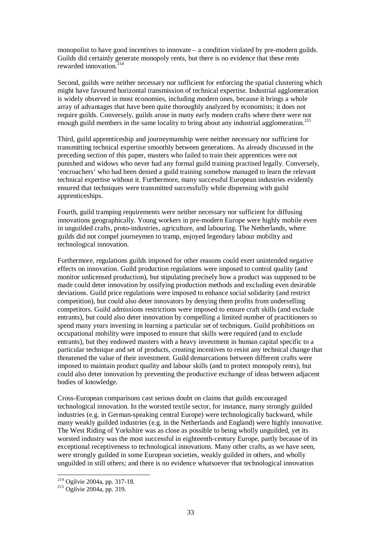monopolist to have good incentives to innovate – a condition violated by pre-modern guilds. Guilds did certainly generate monopoly rents, but there is no evidence that these rents rewarded innovation.<sup>214</sup>

Second, guilds were neither necessary nor sufficient for enforcing the spatial clustering which might have favoured horizontal transmission of technical expertise. Industrial agglomeration is widely observed in most economies, including modern ones, because it brings a whole array of advantages that have been quite thoroughly analyzed by economists; it does not require guilds. Conversely, guilds arose in many early modern crafts where there were not enough guild members in the same locality to bring about any industrial agglomeration.<sup>215</sup>

Third, guild apprenticeship and journeymanship were neither necessary nor sufficient for transmitting technical expertise smoothly between generations. As already discussed in the preceding section of this paper, masters who failed to train their apprentices were not punished and widows who never had any formal guild training practised legally. Conversely, 'encroachers' who had been denied a guild training somehow managed to learn the relevant technical expertise without it. Furthermore, many successful European industries evidently ensured that techniques were transmitted successfully while dispensing with guild apprenticeships.

Fourth, guild tramping requirements were neither necessary nor sufficient for diffusing innovations geographically. Young workers in pre-modern Europe were highly mobile even in unguilded crafts, proto-industries, agriculture, and labouring. The Netherlands, where guilds did not compel journeymen to tramp, enjoyed legendary labour mobility and technological innovation.

Furthermore, regulations guilds imposed for other reasons could exert unintended negative effects on innovation. Guild production regulations were imposed to control quality (and monitor unlicensed production), but stipulating precisely how a product was supposed to be made could deter innovation by ossifying production methods and excluding even desirable deviations. Guild price regulations were imposed to enhance social solidarity (and restrict competition), but could also deter innovators by denying them profits from underselling competitors. Guild admissions restrictions were imposed to ensure craft skills (and exclude entrants), but could also deter innovation by compelling a limited number of practitioners to spend many years investing in learning a particular set of techniques. Guild prohibitions on occupational mobility were imposed to ensure that skills were required (and to exclude entrants), but they endowed masters with a heavy investment in human capital specific to a particular technique and set of products, creating incentives to resist any technical change that threatened the value of their investment. Guild demarcations between different crafts were imposed to maintain product quality and labour skills (and to protect monopoly rents), but could also deter innovation by preventing the productive exchange of ideas between adjacent bodies of knowledge.

Cross-European comparisons cast serious doubt on claims that guilds encouraged technological innovation. In the worsted textile sector, for instance, many strongly guilded industries (e.g. in German-speaking central Europe) were technologically backward, while many weakly guilded industries (e.g. in the Netherlands and England) were highly innovative. The West Riding of Yorkshire was as close as possible to being wholly unguilded, yet its worsted industry was the most successful in eighteenth-century Europe, partly because of its exceptional receptiveness to technological innovations. Many other crafts, as we have seen, were strongly guilded in some European societies, weakly guilded in others, and wholly unguilded in still others; and there is no evidence whatsoever that technological innovation

 $2^{14}$  Ogilvie 2004a, pp. 317-18.

<sup>&</sup>lt;sup>215</sup> Ogilvie 2004a, pp. 319.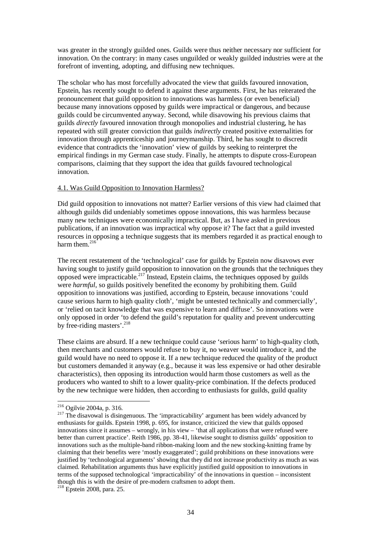was greater in the strongly guilded ones. Guilds were thus neither necessary nor sufficient for innovation. On the contrary: in many cases unguilded or weakly guilded industries were at the forefront of inventing, adopting, and diffusing new techniques.

The scholar who has most forcefully advocated the view that guilds favoured innovation, Epstein, has recently sought to defend it against these arguments. First, he has reiterated the pronouncement that guild opposition to innovations was harmless (or even beneficial) because many innovations opposed by guilds were impractical or dangerous, and because guilds could be circumvented anyway. Second, while disavowing his previous claims that guilds *directly* favoured innovation through monopolies and industrial clustering, he has repeated with still greater conviction that guilds *indirectly* created positive externalities for innovation through apprenticeship and journeymanship. Third, he has sought to discredit evidence that contradicts the 'innovation' view of guilds by seeking to reinterpret the empirical findings in my German case study. Finally, he attempts to dispute cross-European comparisons, claiming that they support the idea that guilds favoured technological innovation.

## 4.1. Was Guild Opposition to Innovation Harmless?

Did guild opposition to innovations not matter? Earlier versions of this view had claimed that although guilds did undeniably sometimes oppose innovations, this was harmless because many new techniques were economically impractical. But, as I have asked in previous publications, if an innovation was impractical why oppose it? The fact that a guild invested resources in opposing a technique suggests that its members regarded it as practical enough to harm them. $^{216}$ 

The recent restatement of the 'technological' case for guilds by Epstein now disavows ever having sought to justify guild opposition to innovation on the grounds that the techniques they opposed were impracticable.<sup>217</sup> Instead, Epstein claims, the techniques opposed by guilds were *harmful*, so guilds positively benefited the economy by prohibiting them. Guild opposition to innovations was justified, according to Epstein, because innovations 'could cause serious harm to high quality cloth', 'might be untested technically and commercially', or 'relied on tacit knowledge that was expensive to learn and diffuse'. So innovations were only opposed in order 'to defend the guild's reputation for quality and prevent undercutting by free-riding masters'.<sup>218</sup>

These claims are absurd. If a new technique could cause 'serious harm' to high-quality cloth, then merchants and customers would refuse to buy it, no weaver would introduce it, and the guild would have no need to oppose it. If a new technique reduced the quality of the product but customers demanded it anyway (e.g., because it was less expensive or had other desirable characteristics), then opposing its introduction would harm those customers as well as the producers who wanted to shift to a lower quality-price combination. If the defects produced by the new technique were hidden, then according to enthusiasts for guilds, guild quality

<sup>&</sup>lt;sup>216</sup> Ogilvie 2004a, p. 316.

 $2^{17}$  The disavowal is disingenuous. The 'impracticability' argument has been widely advanced by enthusiasts for guilds. Epstein 1998, p. 695, for instance, criticized the view that guilds opposed innovations since it assumes – wrongly, in his view – 'that all applications that were refused were better than current practice'. Reith 1986, pp. 38-41, likewise sought to dismiss guilds' opposition to innovations such as the multiple-band ribbon-making loom and the new stocking-knitting frame by claiming that their benefits were 'mostly exaggerated'; guild prohibitions on these innovations were justified by 'technological arguments' showing that they did not increase productivity as much as was claimed. Rehabilitation arguments thus have explicitly justified guild opposition to innovations in terms of the supposed technological 'impracticability' of the innovations in question – inconsistent though this is with the desire of pre-modern craftsmen to adopt them.

<sup>&</sup>lt;sup>218</sup> Epstein 2008, para. 25.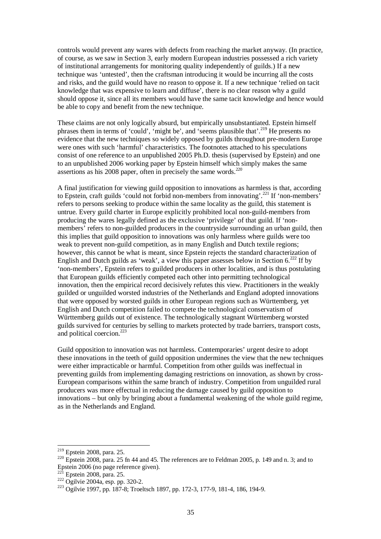controls would prevent any wares with defects from reaching the market anyway. (In practice, of course, as we saw in Section 3, early modern European industries possessed a rich variety of institutional arrangements for monitoring quality independently of guilds.) If a new technique was 'untested', then the craftsman introducing it would be incurring all the costs and risks, and the guild would have no reason to oppose it. If a new technique 'relied on tacit knowledge that was expensive to learn and diffuse', there is no clear reason why a guild should oppose it, since all its members would have the same tacit knowledge and hence would be able to copy and benefit from the new technique.

These claims are not only logically absurd, but empirically unsubstantiated. Epstein himself phrases them in terms of 'could', 'might be', and 'seems plausible that'.<sup>219</sup> He presents no evidence that the new techniques so widely opposed by guilds throughout pre-modern Europe were ones with such 'harmful' characteristics. The footnotes attached to his speculations consist of one reference to an unpublished 2005 Ph.D. thesis (supervised by Epstein) and one to an unpublished 2006 working paper by Epstein himself which simply makes the same assertions as his 2008 paper, often in precisely the same words. $^{220}$ 

A final justification for viewing guild opposition to innovations as harmless is that, according to Epstein, craft guilds 'could not forbid non-members from innovating'.<sup>221</sup> If 'non-members' refers to persons seeking to produce within the same locality as the guild, this statement is untrue. Every guild charter in Europe explicitly prohibited local non-guild-members from producing the wares legally defined as the exclusive 'privilege' of that guild. If 'nonmembers<sup>7</sup> refers to non-guilded producers in the countryside surrounding an urban guild, then this implies that guild opposition to innovations was only harmless where guilds were too weak to prevent non-guild competition, as in many English and Dutch textile regions; however, this cannot be what is meant, since Epstein rejects the standard characterization of English and Dutch guilds as 'weak', a view this paper assesses below in Section  $6.^{222}$  If by 'non-members', Epstein refers to guilded producers in other localities, and is thus postulating that European guilds efficiently competed each other into permitting technological innovation, then the empirical record decisively refutes this view. Practitioners in the weakly guilded or unguilded worsted industries of the Netherlands and England adopted innovations that were opposed by worsted guilds in other European regions such as Württemberg, yet English and Dutch competition failed to compete the technological conservatism of Württemberg guilds out of existence. The technologically stagnant Württemberg worsted guilds survived for centuries by selling to markets protected by trade barriers, transport costs, and political coercion.<sup>223</sup>

Guild opposition to innovation was not harmless. Contemporaries' urgent desire to adopt these innovations in the teeth of guild opposition undermines the view that the new techniques were either impracticable or harmful. Competition from other guilds was ineffectual in preventing guilds from implementing damaging restrictions on innovation, as shown by cross-European comparisons within the same branch of industry. Competition from unguilded rural producers was more effectual in reducing the damage caused by guild opposition to innovations – but only by bringing about a fundamental weakening of the whole guild regime, as in the Netherlands and England.

 $219$  Epstein 2008, para. 25.

<sup>&</sup>lt;sup>220</sup> Epstein 2008, para. 25 fn 44 and 45. The references are to Feldman 2005, p. 149 and n. 3; and to Epstein 2006 (no page reference given).

Epstein 2008, para. 25.

 $222$  Ogilvie 2004a, esp. pp. 320-2.

<sup>223</sup> Ogilvie 1997, pp. 187-8; Troeltsch 1897, pp. 172-3, 177-9, 181-4, 186, 194-9.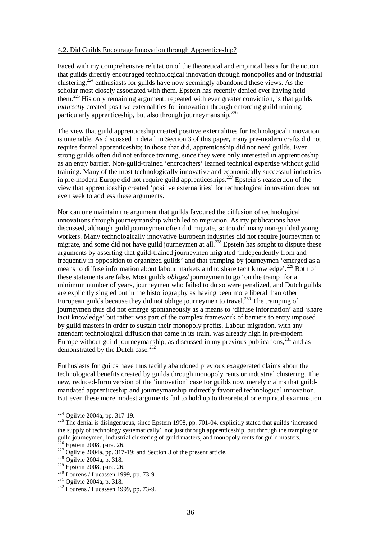## 4.2. Did Guilds Encourage Innovation through Apprenticeship?

Faced with my comprehensive refutation of the theoretical and empirical basis for the notion that guilds directly encouraged technological innovation through monopolies and or industrial clustering,<sup>224</sup> enthusiasts for guilds have now seemingly abandoned these views. As the scholar most closely associated with them, Epstein has recently denied ever having held them.<sup>225</sup> His only remaining argument, repeated with ever greater conviction, is that guilds *indirectly* created positive externalities for innovation through enforcing guild training, particularly apprenticeship, but also through journeymanship.<sup>226</sup>

The view that guild apprenticeship created positive externalities for technological innovation is untenable. As discussed in detail in Section 3 of this paper, many pre-modern crafts did not require formal apprenticeship; in those that did, apprenticeship did not need guilds. Even strong guilds often did not enforce training, since they were only interested in apprenticeship as an entry barrier. Non-guild-trained 'encroachers' learned technical expertise without guild training. Many of the most technologically innovative and economically successful industries in pre-modern Europe did not require guild apprenticeships.<sup>227</sup> Epstein's reassertion of the view that apprenticeship created 'positive externalities' for technological innovation does not even seek to address these arguments.

Nor can one maintain the argument that guilds favoured the diffusion of technological innovations through journeymanship which led to migration. As my publications have discussed, although guild journeymen often did migrate, so too did many non-guilded young workers. Many technologically innovative European industries did not require journeymen to migrate, and some did not have guild journeymen at all.<sup>228</sup> Epstein has sought to dispute these arguments by asserting that guild-trained journeymen migrated 'independently from and frequently in opposition to organized guilds' and that tramping by journeymen 'emerged as a means to diffuse information about labour markets and to share tacit knowledge'.<sup>229</sup> Both of these statements are false. Most guilds *obliged* journeymen to go 'on the tramp' for a minimum number of years, journeymen who failed to do so were penalized, and Dutch guilds are explicitly singled out in the historiography as having been more liberal than other European guilds because they did not oblige journeymen to travel.<sup>230</sup> The tramping of journeymen thus did not emerge spontaneously as a means to 'diffuse information' and 'share tacit knowledge' but rather was part of the complex framework of barriers to entry imposed by guild masters in order to sustain their monopoly profits. Labour migration, with any attendant technological diffusion that came in its train, was already high in pre-modern Europe without guild journeymanship, as discussed in my previous publications, $^{231}$  and as demonstrated by the Dutch case. $232$ 

Enthusiasts for guilds have thus tacitly abandoned previous exaggerated claims about the technological benefits created by guilds through monopoly rents or industrial clustering. The new, reduced-form version of the 'innovation' case for guilds now merely claims that guildmandated apprenticeship and journeymanship indirectly favoured technological innovation. But even these more modest arguments fail to hold up to theoretical or empirical examination.

<sup>&</sup>lt;sup>224</sup> Ogilvie 2004a, pp. 317-19.

<sup>&</sup>lt;sup>225</sup> The denial is disingenuous, since Epstein 1998, pp. 701-04, explicitly stated that guilds 'increased the supply of technology systematically', not just through apprenticeship, but through the tramping of guild journeymen, industrial clustering of guild masters, and monopoly rents for guild masters.  $226$  Epstein 2008, para. 26.

 $227$  Ogilvie 2004a, pp. 317-19; and Section 3 of the present article.

<sup>228</sup> Ogilvie 2004a, p. 318.

<sup>229</sup> Epstein 2008, para. 26.

<sup>230</sup> Lourens / Lucassen 1999, pp. 73-9.

<sup>&</sup>lt;sup>231</sup> Ogilvie 2004a, p. 318.

 $232$  Lourens / Lucassen 1999, pp. 73-9.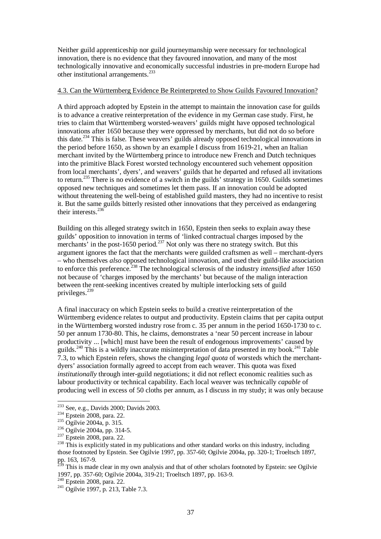Neither guild apprenticeship nor guild journeymanship were necessary for technological innovation, there is no evidence that they favoured innovation, and many of the most technologically innovative and economically successful industries in pre-modern Europe had other institutional arrangements.<sup>233</sup>

## 4.3. Can the Württemberg Evidence Be Reinterpreted to Show Guilds Favoured Innovation?

A third approach adopted by Epstein in the attempt to maintain the innovation case for guilds is to advance a creative reinterpretation of the evidence in my German case study. First, he tries to claim that Württemberg worsted-weavers' guilds might have opposed technological innovations after 1650 because they were oppressed by merchants, but did not do so before this date.<sup>234</sup> This is false. These weavers' guilds already opposed technological innovations in the period before 1650, as shown by an example I discuss from 1619-21, when an Italian merchant invited by the Württemberg prince to introduce new French and Dutch techniques into the primitive Black Forest worsted technology encountered such vehement opposition from local merchants', dyers', and weavers' guilds that he departed and refused all invitations to return.<sup>235</sup> There is no evidence of a switch in the guilds' strategy in 1650. Guilds sometimes opposed new techniques and sometimes let them pass. If an innovation could be adopted without threatening the well-being of established guild masters, they had no incentive to resist it. But the same guilds bitterly resisted other innovations that they perceived as endangering their interests.<sup>236</sup>

Building on this alleged strategy switch in 1650, Epstein then seeks to explain away these guilds' opposition to innovation in terms of 'linked contractual charges imposed by the merchants' in the post-1650 period.<sup>237</sup> Not only was there no strategy switch. But this argument ignores the fact that the merchants were guilded craftsmen as well – merchant-dyers – who themselves *also* opposed technological innovation, and used their guild-like association to enforce this preference.<sup>238</sup> The technological sclerosis of the industry *intensified* after 1650 not because of 'charges imposed by the merchants' but because of the malign interaction between the rent-seeking incentives created by multiple interlocking sets of guild privileges. $^{239}$ 

A final inaccuracy on which Epstein seeks to build a creative reinterpretation of the Württemberg evidence relates to output and productivity. Epstein claims that per capita output in the Württemberg worsted industry rose from c. 35 per annum in the period 1650-1730 to c. 50 per annum 1730-80. This, he claims, demonstrates a 'near 50 percent increase in labour productivity ... [which] must have been the result of endogenous improvements' caused by guilds.<sup>240</sup> This is a wildly inaccurate misinterpretation of data presented in my book.<sup>241</sup> Table 7.3, to which Epstein refers, shows the changing *legal quota* of worsteds which the merchantdyers' association formally agreed to accept from each weaver. This quota was fixed *institutionally* through inter-guild negotiations; it did not reflect economic realities such as labour productivity or technical capability. Each local weaver was technically *capable* of producing well in excess of 50 cloths per annum, as I discuss in my study; it was only because

 $2^{233}$  See, e.g., Davids 2000; Davids 2003.

<sup>234</sup> Epstein 2008, para. 22.

<sup>&</sup>lt;sup>235</sup> Ogilvie 2004a, p. 315.

<sup>&</sup>lt;sup>236</sup> Ogilvie 2004a, pp. 314-5.

<sup>&</sup>lt;sup>237</sup> Epstein 2008, para. 22.

<sup>&</sup>lt;sup>238</sup> This is explicitly stated in my publications and other standard works on this industry, including those footnoted by Epstein. See Ogilvie 1997, pp. 357-60; Ogilvie 2004a, pp. 320-1; Troeltsch 1897, pp. 163, 167-9.

<sup>&</sup>lt;sup>239</sup> This is made clear in my own analysis and that of other scholars footnoted by Epstein: see Ogilvie 1997, pp. 357-60; Ogilvie 2004a, 319-21; Troeltsch 1897, pp. 163-9.

 $240$  Epstein 2008, para. 22.

<sup>&</sup>lt;sup>241</sup> Ogilvie 1997, p. 213, Table 7.3.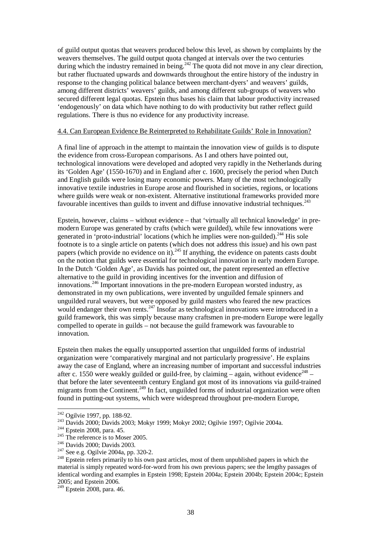of guild output quotas that weavers produced below this level, as shown by complaints by the weavers themselves. The guild output quota changed at intervals over the two centuries during which the industry remained in being.<sup>242</sup> The quota did not move in any clear direction, but rather fluctuated upwards and downwards throughout the entire history of the industry in response to the changing political balance between merchant-dyers' and weavers' guilds, among different districts' weavers' guilds, and among different sub-groups of weavers who secured different legal quotas. Epstein thus bases his claim that labour productivity increased 'endogenously' on data which have nothing to do with productivity but rather reflect guild regulations. There is thus no evidence for any productivity increase.

## 4.4. Can European Evidence Be Reinterpreted to Rehabilitate Guilds' Role in Innovation?

A final line of approach in the attempt to maintain the innovation view of guilds is to dispute the evidence from cross-European comparisons. As I and others have pointed out, technological innovations were developed and adopted very rapidly in the Netherlands during its 'Golden Age' (1550-1670) and in England after c. 1600, precisely the period when Dutch and English guilds were losing many economic powers. Many of the most technologically innovative textile industries in Europe arose and flourished in societies, regions, or locations where guilds were weak or non-existent. Alternative institutional frameworks provided more favourable incentives than guilds to invent and diffuse innovative industrial techniques.<sup>243</sup>

Epstein, however, claims – without evidence – that 'virtually all technical knowledge' in premodern Europe was generated by crafts (which were guilded), while few innovations were generated in 'proto-industrial' locations (which he implies were non-guilded).<sup>244</sup> His sole footnote is to a single article on patents (which does not address this issue) and his own past papers (which provide no evidence on it).<sup>245</sup> If anything, the evidence on patents casts doubt on the notion that guilds were essential for technological innovation in early modern Europe. In the Dutch 'Golden Age', as Davids has pointed out, the patent represented an effective alternative to the guild in providing incentives for the invention and diffusion of innovations.<sup>246</sup> Important innovations in the pre-modern European worsted industry, as demonstrated in my own publications, were invented by unguilded female spinners and unguilded rural weavers, but were opposed by guild masters who feared the new practices would endanger their own rents.<sup>247</sup> Insofar as technological innovations were introduced in a guild framework, this was simply because many craftsmen in pre-modern Europe were legally compelled to operate in guilds – not because the guild framework was favourable to innovation.

Epstein then makes the equally unsupported assertion that unguilded forms of industrial organization were 'comparatively marginal and not particularly progressive'. He explains away the case of England, where an increasing number of important and successful industries after c. 1550 were weakly guilded or guild-free, by claiming  $-$  again, without evidence<sup>248</sup> – that before the later seventeenth century England got most of its innovations via guild-trained migrants from the Continent.<sup>249</sup> In fact, unguilded forms of industrial organization were often found in putting-out systems, which were widespread throughout pre-modern Europe,

<sup>&</sup>lt;sup>242</sup> Ogilvie 1997, pp. 188-92.

<sup>&</sup>lt;sup>243</sup> Davids 2000; Davids 2003; Mokyr 1999; Mokyr 2002; Ogilvie 1997; Ogilvie 2004a.

<sup>&</sup>lt;sup>244</sup> Epstein 2008, para. 45.

 $245$  The reference is to Moser 2005.

<sup>246</sup> Davids 2000; Davids 2003.

<sup>247</sup> See e.g. Ogilvie 2004a, pp. 320-2.

 $248$  Epstein refers primarily to his own past articles, most of them unpublished papers in which the material is simply repeated word-for-word from his own previous papers; see the lengthy passages of identical wording and examples in Epstein 1998; Epstein 2004a; Epstein 2004b; Epstein 2004c; Epstein 2005; and Epstein 2006.

 $249$  Epstein 2008, para. 46.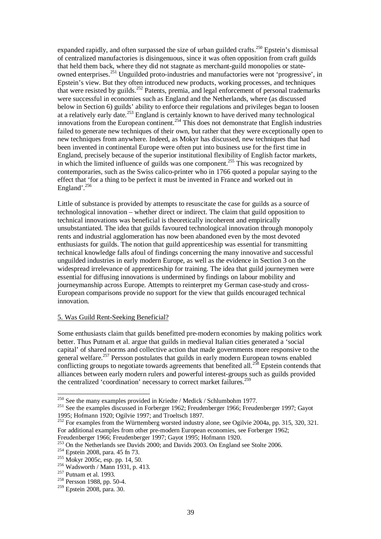expanded rapidly, and often surpassed the size of urban guilded crafts.<sup>250</sup> Epstein's dismissal of centralized manufactories is disingenuous, since it was often opposition from craft guilds that held them back, where they did not stagnate as merchant-guild monopolies or stateowned enterprises.<sup>251</sup> Unguilded proto-industries and manufactories were not 'progressive', in Epstein's view. But they often introduced new products, working processes, and techniques that were resisted by guilds.<sup>252</sup> Patents, premia, and legal enforcement of personal trademarks were successful in economies such as England and the Netherlands, where (as discussed below in Section 6) guilds' ability to enforce their regulations and privileges began to loosen at a relatively early date.<sup>253</sup> England is certainly known to have derived many technological innovations from the European continent.<sup>254</sup> This does not demonstrate that English industries failed to generate new techniques of their own, but rather that they were exceptionally open to new techniques from anywhere. Indeed, as Mokyr has discussed, new techniques that had been invented in continental Europe were often put into business use for the first time in England, precisely because of the superior institutional flexibility of English factor markets, in which the limited influence of guilds was one component.<sup>255</sup> This was recognized by contemporaries, such as the Swiss calico-printer who in 1766 quoted a popular saying to the effect that 'for a thing to be perfect it must be invented in France and worked out in England'.<sup>256</sup>

Little of substance is provided by attempts to resuscitate the case for guilds as a source of technological innovation – whether direct or indirect. The claim that guild opposition to technical innovations was beneficial is theoretically incoherent and empirically unsubstantiated. The idea that guilds favoured technological innovation through monopoly rents and industrial agglomeration has now been abandoned even by the most devoted enthusiasts for guilds. The notion that guild apprenticeship was essential for transmitting technical knowledge falls afoul of findings concerning the many innovative and successful unguilded industries in early modern Europe, as well as the evidence in Section 3 on the widespread irrelevance of apprenticeship for training. The idea that guild journeymen were essential for diffusing innovations is undermined by findings on labour mobility and journeymanship across Europe. Attempts to reinterpret my German case-study and cross-European comparisons provide no support for the view that guilds encouraged technical innovation.

#### 5. Was Guild Rent-Seeking Beneficial?

Some enthusiasts claim that guilds benefitted pre-modern economies by making politics work better. Thus Putnam et al. argue that guilds in medieval Italian cities generated a 'social capital' of shared norms and collective action that made governments more responsive to the general welfare.<sup>257</sup> Persson postulates that guilds in early modern European towns enabled conflicting groups to negotiate towards agreements that benefited all.<sup>258</sup> Epstein contends that alliances between early modern rulers and powerful interest-groups such as guilds provided the centralized 'coordination' necessary to correct market failures.<sup>259</sup>

<sup>&</sup>lt;sup>250</sup> See the many examples provided in Kriedte / Medick / Schlumbohm 1977.

<sup>&</sup>lt;sup>251</sup> See the examples discussed in Forberger 1962; Freudenberger 1966; Freudenberger 1997; Gayot 1995; Hofmann 1920; Ogilvie 1997; and Troeltsch 1897.

 $^{252}$  For examples from the Württemberg worsted industry alone, see Ogilvie 2004a, pp. 315, 320, 321. For additional examples from other pre-modern European economies, see Forberger 1962; Freudenberger 1966; Freudenberger 1997; Gayot 1995; Hofmann 1920.

<sup>253</sup> On the Netherlands see Davids 2000; and Davids 2003. On England see Stolte 2006.

<sup>254</sup> Epstein 2008, para. 45 fn 73.

<sup>255</sup> Mokyr 2005c, esp. pp. 14, 50.

<sup>256</sup> Wadsworth / Mann 1931, p. 413.

 $257$  Putnam et al. 1993.

<sup>&</sup>lt;sup>258</sup> Persson 1988, pp. 50-4.

<sup>259</sup> Epstein 2008, para. 30.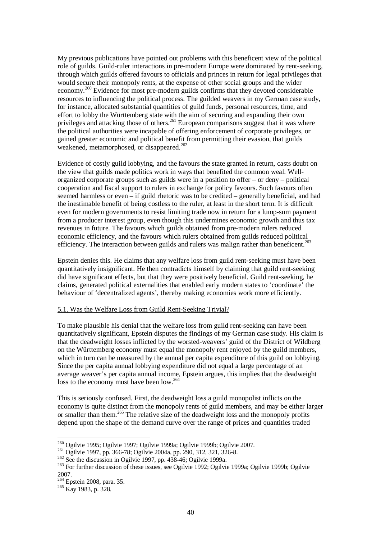My previous publications have pointed out problems with this beneficent view of the political role of guilds. Guild-ruler interactions in pre-modern Europe were dominated by rent-seeking, through which guilds offered favours to officials and princes in return for legal privileges that would secure their monopoly rents, at the expense of other social groups and the wider economy.<sup>260</sup> Evidence for most pre-modern guilds confirms that they devoted considerable resources to influencing the political process. The guilded weavers in my German case study, for instance, allocated substantial quantities of guild funds, personal resources, time, and effort to lobby the Württemberg state with the aim of securing and expanding their own privileges and attacking those of others.<sup>261</sup> European comparisons suggest that it was where the political authorities were incapable of offering enforcement of corporate privileges, or gained greater economic and political benefit from permitting their evasion, that guilds weakened, metamorphosed, or disappeared.<sup>262</sup>

Evidence of costly guild lobbying, and the favours the state granted in return, casts doubt on the view that guilds made politics work in ways that benefited the common weal. Wellorganized corporate groups such as guilds were in a position to offer – or deny – political cooperation and fiscal support to rulers in exchange for policy favours. Such favours often seemed harmless or even – if guild rhetoric was to be credited – generally beneficial, and had the inestimable benefit of being costless to the ruler, at least in the short term. It is difficult even for modern governments to resist limiting trade now in return for a lump-sum payment from a producer interest group, even though this undermines economic growth and thus tax revenues in future. The favours which guilds obtained from pre-modern rulers reduced economic efficiency, and the favours which rulers obtained from guilds reduced political efficiency. The interaction between guilds and rulers was malign rather than beneficent.<sup>263</sup>

Epstein denies this. He claims that any welfare loss from guild rent-seeking must have been quantitatively insignificant. He then contradicts himself by claiming that guild rent-seeking did have significant effects, but that they were positively beneficial. Guild rent-seeking, he claims, generated political externalities that enabled early modern states to 'coordinate' the behaviour of 'decentralized agents', thereby making economies work more efficiently.

## 5.1. Was the Welfare Loss from Guild Rent-Seeking Trivial?

To make plausible his denial that the welfare loss from guild rent-seeking can have been quantitatively significant, Epstein disputes the findings of my German case study. His claim is that the deadweight losses inflicted by the worsted-weavers' guild of the District of Wildberg on the Württemberg economy must equal the monopoly rent enjoyed by the guild members, which in turn can be measured by the annual per capita expenditure of this guild on lobbying. Since the per capita annual lobbying expenditure did not equal a large percentage of an average weaver's per capita annual income, Epstein argues, this implies that the deadweight loss to the economy must have been low.<sup>264</sup>

This is seriously confused. First, the deadweight loss a guild monopolist inflicts on the economy is quite distinct from the monopoly rents of guild members, and may be either larger or smaller than them.<sup>265</sup> The relative size of the deadweight loss and the monopoly profits depend upon the shape of the demand curve over the range of prices and quantities traded

 $^{260}$  Ogilvie 1995; Ogilvie 1997; Ogilvie 1999a; Ogilvie 1999b; Ogilvie 2007.

<sup>&</sup>lt;sup>261</sup> Ogilvie 1997, pp. 366-78; Ogilvie 2004a, pp. 290, 312, 321, 326-8.

 $262$  See the discussion in Ogilvie 1997, pp. 438-46; Ogilvie 1999a.

<sup>&</sup>lt;sup>263</sup> For further discussion of these issues, see Ogilvie 1992; Ogilvie 1999a; Ogilvie 1999b; Ogilvie 2007.

<sup>&</sup>lt;sup>264</sup> Epstein 2008, para. 35.

 $^{265}$  Kay 1983, p. 328.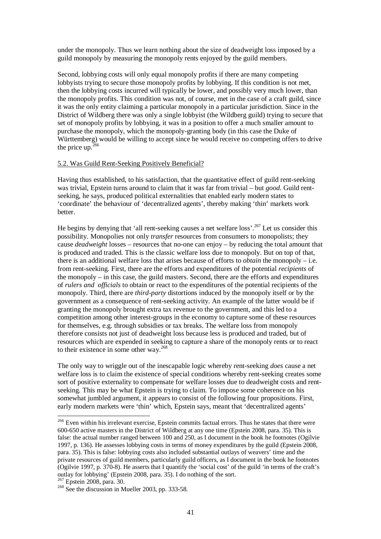under the monopoly. Thus we learn nothing about the size of deadweight loss imposed by a guild monopoly by measuring the monopoly rents enjoyed by the guild members.

Second, lobbying costs will only equal monopoly profits if there are many competing lobbyists trying to secure those monopoly profits by lobbying. If this condition is not met, then the lobbying costs incurred will typically be lower, and possibly very much lower, than the monopoly profits. This condition was not, of course, met in the case of a craft guild, since it was the only entity claiming a particular monopoly in a particular jurisdiction. Since in the District of Wildberg there was only a single lobbyist (the Wildberg guild) trying to secure that set of monopoly profits by lobbying, it was in a position to offer a much smaller amount to purchase the monopoly, which the monopoly-granting body (in this case the Duke of Württemberg) would be willing to accept since he would receive no competing offers to drive the price up. $^{26}$ 

#### 5.2. Was Guild Rent-Seeking Positively Beneficial?

Having thus established, to his satisfaction, that the quantitative effect of guild rent-seeking was trivial, Epstein turns around to claim that it was far from trivial – but *good*. Guild rentseeking, he says, produced political externalities that enabled early modern states to 'coordinate' the behaviour of 'decentralized agents', thereby making 'thin' markets work better.

He begins by denying that 'all rent-seeking causes a net welfare loss'.<sup>267</sup> Let us consider this possibility. Monopolies not only *transfer* resources from consumers to monopolists; they cause *deadweight* losses – resources that no-one can enjoy – by reducing the total amount that is produced and traded. This is the classic welfare loss due to monopoly. But on top of that, there is an additional welfare loss that arises because of efforts to *obtain* the monopoly – i.e. from rent-seeking. First, there are the efforts and expenditures of the potential *recipients* of the monopoly – in this case, the guild masters. Second, there are the efforts and expenditures of *rulers and officials* to obtain or react to the expenditures of the potential recipients of the monopoly. Third, there are *third-party* distortions induced by the monopoly itself or by the government as a consequence of rent-seeking activity. An example of the latter would be if granting the monopoly brought extra tax revenue to the government, and this led to a competition among other interest-groups in the economy to capture some of these resources for themselves, e.g. through subsidies or tax breaks. The welfare loss from monopoly therefore consists not just of deadweight loss because less is produced and traded, but of resources which are expended in seeking to capture a share of the monopoly rents or to react to their existence in some other way.<sup>268</sup>

The only way to wriggle out of the inescapable logic whereby rent-seeking *does* cause a net welfare loss is to claim the existence of special conditions whereby rent-seeking creates some sort of positive externality to compensate for welfare losses due to deadweight costs and rentseeking. This may be what Epstein is trying to claim. To impose some coherence on his somewhat jumbled argument, it appears to consist of the following four propositions. First, early modern markets were 'thin' which, Epstein says, meant that 'decentralized agents'

<sup>&</sup>lt;sup>266</sup> Even within his irrelevant exercise, Epstein commits factual errors. Thus he states that there were 600-650 active masters in the District of Wildberg at any one time (Epstein 2008, para. 35). This is false: the actual number ranged between 100 and 250, as I document in the book he footnotes (Ogilvie 1997, p. 136). He assesses lobbying costs in terms of money expenditures by the guild (Epstein 2008, para. 35). This is false: lobbying costs also included substantial outlays of weavers' time and the private resources of guild members, particularly guild officers, as I document in the book he footnotes (Ogilvie 1997, p. 370-8). He asserts that I quantify the 'social cost' of the guild 'in terms of the craft's outlay for lobbying' (Epstein 2008, para. 35). I do nothing of the sort.

 $267$  Epstein 2008, para. 30.

 $268$  See the discussion in Mueller 2003, pp. 333-58.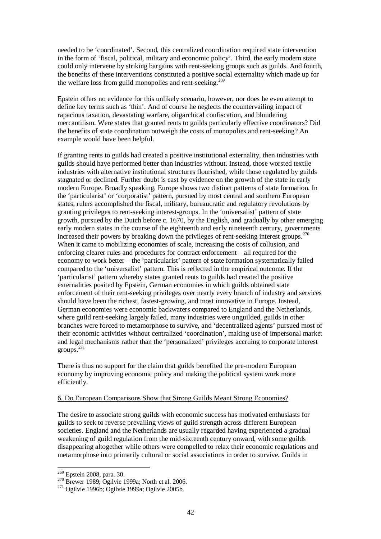needed to be 'coordinated'. Second, this centralized coordination required state intervention in the form of 'fiscal, political, military and economic policy'. Third, the early modern state could only intervene by striking bargains with rent-seeking groups such as guilds. And fourth, the benefits of these interventions constituted a positive social externality which made up for the welfare loss from guild monopolies and rent-seeking.<sup>269</sup>

Epstein offers no evidence for this unlikely scenario, however, nor does he even attempt to define key terms such as 'thin'. And of course he neglects the countervailing impact of rapacious taxation, devastating warfare, oligarchical confiscation, and blundering mercantilism. Were states that granted rents to guilds particularly effective coordinators? Did the benefits of state coordination outweigh the costs of monopolies and rent-seeking? An example would have been helpful.

If granting rents to guilds had created a positive institutional externality, then industries with guilds should have performed better than industries without. Instead, those worsted textile industries with alternative institutional structures flourished, while those regulated by guilds stagnated or declined. Further doubt is cast by evidence on the growth of the state in early modern Europe. Broadly speaking, Europe shows two distinct patterns of state formation. In the 'particularist' or 'corporatist' pattern, pursued by most central and southern European states, rulers accomplished the fiscal, military, bureaucratic and regulatory revolutions by granting privileges to rent-seeking interest-groups. In the 'universalist' pattern of state growth, pursued by the Dutch before c. 1670, by the English, and gradually by other emerging early modern states in the course of the eighteenth and early nineteenth century, governments increased their powers by breaking down the privileges of rent-seeking interest groups.<sup>270</sup> When it came to mobilizing economies of scale, increasing the costs of collusion, and enforcing clearer rules and procedures for contract enforcement – all required for the economy to work better – the 'particularist' pattern of state formation systematically failed compared to the 'universalist' pattern. This is reflected in the empirical outcome. If the 'particularist' pattern whereby states granted rents to guilds had created the positive externalities posited by Epstein, German economies in which guilds obtained state enforcement of their rent-seeking privileges over nearly every branch of industry and services should have been the richest, fastest-growing, and most innovative in Europe. Instead, German economies were economic backwaters compared to England and the Netherlands, where guild rent-seeking largely failed, many industries were unguilded, guilds in other branches were forced to metamorphose to survive, and 'decentralized agents' pursued most of their economic activities without centralized 'coordination', making use of impersonal market and legal mechanisms rather than the 'personalized' privileges accruing to corporate interest  $groups.<sup>271</sup>$ 

There is thus no support for the claim that guilds benefited the pre-modern European economy by improving economic policy and making the political system work more efficiently.

## 6. Do European Comparisons Show that Strong Guilds Meant Strong Economies?

The desire to associate strong guilds with economic success has motivated enthusiasts for guilds to seek to reverse prevailing views of guild strength across different European societies. England and the Netherlands are usually regarded having experienced a gradual weakening of guild regulation from the mid-sixteenth century onward, with some guilds disappearing altogether while others were compelled to relax their economic regulations and metamorphose into primarily cultural or social associations in order to survive. Guilds in

<sup>&</sup>lt;sup>269</sup> Epstein 2008, para. 30.

 $270$  Brewer 1989; Ogilvie 1999a; North et al. 2006.

<sup>271</sup> Ogilvie 1996b; Ogilvie 1999a; Ogilvie 2005b.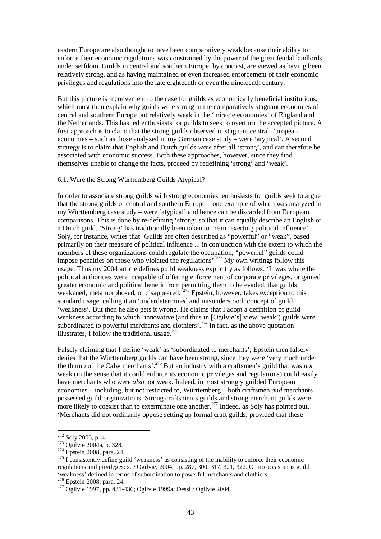eastern Europe are also thought to have been comparatively weak because their ability to enforce their economic regulations was constrained by the power of the great feudal landlords under serfdom. Guilds in central and southern Europe, by contrast, are viewed as having been relatively strong, and as having maintained or even increased enforcement of their economic privileges and regulations into the late eighteenth or even the nineteenth century.

But this picture is inconvenient to the case for guilds as economically beneficial institutions, which must then explain why guilds were strong in the comparatively stagnant economies of central and southern Europe but relatively weak in the 'miracle economies' of England and the Netherlands. This has led enthusiasts for guilds to seek to overturn the accepted picture. A first approach is to claim that the strong guilds observed in stagnant central European economies – such as those analyzed in my German case study – were 'atypical'. A second strategy is to claim that English and Dutch guilds *were* after all 'strong', and can therefore be associated with economic success. Both these approaches, however, since they find themselves unable to change the facts, proceed by redefining 'strong' and 'weak'.

#### 6.1. Were the Strong Württemberg Guilds Atypical?

In order to associate strong guilds with strong economies, enthusiasts for guilds seek to argue that the strong guilds of central and southern Europe – one example of which was analyzed in my Württemberg case study – were 'atypical' and hence can be discarded from European comparisons. This is done by re-defining 'strong' so that it can equally describe an English or a Dutch guild. 'Strong' has traditionally been taken to mean 'exerting political influence'. Soly, for instance, writes that 'Guilds are often described as "powerful" or "weak", based primarily on their measure of political influence ... in conjunction with the extent to which the members of these organizations could regulate the occupation; "powerful" guilds could impose penalties on those who violated the regulations<sup> $272$ </sup> My own writings follow this usage. Thus my 2004 article defines guild weakness explicitly as follows: 'It was where the political authorities were incapable of offering enforcement of corporate privileges, or gained greater economic and political benefit from permitting them to be evaded, that guilds weakened, metamorphosed, or disappeared.<sup>273</sup> Epstein, however, takes exception to this standard usage, calling it an 'underdetermined and misunderstood' concept of guild 'weakness'. But then he also gets it wrong. He claims that I adopt a definition of guild weakness according to which 'innovative (and thus in [Ogilvie's] view 'weak') guilds were subordinated to powerful merchants and clothiers'.<sup>274</sup> In fact, as the above quotation illustrates, I follow the traditional usage. $275$ 

Falsely claiming that I define 'weak' as 'subordinated to merchants', Epstein then falsely denies that the Württemberg guilds can have been strong, since they were 'very much under the thumb of the Calw merchants'.<sup>276</sup> But an industry with a craftsmen's guild that was *not* weak (in the sense that it could enforce its economic privileges and regulations) could easily have merchants who were *also* not weak. Indeed, in most strongly guilded European economies – including, but not restricted to, Württemberg – both craftsmen *and* merchants possessed guild organizations. Strong craftsmen's guilds and strong merchant guilds were more likely to coexist than to exterminate one another.<sup>277</sup> Indeed, as Soly has pointed out, 'Merchants did not ordinarily oppose setting up formal craft guilds, provided that these

 $272$  Soly 2006, p. 4.

<sup>&</sup>lt;sup>273</sup> Ogilvie 2004a, p. 328.

<sup>274</sup> Epstein 2008, para. 24.

 $275$  I consistently define guild 'weakness' as consisting of the inability to enforce their economic regulations and privileges: see Ogilvie, 2004, pp. 287, 300, 317, 321, 322. On no occasion is guild 'weakness' defined in terms of subordination to powerful merchants and clothiers.

<sup>&</sup>lt;sup>276</sup> Epstein 2008, para. 24.

<sup>277</sup> Ogilvie 1997, pp. 431-436; Ogilvie 1999a; Dessí / Ogilvie 2004.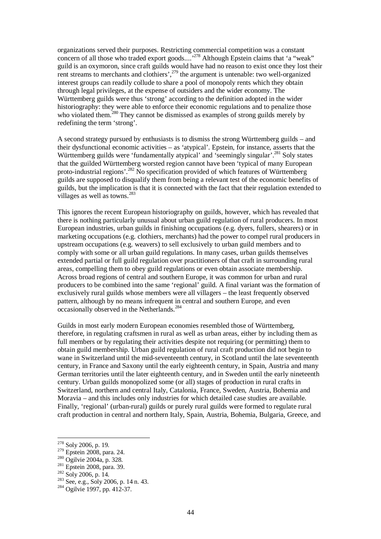organizations served their purposes. Restricting commercial competition was a constant concern of all those who traded export goods....<sup>278</sup> Although Epstein claims that 'a "weak" guild is an oxymoron, since craft guilds would have had no reason to exist once they lost their rent streams to merchants and clothiers',  $279$  the argument is untenable: two well-organized interest groups can readily collude to share a pool of monopoly rents which they obtain through legal privileges, at the expense of outsiders and the wider economy. The Württemberg guilds were thus 'strong' according to the definition adopted in the wider historiography: they were able to enforce their economic regulations and to penalize those who violated them.<sup>280</sup> They cannot be dismissed as examples of strong guilds merely by redefining the term 'strong'.

A second strategy pursued by enthusiasts is to dismiss the strong Württemberg guilds – and their dysfunctional economic activities – as 'atypical'. Epstein, for instance, asserts that the Württemberg guilds were 'fundamentally atypical' and 'seemingly singular'.<sup>281</sup> Soly states that the guilded Württemberg worsted region cannot have been 'typical of many European proto-industrial regions'.<sup>282</sup> No specification provided of which features of Württemberg guilds are supposed to disqualify them from being a relevant test of the economic benefits of guilds, but the implication is that it is connected with the fact that their regulation extended to villages as well as towns.<sup>283</sup>

This ignores the recent European historiography on guilds, however, which has revealed that there is nothing particularly unusual about urban guild regulation of rural producers. In most European industries, urban guilds in finishing occupations (e.g. dyers, fullers, shearers) or in marketing occupations (e.g. clothiers, merchants) had the power to compel rural producers in upstream occupations (e.g. weavers) to sell exclusively to urban guild members and to comply with some or all urban guild regulations. In many cases, urban guilds themselves extended partial or full guild regulation over practitioners of that craft in surrounding rural areas, compelling them to obey guild regulations or even obtain associate membership. Across broad regions of central and southern Europe, it was common for urban and rural producers to be combined into the same 'regional' guild. A final variant was the formation of exclusively rural guilds whose members were all villagers – the least frequently observed pattern, although by no means infrequent in central and southern Europe, and even occasionally observed in the Netherlands.<sup>284</sup>

Guilds in most early modern European economies resembled those of Württemberg, therefore, in regulating craftsmen in rural as well as urban areas, either by including them as full members or by regulating their activities despite not requiring (or permitting) them to obtain guild membership. Urban guild regulation of rural craft production did not begin to wane in Switzerland until the mid-seventeenth century, in Scotland until the late seventeenth century, in France and Saxony until the early eighteenth century, in Spain, Austria and many German territories until the later eighteenth century, and in Sweden until the early nineteenth century. Urban guilds monopolized some (or all) stages of production in rural crafts in Switzerland, northern and central Italy, Catalonia, France, Sweden, Austria, Bohemia and Moravia – and this includes only industries for which detailed case studies are available. Finally, 'regional' (urban-rural) guilds or purely rural guilds were formed to regulate rural craft production in central and northern Italy, Spain, Austria, Bohemia, Bulgaria, Greece, and

<sup>&</sup>lt;sup>278</sup> Soly 2006, p. 19.

<sup>279</sup> Epstein 2008, para. 24.

<sup>&</sup>lt;sup>280</sup> Ogilvie 2004a, p. 328.

<sup>&</sup>lt;sup>281</sup> Epstein 2008, para. 39.

<sup>282</sup> Soly 2006, p. 14.

<sup>283</sup> See, e.g., Soly 2006, p. 14 n. 43.

<sup>284</sup> Ogilvie 1997, pp. 412-37.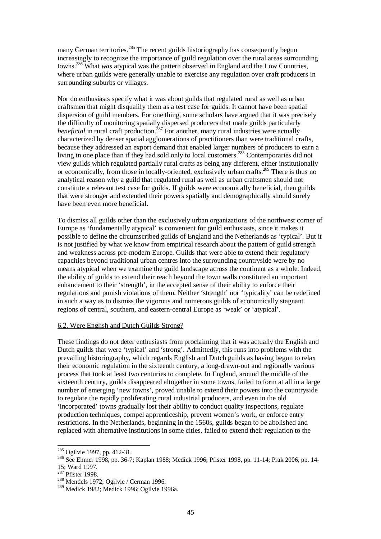many German territories.<sup>285</sup> The recent guilds historiography has consequently begun increasingly to recognize the importance of guild regulation over the rural areas surrounding towns.<sup>286</sup> What *was* atypical was the pattern observed in England and the Low Countries, where urban guilds were generally unable to exercise any regulation over craft producers in surrounding suburbs or villages.

Nor do enthusiasts specify what it was about guilds that regulated rural as well as urban craftsmen that might disqualify them as a test case for guilds. It cannot have been spatial dispersion of guild members. For one thing, some scholars have argued that it was precisely the difficulty of monitoring spatially dispersed producers that made guilds particularly *beneficial* in rural craft production.<sup>287</sup> For another, many rural industries were actually characterized by denser spatial agglomerations of practitioners than were traditional crafts, because they addressed an export demand that enabled larger numbers of producers to earn a living in one place than if they had sold only to local customers.<sup>288</sup> Contemporaries did not view guilds which regulated partially rural crafts as being any different, either institutionally or economically, from those in locally-oriented, exclusively urban crafts.<sup>289</sup> There is thus no analytical reason why a guild that regulated rural as well as urban craftsmen should not constitute a relevant test case for guilds. If guilds were economically beneficial, then guilds that were stronger and extended their powers spatially and demographically should surely have been even more beneficial.

To dismiss all guilds other than the exclusively urban organizations of the northwest corner of Europe as 'fundamentally atypical' is convenient for guild enthusiasts, since it makes it possible to define the circumscribed guilds of England and the Netherlands as 'typical'. But it is not justified by what we know from empirical research about the pattern of guild strength and weakness across pre-modern Europe. Guilds that were able to extend their regulatory capacities beyond traditional urban centres into the surrounding countryside were by no means atypical when we examine the guild landscape across the continent as a whole. Indeed, the ability of guilds to extend their reach beyond the town walls constituted an important enhancement to their 'strength', in the accepted sense of their ability to enforce their regulations and punish violations of them. Neither 'strength' nor 'typicality' can be redefined in such a way as to dismiss the vigorous and numerous guilds of economically stagnant regions of central, southern, and eastern-central Europe as 'weak' or 'atypical'.

## 6.2. Were English and Dutch Guilds Strong?

These findings do not deter enthusiasts from proclaiming that it was actually the English and Dutch guilds that were 'typical' and 'strong'. Admittedly, this runs into problems with the prevailing historiography, which regards English and Dutch guilds as having begun to relax their economic regulation in the sixteenth century, a long-drawn-out and regionally various process that took at least two centuries to complete. In England, around the middle of the sixteenth century, guilds disappeared altogether in some towns, failed to form at all in a large number of emerging 'new towns', proved unable to extend their powers into the countryside to regulate the rapidly proliferating rural industrial producers, and even in the old 'incorporated' towns gradually lost their ability to conduct quality inspections, regulate production techniques, compel apprenticeship, prevent women's work, or enforce entry restrictions. In the Netherlands, beginning in the 1560s, guilds began to be abolished and replaced with alternative institutions in some cities, failed to extend their regulation to the

<sup>&</sup>lt;sup>285</sup> Ogilvie 1997, pp. 412-31.

<sup>&</sup>lt;sup>286</sup> See Ehmer 1998, pp. 36-7; Kaplan 1988; Medick 1996; Pfister 1998, pp. 11-14; Prak 2006, pp. 14-15; Ward 1997.

 $287$  Pfister 1998.

<sup>288</sup> Mendels 1972; Ogilvie / Cerman 1996.

<sup>289</sup> Medick 1982; Medick 1996; Ogilvie 1996a.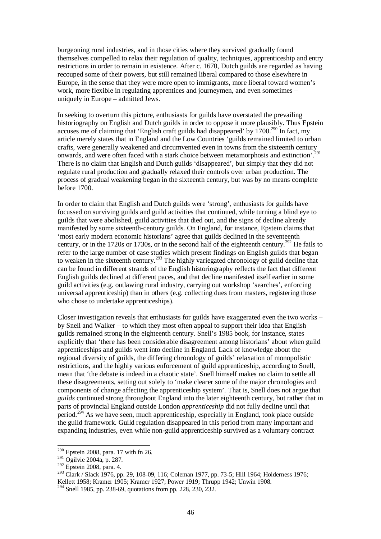burgeoning rural industries, and in those cities where they survived gradually found themselves compelled to relax their regulation of quality, techniques, apprenticeship and entry restrictions in order to remain in existence. After c. 1670, Dutch guilds are regarded as having recouped some of their powers, but still remained liberal compared to those elsewhere in Europe, in the sense that they were more open to immigrants, more liberal toward women's work, more flexible in regulating apprentices and journeymen, and even sometimes – uniquely in Europe – admitted Jews.

In seeking to overturn this picture, enthusiasts for guilds have overstated the prevailing historiography on English and Dutch guilds in order to oppose it more plausibly. Thus Epstein accuses me of claiming that 'English craft guilds had disappeared' by  $1700$ .<sup>290</sup> In fact, my article merely states that in England and the Low Countries 'guilds remained limited to urban crafts, were generally weakened and circumvented even in towns from the sixteenth century onwards, and were often faced with a stark choice between metamorphosis and extinction'.<sup>291</sup> There is no claim that English and Dutch guilds 'disappeared', but simply that they did not regulate rural production and gradually relaxed their controls over urban production. The process of gradual weakening began in the sixteenth century, but was by no means complete before 1700.

In order to claim that English and Dutch guilds were 'strong', enthusiasts for guilds have focussed on surviving guilds and guild activities that continued, while turning a blind eye to guilds that were abolished, guild activities that died out, and the signs of decline already manifested by some sixteenth-century guilds. On England, for instance, Epstein claims that 'most early modern economic historians' agree that guilds declined in the seventeenth century, or in the 1720s or 1730s, or in the second half of the eighteenth century.<sup>292</sup> He fails to refer to the large number of case studies which present findings on English guilds that began to weaken in the sixteenth century.<sup>293</sup> The highly variegated chronology of guild decline that can be found in different strands of the English historiography reflects the fact that different English guilds declined at different paces, and that decline manifested itself earlier in some guild activities (e.g. outlawing rural industry, carrying out workshop 'searches', enforcing universal apprenticeship) than in others (e.g. collecting dues from masters, registering those who chose to undertake apprenticeships).

Closer investigation reveals that enthusiasts for guilds have exaggerated even the two works – by Snell and Walker – to which they most often appeal to support their idea that English guilds remained strong in the eighteenth century. Snell's 1985 book, for instance, states explicitly that 'there has been considerable disagreement among historians' about when guild apprenticeships and guilds went into decline in England. Lack of knowledge about the regional diversity of guilds, the differing chronology of guilds' relaxation of monopolistic restrictions, and the highly various enforcement of guild apprenticeship, according to Snell, mean that 'the debate is indeed in a chaotic state'. Snell himself makes no claim to settle all these disagreements, setting out solely to 'make clearer some of the major chronologies and components of change affecting the apprenticeship system'. That is, Snell does not argue that *guilds* continued strong throughout England into the later eighteenth century, but rather that in parts of provincial England outside London *apprenticeship* did not fully decline until that period.<sup>294</sup> As we have seen, much apprenticeship, especially in England, took place outside the guild framework. Guild regulation disappeared in this period from many important and expanding industries, even while non-guild apprenticeship survived as a voluntary contract

 $290$  Epstein 2008, para. 17 with fn 26.

 $^{291}$  Ogilvie 2004a, p. 287.

<sup>&</sup>lt;sup>292</sup> Epstein 2008, para. 4.

<sup>293</sup> Clark / Slack 1976, pp. 29, 108-09, 116; Coleman 1977, pp. 73-5; Hill 1964; Holderness 1976; Kellett 1958; Kramer 1905; Kramer 1927; Power 1919; Thrupp 1942; Unwin 1908.

<sup>&</sup>lt;sup>294</sup> Snell 1985, pp. 238-69, quotations from pp. 228, 230, 232.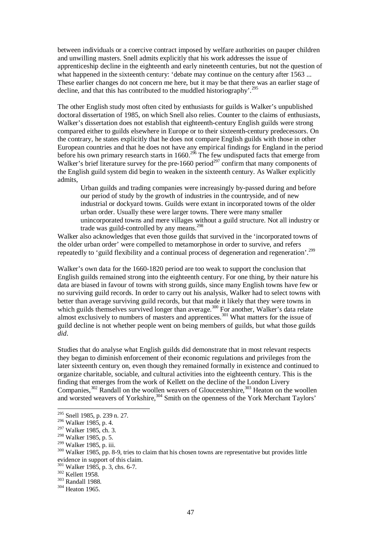between individuals or a coercive contract imposed by welfare authorities on pauper children and unwilling masters. Snell admits explicitly that his work addresses the issue of apprenticeship decline in the eighteenth and early nineteenth centuries, but not the question of what happened in the sixteenth century: 'debate may continue on the century after 1563 ... These earlier changes do not concern me here, but it may be that there was an earlier stage of decline, and that this has contributed to the muddled historiography'.<sup>295</sup>

The other English study most often cited by enthusiasts for guilds is Walker's unpublished doctoral dissertation of 1985, on which Snell also relies. Counter to the claims of enthusiasts, Walker's dissertation does not establish that eighteenth-century English guilds were strong compared either to guilds elsewhere in Europe or to their sixteenth-century predecessors. On the contrary, he states explicitly that he does not compare English guilds with those in other European countries and that he does not have any empirical findings for England in the period before his own primary research starts in  $1660$ .<sup>296</sup> The few undisputed facts that emerge from Walker's brief literature survey for the pre-1660 period<sup> $297$ </sup> confirm that many components of the English guild system did begin to weaken in the sixteenth century. As Walker explicitly admits,

Urban guilds and trading companies were increasingly by-passed during and before our period of study by the growth of industries in the countryside, and of new industrial or dockyard towns. Guilds were extant in incorporated towns of the older urban order. Usually these were larger towns. There were many smaller unincorporated towns and mere villages without a guild structure. Not all industry or trade was guild-controlled by any means.<sup>298</sup>

Walker also acknowledges that even those guilds that survived in the 'incorporated towns of the older urban order' were compelled to metamorphose in order to survive, and refers repeatedly to 'guild flexibility and a continual process of degeneration and regeneration'.<sup>299</sup>

Walker's own data for the 1660-1820 period are too weak to support the conclusion that English guilds remained strong into the eighteenth century. For one thing, by their nature his data are biased in favour of towns with strong guilds, since many English towns have few or no surviving guild records. In order to carry out his analysis, Walker had to select towns with better than average surviving guild records, but that made it likely that they were towns in which guilds themselves survived longer than average.<sup>300</sup> For another, Walker's data relate almost exclusively to numbers of masters and apprentices.<sup>301</sup> What matters for the issue of guild decline is not whether people went on being members of guilds, but what those guilds *did*.

Studies that do analyse what English guilds did demonstrate that in most relevant respects they began to diminish enforcement of their economic regulations and privileges from the later sixteenth century on, even though they remained formally in existence and continued to organize charitable, sociable, and cultural activities into the eighteenth century. This is the finding that emerges from the work of Kellett on the decline of the London Livery Companies, $302$  Randall on the woollen weavers of Gloucestershire,  $303$  Heaton on the woollen and worsted weavers of Yorkshire,<sup>304</sup> Smith on the openness of the York Merchant Taylors'

<sup>&</sup>lt;sup>295</sup> Snell 1985, p. 239 n. 27.

<sup>296</sup> Walker 1985, p. 4.

<sup>297</sup> Walker 1985, ch. 3.

<sup>298</sup> Walker 1985, p. 5.

<sup>&</sup>lt;sup>299</sup> Walker 1985, p. iii.

<sup>&</sup>lt;sup>300</sup> Walker 1985, pp. 8-9, tries to claim that his chosen towns are representative but provides little evidence in support of this claim.

<sup>301</sup> Walker 1985, p. 3, chs. 6-7.

<sup>302</sup> Kellett 1958.

<sup>&</sup>lt;sup>303</sup> Randall 1988.

<sup>304</sup> Heaton 1965.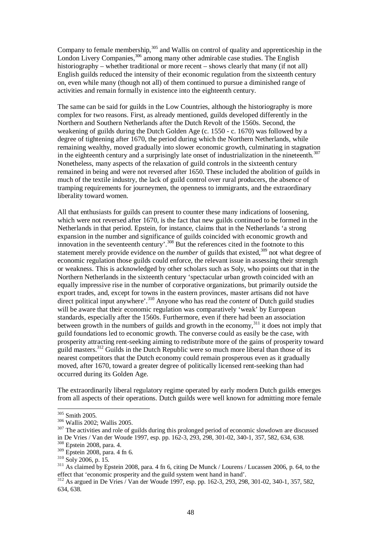Company to female membership,  $305$  and Wallis on control of quality and apprenticeship in the London Livery Companies,<sup>306</sup> among many other admirable case studies. The English historiography – whether traditional or more recent – shows clearly that many (if not all) English guilds reduced the intensity of their economic regulation from the sixteenth century on, even while many (though not all) of them continued to pursue a diminished range of activities and remain formally in existence into the eighteenth century.

The same can be said for guilds in the Low Countries, although the historiography is more complex for two reasons. First, as already mentioned, guilds developed differently in the Northern and Southern Netherlands after the Dutch Revolt of the 1560s. Second, the weakening of guilds during the Dutch Golden Age (c. 1550 - c. 1670) was followed by a degree of tightening after 1670, the period during which the Northern Netherlands, while remaining wealthy, moved gradually into slower economic growth, culminating in stagnation in the eighteenth century and a surprisingly late onset of industrialization in the nineteenth. $307$ Nonetheless, many aspects of the relaxation of guild controls in the sixteenth century remained in being and were not reversed after 1650. These included the abolition of guilds in much of the textile industry, the lack of guild control over rural producers, the absence of tramping requirements for journeymen, the openness to immigrants, and the extraordinary liberality toward women.

All that enthusiasts for guilds can present to counter these many indications of loosening, which were not reversed after 1670, is the fact that new guilds continued to be formed in the Netherlands in that period. Epstein, for instance, claims that in the Netherlands 'a strong expansion in the number and significance of guilds coincided with economic growth and innovation in the seventeenth century'.<sup>308</sup> But the references cited in the footnote to this statement merely provide evidence on the *number* of guilds that existed,<sup>309</sup> not what degree of economic regulation those guilds could enforce, the relevant issue in assessing their strength or weakness. This is acknowledged by other scholars such as Soly, who points out that in the Northern Netherlands in the sixteenth century 'spectacular urban growth coincided with an equally impressive rise in the number of corporative organizations, but primarily outside the export trades, and, except for towns in the eastern provinces, master artisans did not have direct political input anywhere'.<sup>310</sup> Anyone who has read the *content* of Dutch guild studies will be aware that their economic regulation was comparatively 'weak' by European standards, especially after the 1560s. Furthermore, even if there had been an association between growth in the numbers of guilds and growth in the economy,  $311$  it does not imply that guild foundations led to economic growth. The converse could as easily be the case, with prosperity attracting rent-seeking aiming to redistribute more of the gains of prosperity toward guild masters.<sup>312</sup> Guilds in the Dutch Republic were so much more liberal than those of its nearest competitors that the Dutch economy could remain prosperous even as it gradually moved, after 1670, toward a greater degree of politically licensed rent-seeking than had occurred during its Golden Age.

The extraordinarily liberal regulatory regime operated by early modern Dutch guilds emerges from all aspects of their operations. Dutch guilds were well known for admitting more female

<sup>305</sup> Smith 2005.

<sup>306</sup> Wallis 2002; Wallis 2005.

<sup>&</sup>lt;sup>307</sup> The activities and role of guilds during this prolonged period of economic slowdown are discussed in De Vries / Van der Woude 1997, esp. pp. 162-3, 293, 298, 301-02, 340-1, 357, 582, 634, 638.

<sup>308</sup> Epstein 2008, para. 4.

 $309$  Epstein 2008, para. 4 fn 6.

 $310 \text{ Soly } 2006$ , p. 15.

<sup>&</sup>lt;sup>311</sup> As claimed by Epstein 2008, para. 4 fn 6, citing De Munck / Lourens / Lucassen 2006, p. 64, to the effect that 'economic prosperity and the guild system went hand in hand'.

<sup>312</sup> As argued in De Vries / Van der Woude 1997, esp. pp. 162-3, 293, 298, 301-02, 340-1, 357, 582, 634, 638.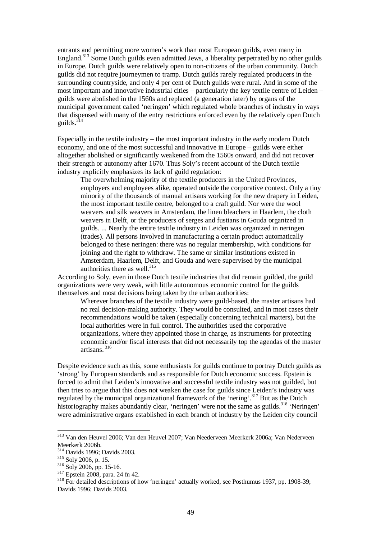entrants and permitting more women's work than most European guilds, even many in England.<sup>313</sup> Some Dutch guilds even admitted Jews, a liberality perpetrated by no other guilds in Europe. Dutch guilds were relatively open to non-citizens of the urban community. Dutch guilds did not require journeymen to tramp. Dutch guilds rarely regulated producers in the surrounding countryside, and only 4 per cent of Dutch guilds were rural. And in some of the most important and innovative industrial cities – particularly the key textile centre of Leiden – guilds were abolished in the 1560s and replaced (a generation later) by organs of the municipal government called 'neringen' which regulated whole branches of industry in ways that dispensed with many of the entry restrictions enforced even by the relatively open Dutch guilds.<sup>314</sup>

Especially in the textile industry – the most important industry in the early modern Dutch economy, and one of the most successful and innovative in Europe – guilds were either altogether abolished or significantly weakened from the 1560s onward, and did not recover their strength or autonomy after 1670. Thus Soly's recent account of the Dutch textile industry explicitly emphasizes its lack of guild regulation:

The overwhelming majority of the textile producers in the United Provinces, employers and employees alike, operated outside the corporative context. Only a tiny minority of the thousands of manual artisans working for the new drapery in Leiden, the most important textile centre, belonged to a craft guild. Nor were the wool weavers and silk weavers in Amsterdam, the linen bleachers in Haarlem, the cloth weavers in Delft, or the producers of serges and fustians in Gouda organized in guilds. ... Nearly the entire textile industry in Leiden was organized in neringen (trades). All persons involved in manufacturing a certain product automatically belonged to these neringen: there was no regular membership, with conditions for joining and the right to withdraw. The same or similar institutions existed in Amsterdam, Haarlem, Delft, and Gouda and were supervised by the municipal authorities there as well.<sup>315</sup>

According to Soly, even in those Dutch textile industries that did remain guilded, the guild organizations were very weak, with little autonomous economic control for the guilds themselves and most decisions being taken by the urban authorities:

Wherever branches of the textile industry were guild-based, the master artisans had no real decision-making authority. They would be consulted, and in most cases their recommendations would be taken (especially concerning technical matters), but the local authorities were in full control. The authorities used the corporative organizations, where they appointed those in charge, as instruments for protecting economic and/or fiscal interests that did not necessarily top the agendas of the master artisans<sup>316</sup>

Despite evidence such as this, some enthusiasts for guilds continue to portray Dutch guilds as 'strong' by European standards and as responsible for Dutch economic success. Epstein is forced to admit that Leiden's innovative and successful textile industry was not guilded, but then tries to argue that this does not weaken the case for guilds since Leiden's industry was regulated by the municipal organizational framework of the 'nering'.<sup>317</sup> But as the Dutch historiography makes abundantly clear, 'neringen' were not the same as guilds.<sup>318</sup> 'Neringen' were administrative organs established in each branch of industry by the Leiden city council

<sup>313</sup> Van den Heuvel 2006; Van den Heuvel 2007; Van Neederveen Meerkerk 2006a; Van Nederveen Meerkerk 2006b.

<sup>314</sup> Davids 1996; Davids 2003.

<sup>315</sup> Soly 2006, p. 15.

<sup>316</sup> Soly 2006, pp. 15-16.

 $317$  Epstein 2008, para. 24 fn 42.

<sup>&</sup>lt;sup>318</sup> For detailed descriptions of how 'neringen' actually worked, see Posthumus 1937, pp. 1908-39; Davids 1996; Davids 2003.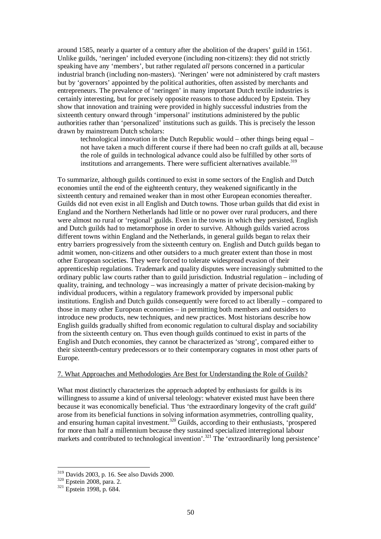around 1585, nearly a quarter of a century after the abolition of the drapers' guild in 1561. Unlike guilds, 'neringen' included everyone (including non-citizens): they did not strictly speaking have any 'members', but rather regulated *all* persons concerned in a particular industrial branch (including non-masters). 'Neringen' were not administered by craft masters but by 'governors' appointed by the political authorities, often assisted by merchants and entrepreneurs. The prevalence of 'neringen' in many important Dutch textile industries is certainly interesting, but for precisely opposite reasons to those adduced by Epstein. They show that innovation and training were provided in highly successful industries from the sixteenth century onward through 'impersonal' institutions administered by the public authorities rather than 'personalized' institutions such as guilds. This is precisely the lesson drawn by mainstream Dutch scholars:

technological innovation in the Dutch Republic would – other things being equal – not have taken a much different course if there had been no craft guilds at all, because the role of guilds in technological advance could also be fulfilled by other sorts of institutions and arrangements. There were sufficient alternatives available.<sup>319</sup>

To summarize, although guilds continued to exist in some sectors of the English and Dutch economies until the end of the eighteenth century, they weakened significantly in the sixteenth century and remained weaker than in most other European economies thereafter. Guilds did not even exist in all English and Dutch towns. Those urban guilds that did exist in England and the Northern Netherlands had little or no power over rural producers, and there were almost no rural or 'regional' guilds. Even in the towns in which they persisted, English and Dutch guilds had to metamorphose in order to survive. Although guilds varied across different towns within England and the Netherlands, in general guilds began to relax their entry barriers progressively from the sixteenth century on. English and Dutch guilds began to admit women, non-citizens and other outsiders to a much greater extent than those in most other European societies. They were forced to tolerate widespread evasion of their apprenticeship regulations. Trademark and quality disputes were increasingly submitted to the ordinary public law courts rather than to guild jurisdiction. Industrial regulation – including of quality, training, and technology – was increasingly a matter of private decision-making by individual producers, within a regulatory framework provided by impersonal public institutions. English and Dutch guilds consequently were forced to act liberally – compared to those in many other European economies – in permitting both members and outsiders to introduce new products, new techniques, and new practices. Most historians describe how English guilds gradually shifted from economic regulation to cultural display and sociability from the sixteenth century on. Thus even though guilds continued to exist in parts of the English and Dutch economies, they cannot be characterized as 'strong', compared either to their sixteenth-century predecessors or to their contemporary cognates in most other parts of Europe.

#### 7. What Approaches and Methodologies Are Best for Understanding the Role of Guilds?

What most distinctly characterizes the approach adopted by enthusiasts for guilds is its willingness to assume a kind of universal teleology: whatever existed must have been there because it was economically beneficial. Thus 'the extraordinary longevity of the craft guild' arose from its beneficial functions in solving information asymmetries, controlling quality, and ensuring human capital investment.<sup>320</sup> Guilds, according to their enthusiasts, 'prospered for more than half a millennium because they sustained specialized interregional labour markets and contributed to technological invention'.<sup>321</sup> The 'extraordinarily long persistence'

<sup>319</sup> Davids 2003, p. 16. See also Davids 2000.

<sup>320</sup> Epstein 2008, para. 2.

 $321$  Epstein 1998, p. 684.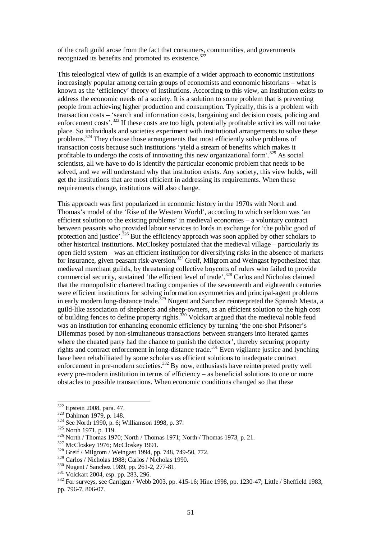of the craft guild arose from the fact that consumers, communities, and governments recognized its benefits and promoted its existence.<sup>322</sup>

This teleological view of guilds is an example of a wider approach to economic institutions increasingly popular among certain groups of economists and economic historians – what is known as the 'efficiency' theory of institutions. According to this view, an institution exists to address the economic needs of a society. It is a solution to some problem that is preventing people from achieving higher production and consumption. Typically, this is a problem with transaction costs – 'search and information costs, bargaining and decision costs, policing and enforcement costs'.<sup>323</sup> If these costs are too high, potentially profitable activities will not take place. So individuals and societies experiment with institutional arrangements to solve these problems.<sup>324</sup> They choose those arrangements that most efficiently solve problems of transaction costs because such institutions 'yield a stream of benefits which makes it profitable to undergo the costs of innovating this new organizational form'.<sup>325</sup> As social scientists, all we have to do is identify the particular economic problem that needs to be solved, and we will understand why that institution exists. Any society, this view holds, will get the institutions that are most efficient in addressing its requirements. When these requirements change, institutions will also change.

This approach was first popularized in economic history in the 1970s with North and Thomas's model of the 'Rise of the Western World', according to which serfdom was 'an efficient solution to the existing problems' in medieval economies – a voluntary contract between peasants who provided labour services to lords in exchange for 'the public good of protection and justice'.<sup>326</sup> But the efficiency approach was soon applied by other scholars to other historical institutions. McCloskey postulated that the medieval village – particularly its open field system – was an efficient institution for diversifying risks in the absence of markets for insurance, given peasant risk-aversion.<sup>327</sup> Greif, Milgrom and Weingast hypothesized that medieval merchant guilds, by threatening collective boycotts of rulers who failed to provide commercial security, sustained 'the efficient level of trade'.<sup>328</sup> Carlos and Nicholas claimed that the monopolistic chartered trading companies of the seventeenth and eighteenth centuries were efficient institutions for solving information asymmetries and principal-agent problems in early modern long-distance trade.<sup>329</sup> Nugent and Sanchez reinterpreted the Spanish Mesta, a guild-like association of shepherds and sheep-owners, as an efficient solution to the high cost of building fences to define property rights.<sup>330</sup> Volckart argued that the medieval noble feud was an institution for enhancing economic efficiency by turning 'the one-shot Prisoner's Dilemmas posed by non-simultaneous transactions between strangers into iterated games where the cheated party had the chance to punish the defector', thereby securing property rights and contract enforcement in long-distance trade.<sup>331</sup> Even vigilante justice and lynching have been rehabilitated by some scholars as efficient solutions to inadequate contract enforcement in pre-modern societies.<sup>332</sup> By now, enthusiasts have reinterpreted pretty well every pre-modern institution in terms of efficiency – as beneficial solutions to one or more obstacles to possible transactions. When economic conditions changed so that these

<sup>&</sup>lt;sup>322</sup> Epstein 2008, para. 47.

 $323$  Dahlman 1979, p. 148.

<sup>324</sup> See North 1990, p. 6; Williamson 1998, p. 37.

<sup>&</sup>lt;sup>325</sup> North 1971, p. 119.

<sup>326</sup> North / Thomas 1970; North / Thomas 1971; North / Thomas 1973, p. 21.

<sup>&</sup>lt;sup>327</sup> McCloskey 1976; McCloskey 1991.

<sup>328</sup> Greif / Milgrom / Weingast 1994, pp. 748, 749-50, 772.

<sup>329</sup> Carlos / Nicholas 1988; Carlos / Nicholas 1990.

<sup>330</sup> Nugent / Sanchez 1989, pp. 261-2, 277-81.

<sup>331</sup> Volckart 2004, esp. pp. 283, 296.

 $332$  For surveys, see Carrigan / Webb 2003, pp. 415-16; Hine 1998, pp. 1230-47; Little / Sheffield 1983, pp. 796-7, 806-07.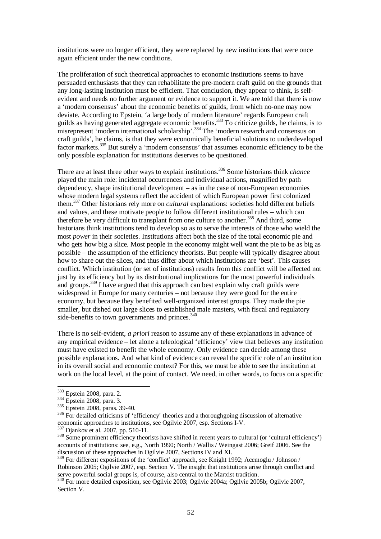institutions were no longer efficient, they were replaced by new institutions that were once again efficient under the new conditions.

The proliferation of such theoretical approaches to economic institutions seems to have persuaded enthusiasts that they can rehabilitate the pre-modern craft guild on the grounds that any long-lasting institution must be efficient. That conclusion, they appear to think, is selfevident and needs no further argument or evidence to support it. We are told that there is now a 'modern consensus' about the economic benefits of guilds, from which no-one may now deviate. According to Epstein, 'a large body of modern literature' regards European craft guilds as having generated aggregate economic benefits.<sup>333</sup> To criticize guilds, he claims, is to misrepresent 'modern international scholarship'.<sup>334</sup> The 'modern research and consensus on craft guilds', he claims, is that they were economically beneficial solutions to underdeveloped factor markets.<sup>335</sup> But surely a 'modern consensus' that assumes economic efficiency to be the only possible explanation for institutions deserves to be questioned.

There are at least three other ways to explain institutions.<sup>336</sup> Some historians think *chance* played the main role: incidental occurrences and individual actions, magnified by path dependency, shape institutional development – as in the case of non-European economies whose modern legal systems reflect the accident of which European power first colonized them.<sup>337</sup> Other historians rely more on *cultural* explanations: societies hold different beliefs and values, and these motivate people to follow different institutional rules – which can therefore be very difficult to transplant from one culture to another.<sup>338</sup> And third, some historians think institutions tend to develop so as to serve the interests of those who wield the most *power* in their societies. Institutions affect both the size of the total economic pie and who gets how big a slice. Most people in the economy might well want the pie to be as big as possible – the assumption of the efficiency theorists. But people will typically disagree about how to share out the slices, and thus differ about which institutions are 'best'. This causes conflict. Which institution (or set of institutions) results from this conflict will be affected not just by its efficiency but by its distributional implications for the most powerful individuals and groups.<sup>339</sup> I have argued that this approach can best explain why craft guilds were widespread in Europe for many centuries – not because they were good for the entire economy, but because they benefited well-organized interest groups. They made the pie smaller, but dished out large slices to established male masters, with fiscal and regulatory side-benefits to town governments and princes.<sup>340</sup>

There is no self-evident, *a priori* reason to assume any of these explanations in advance of any empirical evidence – let alone a teleological 'efficiency' view that believes any institution must have existed to benefit the whole economy. Only evidence can decide among these possible explanations. And what kind of evidence can reveal the specific role of an institution in its overall social and economic context? For this, we must be able to see the institution at work on the local level, at the point of contact. We need, in other words, to focus on a specific

<sup>&</sup>lt;sup>333</sup> Epstein 2008, para. 2.

<sup>&</sup>lt;sup>334</sup> Epstein 2008, para. 3.

<sup>335</sup> Epstein 2008, paras. 39-40.

<sup>&</sup>lt;sup>336</sup> For detailed criticisms of 'efficiency' theories and a thoroughgoing discussion of alternative economic approaches to institutions, see Ogilvie 2007, esp. Sections I-V.

<sup>337</sup> Djankov et al. 2007, pp. 510-11.

<sup>&</sup>lt;sup>338</sup> Some prominent efficiency theorists have shifted in recent years to cultural (or 'cultural efficiency') accounts of institutions: see, e.g., North 1990; North / Wallis / Weingast 2006; Greif 2006. See the discussion of these approaches in Ogilvie 2007, Sections IV and XI.

<sup>&</sup>lt;sup>339</sup> For different expositions of the 'conflict' approach, see Knight 1992; Acemoglu / Johnson / Robinson 2005; Ogilvie 2007, esp. Section V. The insight that institutions arise through conflict and serve powerful social groups is, of course, also central to the Marxist tradition.

<sup>&</sup>lt;sup>340</sup> For more detailed exposition, see Ogilvie 2003; Ogilvie 2004a; Ogilvie 2005b; Ogilvie 2007, Section V.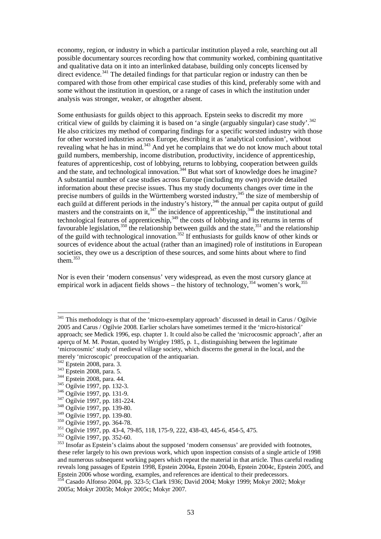economy, region, or industry in which a particular institution played a role, searching out all possible documentary sources recording how that community worked, combining quantitative and qualitative data on it into an interlinked database, building only concepts licensed by direct evidence.<sup>341</sup> The detailed findings for that particular region or industry can then be compared with those from other empirical case studies of this kind, preferably some with and some without the institution in question, or a range of cases in which the institution under analysis was stronger, weaker, or altogether absent.

Some enthusiasts for guilds object to this approach. Epstein seeks to discredit my more critical view of guilds by claiming it is based on 'a single (arguably singular) case study'.<sup>342</sup> He also criticizes my method of comparing findings for a specific worsted industry with those for other worsted industries across Europe, describing it as 'analytical confusion', without revealing what he has in mind.<sup>343</sup> And yet he complains that we do not know much about total guild numbers, membership, income distribution, productivity, incidence of apprenticeship, features of apprenticeship, cost of lobbying, returns to lobbying, cooperation between guilds and the state, and technological innovation.<sup>344</sup> But what sort of knowledge does he imagine? A substantial number of case studies across Europe (including my own) provide detailed information about these precise issues. Thus my study documents changes over time in the precise numbers of guilds in the Württemberg worsted industry,<sup>345</sup> the size of membership of each guild at different periods in the industry's history,<sup>346</sup> the annual per capita output of guild masters and the constraints on it,  $347$  the incidence of apprenticeship,  $348$  the institutional and technological features of apprenticeship,<sup>349</sup> the costs of lobbying and its returns in terms of favourable legislation,<sup>350</sup> the relationship between guilds and the state,<sup>351</sup> and the relationship of the guild with technological innovation.<sup>352</sup> If enthusiasts for guilds know of other kinds or sources of evidence about the actual (rather than an imagined) role of institutions in European societies, they owe us a description of these sources, and some hints about where to find them.<sup>353</sup>

Nor is even their 'modern consensus' very widespread, as even the most cursory glance at empirical work in adjacent fields shows – the history of technology,  $354$  women's work,  $355$ 

 $341$  This methodology is that of the 'micro-exemplary approach' discussed in detail in Carus / Ogilvie 2005 and Carus / Ogilvie 2008. Earlier scholars have sometimes termed it the 'micro-historical' approach; see Medick 1996, esp. chapter 1. It could also be called the 'microcosmic approach', after an aperçu of M. M. Postan, quoted by Wrigley 1985, p. 1., distinguishing between the legitimate 'microcosmic' study of medieval village society, which discerns the general in the local, and the merely 'microscopic' preoccupation of the antiquarian.

<sup>&</sup>lt;sup>342</sup> Epstein 2008, para. 3.

<sup>343</sup> Epstein 2008, para. 5.

<sup>344</sup> Epstein 2008, para. 44.

<sup>345</sup> Ogilvie 1997, pp. 132-3.

<sup>346</sup> Ogilvie 1997, pp. 131-9.

<sup>347</sup> Ogilvie 1997, pp. 181-224.

<sup>348</sup> Ogilvie 1997, pp. 139-80.

<sup>349</sup> Ogilvie 1997, pp. 139-80.

<sup>350</sup> Ogilvie 1997, pp. 364-78.

<sup>351</sup> Ogilvie 1997, pp. 43-4, 79-85, 118, 175-9, 222, 438-43, 445-6, 454-5, 475.

<sup>352</sup> Ogilvie 1997, pp. 352-60.

<sup>&</sup>lt;sup>353</sup> Insofar as Epstein's claims about the supposed 'modern consensus' are provided with footnotes, these refer largely to his own previous work, which upon inspection consists of a single article of 1998 and numerous subsequent working papers which repeat the material in that article. Thus careful reading reveals long passages of Epstein 1998, Epstein 2004a, Epstein 2004b, Epstein 2004c, Epstein 2005, and Epstein 2006 whose wording, examples, and references are identical to their predecessors.

<sup>354</sup> Casado Alfonso 2004, pp. 323-5; Clark 1936; David 2004; Mokyr 1999; Mokyr 2002; Mokyr 2005a; Mokyr 2005b; Mokyr 2005c; Mokyr 2007.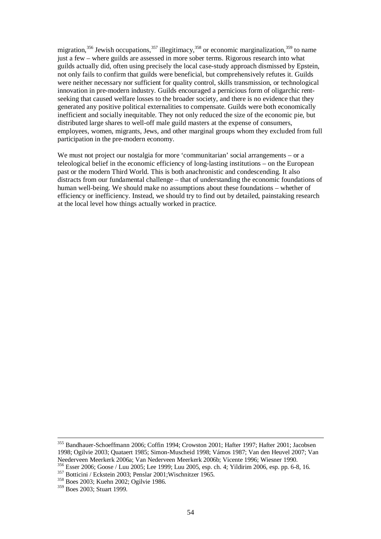migration,<sup>356</sup> Jewish occupations,<sup>357</sup> illegitimacy,<sup>358</sup> or economic marginalization,<sup>359</sup> to name just a few – where guilds are assessed in more sober terms. Rigorous research into what guilds actually did, often using precisely the local case-study approach dismissed by Epstein, not only fails to confirm that guilds were beneficial, but comprehensively refutes it. Guilds were neither necessary nor sufficient for quality control, skills transmission, or technological innovation in pre-modern industry. Guilds encouraged a pernicious form of oligarchic rentseeking that caused welfare losses to the broader society, and there is no evidence that they generated any positive political externalities to compensate. Guilds were both economically inefficient and socially inequitable. They not only reduced the size of the economic pie, but distributed large shares to well-off male guild masters at the expense of consumers, employees, women, migrants, Jews, and other marginal groups whom they excluded from full participation in the pre-modern economy.

We must not project our nostalgia for more 'communitarian' social arrangements – or a teleological belief in the economic efficiency of long-lasting institutions – on the European past or the modern Third World. This is both anachronistic and condescending. It also distracts from our fundamental challenge – that of understanding the economic foundations of human well-being. We should make no assumptions about these foundations – whether of efficiency or inefficiency. Instead, we should try to find out by detailed, painstaking research at the local level how things actually worked in practice.

<sup>355</sup> Bandhauer-Schoeffmann 2006; Coffin 1994; Crowston 2001; Hafter 1997; Hafter 2001; Jacobsen 1998; Ogilvie 2003; Quataert 1985; Simon-Muscheid 1998; Vámos 1987; Van den Heuvel 2007; Van Neederveen Meerkerk 2006a; Van Nederveen Meerkerk 2006b; Vicente 1996; Wiesner 1990. <sup>356</sup> Esser 2006; Goose / Luu 2005; Lee 1999; Luu 2005, esp. ch. 4; Yildirim 2006, esp. pp. 6-8, 16.

<sup>357</sup> Botticini / Eckstein 2003; Penslar 2001;Wischnitzer 1965.

<sup>358</sup> Boes 2003; Kuehn 2002; Ogilvie 1986.

<sup>359</sup> Boes 2003; Stuart 1999.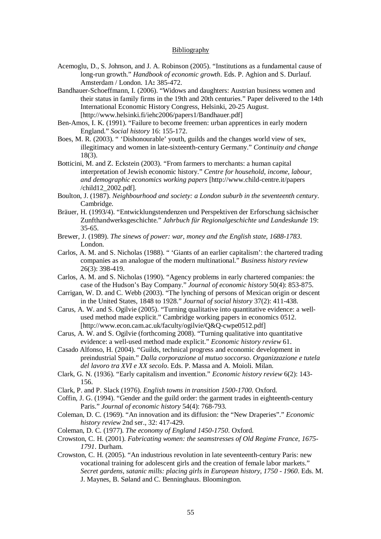## Bibliography

- Acemoglu, D., S. Johnson, and J. A. Robinson (2005). "Institutions as a fundamental cause of long-run growth." *Handbook of economic growth*. Eds. P. Aghion and S. Durlauf. Amsterdam / London. 1A**:** 385-472.
- Bandhauer-Schoeffmann, I. (2006). "Widows and daughters: Austrian business women and their status in family firms in the 19th and 20th centuries." Paper delivered to the 14th International Economic History Congress, Helsinki, 20-25 August. [http://www.helsinki.fi/iehc2006/papers1/Bandhauer.pdf]
- Ben-Amos, I. K. (1991). "Failure to become freemen: urban apprentices in early modern England." *Social history* 16: 155-172.
- Boes, M. R. (2003). " 'Dishonourable' youth, guilds and the changes world view of sex, illegitimacy and women in late-sixteenth-century Germany." *Continuity and change* 18(3).
- Botticini, M. and Z. Eckstein (2003). "From farmers to merchants: a human capital interpretation of Jewish economic history." *Centre for household, income, labour, and demographic economics working papers* [http://www.child-centre.it/papers /child12\_2002.pdf].
- Boulton, J. (1987). *Neighbourhood and society: a London suburb in the seventeenth century*. Cambridge.
- Bräuer, H. (1993/4). "Entwicklungstendenzen und Perspektiven der Erforschung sächsischer Zunfthandwerksgeschichte." *Jahrbuch für Regionalgeschichte und Landeskunde* 19: 35-65.
- Brewer, J. (1989). *The sinews of power: war, money and the English state, 1688-1783*. London.
- Carlos, A. M. and S. Nicholas (1988). " 'Giants of an earlier capitalism': the chartered trading companies as an analogue of the modern multinational." *Business history review* 26(3): 398-419.
- Carlos, A. M. and S. Nicholas (1990). "Agency problems in early chartered companies: the case of the Hudson's Bay Company." *Journal of economic history* 50(4): 853-875.
- Carrigan, W. D. and C. Webb (2003). "The lynching of persons of Mexican origin or descent in the United States, 1848 to 1928." *Journal of social history* 37(2): 411-438.
- Carus, A. W. and S. Ogilvie (2005). "Turning qualitative into quantitative evidence: a wellused method made explicit." Cambridge working papers in economics 0512. [http://www.econ.cam.ac.uk/faculty/ogilvie/Q&Q-cwpe0512.pdf]
- Carus, A. W. and S. Ogilvie (forthcoming 2008). "Turning qualitative into quantitative evidence: a well-used method made explicit." *Economic history review* 61.
- Casado Alfonso, H. (2004). "Guilds, technical progress and economic development in preindustrial Spain." *Dalla corporazione al mutuo soccorso. Organizzazione e tutela del lavoro tra XVI e XX secolo*. Eds. P. Massa and A. Moioli. Milan.
- Clark, G. N. (1936). "Early capitalism and invention." *Economic history review* 6(2): 143- 156.
- Clark, P. and P. Slack (1976). *English towns in transition 1500-1700*. Oxford.
- Coffin, J. G. (1994). "Gender and the guild order: the garment trades in eighteenth-century Paris." *Journal of economic history* 54(4): 768-793.
- Coleman, D. C. (1969). "An innovation and its diffusion: the "New Draperies"." *Economic history review* 2nd ser., 32: 417-429.
- Coleman, D. C. (1977). *The economy of England 1450-1750*. Oxford.
- Crowston, C. H. (2001). *Fabricating women: the seamstresses of Old Regime France, 1675- 1791*. Durham.
- Crowston, C. H. (2005). "An industrious revolution in late seventeenth-century Paris: new vocational training for adolescent girls and the creation of female labor markets." *Secret gardens, satanic mills: placing girls in European history, 1750 - 1960*. Eds. M. J. Maynes, B. Søland and C. Benninghaus. Bloomington.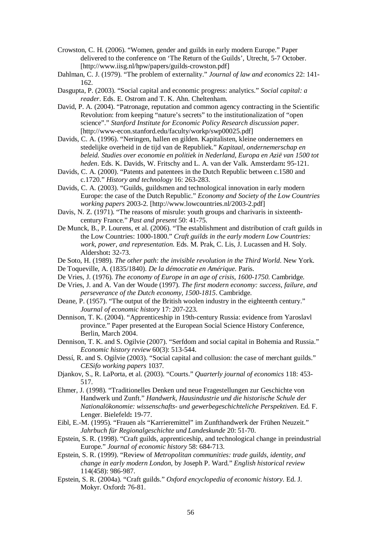- Crowston, C. H. (2006). "Women, gender and guilds in early modern Europe." Paper delivered to the conference on 'The Return of the Guilds', Utrecht, 5-7 October. [http://www.iisg.nl/hpw/papers/guilds-crowston.pdf]
- Dahlman, C. J. (1979). "The problem of externality." *Journal of law and economics* 22: 141- 162.
- Dasgupta, P. (2003). "Social capital and economic progress: analytics." *Social capital: a reader*. Eds. E. Ostrom and T. K. Ahn. Cheltenham.
- David, P. A. (2004). "Patronage, reputation and common agency contracting in the Scientific Revolution: from keeping "nature's secrets" to the institutionalization of "open science"." *Stanford Institute for Economic Policy Research discussion paper*. [http://www-econ.stanford.edu/faculty/workp/swp00025.pdf]
- Davids, C. A. (1996). "Neringen, hallen en gilden. Kapitalisten, kleine ondernemers en stedelijke overheid in de tijd van de Republiek." *Kapitaal, ondernemerschap en beleid. Studies over economie en politiek in Nederland, Europa en Azië van 1500 tot heden*. Eds. K. Davids, W. Fritschy and L. A. van der Valk. Amsterdam**:** 95-121.
- Davids, C. A. (2000). "Patents and patentees in the Dutch Republic between c.1580 and c.1720." *History and technology* 16: 263-283.
- Davids, C. A. (2003). "Guilds, guildsmen and technological innovation in early modern Europe: the case of the Dutch Republic." *Economy and Society of the Low Countries working papers* 2003-2. [http://www.lowcountries.nl/2003-2.pdf]
- Davis, N. Z. (1971). "The reasons of misrule: youth groups and charivaris in sixteenthcentury France." *Past and present* 50: 41-75.
- De Munck, B., P. Lourens, et al. (2006). "The establishment and distribution of craft guilds in the Low Countries: 1000-1800." *Craft guilds in the early modern Low Countries: work, power, and representation*. Eds. M. Prak, C. Lis, J. Lucassen and H. Soly. Aldershot**:** 32-73.
- De Soto, H. (1989). *The other path: the invisible revolution in the Third World*. New York.
- De Toqueville, A. (1835/1840). *De la démocratie en Amérique*. Paris.
- De Vries, J. (1976). *The economy of Europe in an age of crisis, 1600-1750*. Cambridge.
- De Vries, J. and A. Van der Woude (1997). *The first modern economy: success, failure, and perseverance of the Dutch economy, 1500-1815*. Cambridge.
- Deane, P. (1957). "The output of the British woolen industry in the eighteenth century." *Journal of economic history* 17: 207-223.
- Dennison, T. K. (2004). "Apprenticeship in 19th-century Russia: evidence from Yaroslavl province." Paper presented at the European Social Science History Conference, Berlin, March 2004.
- Dennison, T. K. and S. Ogilvie (2007). "Serfdom and social capital in Bohemia and Russia." *Economic history review* 60(3): 513-544.
- Dessí, R. and S. Ogilvie (2003). "Social capital and collusion: the case of merchant guilds." *CESifo working papers* 1037.
- Djankov, S., R. LaPorta, et al. (2003). "Courts." *Quarterly journal of economics* 118: 453- 517.
- Ehmer, J. (1998). "Traditionelles Denken und neue Fragestellungen zur Geschichte von Handwerk und Zunft." *Handwerk, Hausindustrie und die historische Schule der Nationalökonomie: wissenschafts- und gewerbegeschichteliche Perspektiven*. Ed. F. Lenger. Bielefeld**:** 19-77.
- Eibl, E.-M. (1995). "Frauen als "Karrieremittel" im Zunfthandwerk der Frühen Neuzeit." *Jahrbuch für Regionalgeschichte und Landeskunde* 20: 51-70.
- Epstein, S. R. (1998). "Craft guilds, apprenticeship, and technological change in preindustrial Europe." *Journal of economic history* 58: 684-713.
- Epstein, S. R. (1999). "Review of *Metropolitan communities: trade guilds, identity, and change in early modern London*, by Joseph P. Ward." *English historical review* 114(458): 986-987.
- Epstein, S. R. (2004a). "Craft guilds." *Oxford encyclopedia of economic history*. Ed. J. Mokyr. Oxford**:** 76-81.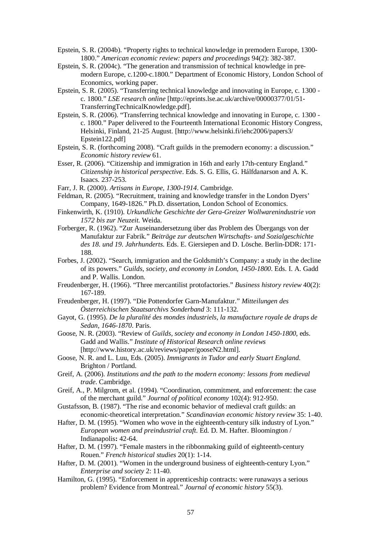- Epstein, S. R. (2004b). "Property rights to technical knowledge in premodern Europe, 1300- 1800." *American economic review: papers and proceedings* 94(2): 382-387.
- Epstein, S. R. (2004c). "The generation and transmission of technical knowledge in premodern Europe, c.1200-c.1800." Department of Economic History, London School of Economics, working paper.
- Epstein, S. R. (2005). "Transferring technical knowledge and innovating in Europe, c. 1300 c. 1800." *LSE research online* [http://eprints.lse.ac.uk/archive/00000377/01/51- TransferringTechnicalKnowledge.pdf].
- Epstein, S. R. (2006). "Transferring technical knowledge and innovating in Europe, c. 1300 c. 1800." Paper delivered to the Fourteenth International Economic History Congress, Helsinki, Finland, 21-25 August. [http://www.helsinki.fi/iehc2006/papers3/ Epstein122.pdf]
- Epstein, S. R. (forthcoming 2008). "Craft guilds in the premodern economy: a discussion." *Economic history review* 61.
- Esser, R. (2006). "Citizenship and immigration in 16th and early 17th-century England." *Citizenship in historical perspective*. Eds. S. G. Ellis, G. Hálfdanarson and A. K. Isaacs. 237-253.
- Farr, J. R. (2000). *Artisans in Europe, 1300-1914*. Cambridge.
- Feldman, R. (2005). "Recruitment, training and knowledge transfer in the London Dyers' Company, 1649-1826." Ph.D. dissertation, London School of Economics.
- Finkenwirth, K. (1910). *Urkundliche Geschichte der Gera-Greizer Wollwarenindustrie von 1572 bis zur Neuzeit*. Weida.
- Forberger, R. (1962). "Zur Auseinandersetzung über das Problem des Übergangs von der Manufaktur zur Fabrik." *Beiträge zur deutschen Wirtschafts- und Sozialgeschichte des 18. und 19. Jahrhunderts*. Eds. E. Giersiepen and D. Lösche. Berlin-DDR: 171- 188.
- Forbes, J. (2002). "Search, immigration and the Goldsmith's Company: a study in the decline of its powers." *Guilds, society, and economy in London, 1450-1800*. Eds. I. A. Gadd and P. Wallis. London.
- Freudenberger, H. (1966). "Three mercantilist protofactories." *Business history review* 40(2): 167-189.
- Freudenberger, H. (1997). "Die Pottendorfer Garn-Manufaktur." *Mitteilungen des Österreichischen Staatsarchivs Sonderband* 3: 111-132.
- Gayot, G. (1995). *De la pluralité des mondes industriels, la manufacture royale de draps de Sedan, 1646-1870*. Paris.
- Goose, N. R. (2003). "Review of *Guilds, society and economy in London 1450-1800*, eds. Gadd and Wallis." *Institute of Historical Research online reviews* [http://www.history.ac.uk/reviews/paper/gooseN2.html].
- Goose, N. R. and L. Luu, Eds. (2005). *Immigrants in Tudor and early Stuart England*. Brighton / Portland.
- Greif, A. (2006). *Institutions and the path to the modern economy: lessons from medieval trade*. Cambridge.
- Greif, A., P. Milgrom, et al. (1994). "Coordination, commitment, and enforcement: the case of the merchant guild." *Journal of political economy* 102(4): 912-950.
- Gustafsson, B. (1987). "The rise and economic behavior of medieval craft guilds: an economic-theoretical interpretation." *Scandinavian economic history review* 35: 1-40.
- Hafter, D. M. (1995). "Women who wove in the eighteenth-century silk industry of Lyon." *European women and preindustrial craft*. Ed. D. M. Hafter. Bloomington / Indianapolis**:** 42-64.
- Hafter, D. M. (1997). "Female masters in the ribbonmaking guild of eighteenth-century Rouen." *French historical studies* 20(1): 1-14.
- Hafter, D. M. (2001). "Women in the underground business of eighteenth-century Lyon." *Enterprise and society* 2: 11-40.
- Hamilton, G. (1995). "Enforcement in apprenticeship contracts: were runaways a serious problem? Evidence from Montreal." *Journal of economic history* 55(3).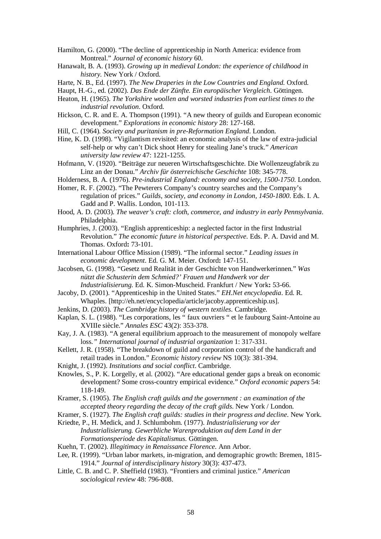Hamilton, G. (2000). "The decline of apprenticeship in North America: evidence from Montreal." *Journal of economic history* 60.

- Hanawalt, B. A. (1993). *Growing up in medieval London: the experience of childhood in history.* New York / Oxford.
- Harte, N. B., Ed. (1997). *The New Draperies in the Low Countries and England*. Oxford.
- Haupt, H.-G., ed. (2002). *Das Ende der Zünfte. Ein europäischer Vergleich*. Göttingen.
- Heaton, H. (1965). *The Yorkshire woollen and worsted industries from earliest times to the industrial revolution*. Oxford.
- Hickson, C. R. and E. A. Thompson (1991). "A new theory of guilds and European economic development." *Explorations in economic history* 28: 127-168.
- Hill, C. (1964). *Society and puritanism in pre-Reformation England*. London.
- Hine, K. D. (1998). "Vigilantism revisited: an economic analysis of the law of extra-judicial self-help or why can't Dick shoot Henry for stealing Jane's truck." *American university law review* 47: 1221-1255.
- Hofmann, V. (1920). "Beiträge zur neueren Wirtschaftsgeschichte. Die Wollenzeugfabrik zu Linz an der Donau." *Archiv für österreichische Geschichte* 108: 345-778.
- Holderness, B. A. (1976). *Pre-industrial England: economy and society, 1500-1750*. London.
- Homer, R. F. (2002). "The Pewterers Company's country searches and the Company's regulation of prices." *Guilds, society, and economy in London, 1450-1800*. Eds. I. A. Gadd and P. Wallis. London, 101-113.
- Hood, A. D. (2003). *The weaver's craft: cloth, commerce, and industry in early Pennsylvania*. Philadelphia.
- Humphries, J. (2003). "English apprenticeship: a neglected factor in the first Industrial Revolution." *The economic future in historical perspective*. Eds. P. A. David and M. Thomas. Oxford**:** 73-101.
- International Labour Office Mission (1989). "The informal sector." *Leading issues in economic development*. Ed. G. M. Meier. Oxford**:** 147-151.
- Jacobsen, G. (1998). "Gesetz und Realität in der Geschichte von Handwerkerinnen." *Was nützt die Schusterin dem Schmied?' Frauen und Handwerk vor der Industrialisierung*. Ed. K. Simon-Muscheid. Frankfurt / New York**:** 53-66.
- Jacoby, D. (2001). "Apprenticeship in the United States." *EH.Net encyclopedia*. Ed. R. Whaples. [http://eh.net/encyclopedia/article/jacoby.apprenticeship.us].
- Jenkins, D. (2003). *The Cambridge history of western textiles*. Cambridge.
- Kaplan, S. L. (1988). "Les corporations, les " faux ouvriers " et le faubourg Saint-Antoine au XVIIIe siècle." *Annales ESC* 43(2): 353-378.
- Kay, J. A. (1983). "A general equilibrium approach to the measurement of monopoly welfare loss*." International journal of industrial organization* 1: 317-331.
- Kellett, J. R. (1958). "The breakdown of guild and corporation control of the handicraft and retail trades in London." *Economic history review* NS 10(3): 381-394.
- Knight, J. (1992). *Institutions and social conflict*. Cambridge.
- Knowles, S., P. K. Lorgelly, et al. (2002). "Are educational gender gaps a break on economic development? Some cross-country empirical evidence." *Oxford economic papers* 54: 118-149.
- Kramer, S. (1905). *The English craft guilds and the government : an examination of the accepted theory regarding the decay of the craft gilds*. New York / London.
- Kramer, S. (1927). *The English craft guilds: studies in their progress and decline*. New York.
- Kriedte, P., H. Medick, and J. Schlumbohm. (1977). *Industrialisierung vor der Industrialisierung. Gewerbliche Warenproduktion auf dem Land in der Formationsperiode des Kapitalismus*. Göttingen.
- Kuehn, T. (2002). *Illegitimacy in Renaissance Florence*. Ann Arbor.
- Lee, R. (1999). "Urban labor markets, in-migration, and demographic growth: Bremen, 1815- 1914." *Journal of interdisciplinary history* 30(3): 437-473.
- Little, C. B. and C. P. Sheffield (1983). "Frontiers and criminal justice." *American sociological review* 48: 796-808.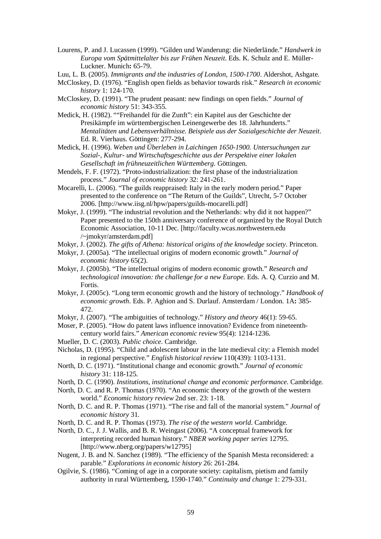- Lourens, P. and J. Lucassen (1999). "Gilden und Wanderung: die Niederlände." *Handwerk in Europa vom Spätmittelalter bis zur Frühen Neuzeit*. Eds. K. Schulz and E. Müller-Luckner. Munich**:** 65-79.
- Luu, L. B. (2005). *Immigrants and the industries of London, 1500-1700*. Aldershot, Ashgate.
- McCloskey, D. (1976). "English open fields as behavior towards risk." *Research in economic history* 1: 124-170.
- McCloskey, D. (1991). "The prudent peasant: new findings on open fields." *Journal of economic history* 51: 343-355.
- Medick, H. (1982). ""Freihandel für die Zunft": ein Kapitel aus der Geschichte der Presikämpfe im württembergischen Leinengewerbe des 18. Jahrhunderts." *Mentalitäten und Lebensverhältnisse. Beispiele aus der Sozialgeschichte der Neuzeit*. Ed. R. Vierhaus. Göttingen: 277-294.
- Medick, H. (1996). *Weben und Überleben in Laichingen 1650-1900. Untersuchungen zur Sozial-, Kultur- und Wirtschaftsgeschichte aus der Perspektive einer lokalen Gesellschaft im frühneuzeitlichen Württemberg*. Göttingen.
- Mendels, F. F. (1972). "Proto-industrialization: the first phase of the industrialization process." *Journal of economic history* 32: 241-261.
- Mocarelli, L. (2006). "The guilds reappraised: Italy in the early modern period." Paper presented to the conference on "The Return of the Guilds", Utrecht, 5-7 October 2006. [http://www.iisg.nl/hpw/papers/guilds-mocarelli.pdf]
- Mokyr, J. (1999). "The industrial revolution and the Netherlands: why did it not happen?" Paper presented to the 150th anniversary conference of organized by the Royal Dutch Economic Association, 10-11 Dec. [http://faculty.wcas.northwestern.edu /~jmokyr/amsterdam.pdf]
- Mokyr, J. (2002). *The gifts of Athena: historical origins of the knowledge society*. Princeton.
- Mokyr, J. (2005a). "The intellectual origins of modern economic growth." *Journal of economic history* 65(2).
- Mokyr, J. (2005b). "The intellectual origins of modern economic growth." *Research and technological innovation: the challenge for a new Europe*. Eds. A. Q. Curzio and M. Fortis.
- Mokyr, J. (2005c). "Long term economic growth and the history of technology." *Handbook of economic growth*. Eds. P. Aghion and S. Durlauf. Amsterdam / London. 1A**:** 385- 472.
- Mokyr, J. (2007). "The ambiguities of technology." *History and theory* 46(1): 59-65.
- Moser, P. (2005). "How do patent laws influence innovation? Evidence from nineteenthcentury world fairs." *American economic review* 95(4): 1214-1236.
- Mueller, D. C. (2003). *Public choice*. Cambridge.
- Nicholas, D. (1995). "Child and adolescent labour in the late medieval city: a Flemish model in regional perspective." *English historical review* 110(439): 1103-1131.
- North, D. C. (1971). "Institutional change and economic growth." *Journal of economic history* 31: 118-125.
- North, D. C. (1990). *Institutions, institutional change and economic performance*. Cambridge.
- North, D. C. and R. P. Thomas (1970). "An economic theory of the growth of the western world." *Economic history review* 2nd ser. 23: 1-18.
- North, D. C. and R. P. Thomas (1971). "The rise and fall of the manorial system." *Journal of economic history* 31.
- North, D. C. and R. P. Thomas (1973). *The rise of the western world*. Cambridge.
- North, D. C., J. J. Wallis, and B. R. Weingast (2006). "A conceptual framework for interpreting recorded human history." *NBER working paper series* 12795. [http://www.nberg.org/papers/w12795]
- Nugent, J. B. and N. Sanchez (1989). "The efficiency of the Spanish Mesta reconsidered: a parable." *Explorations in economic history* 26: 261-284.
- Ogilvie, S. (1986). "Coming of age in a corporate society: capitalism, pietism and family authority in rural Württemberg, 1590-1740." *Continuity and change* 1: 279-331.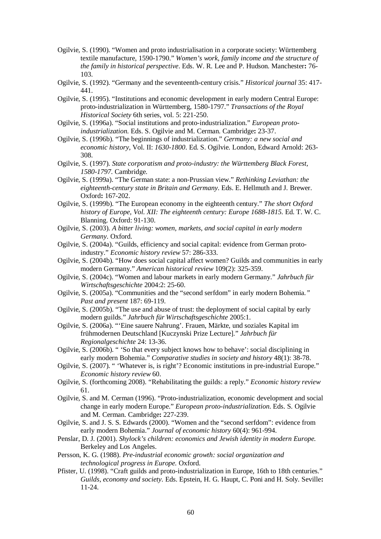- Ogilvie, S. (1990). "Women and proto industrialisation in a corporate society: Württemberg textile manufacture, 1590-1790." *Women's work, family income and the structure of the family in historical perspective*. Eds. W. R. Lee and P. Hudson. Manchester**:** 76- 103.
- Ogilvie, S. (1992). "Germany and the seventeenth-century crisis." *Historical journal* 35: 417- 441.
- Ogilvie, S. (1995). "Institutions and economic development in early modern Central Europe: proto-industrialization in Württemberg, 1580-1797." *Transactions of the Royal Historical Society* 6th series, vol. 5: 221-250.
- Ogilvie, S. (1996a). "Social institutions and proto-industrialization." *European protoindustrialization*. Eds. S. Ogilvie and M. Cerman. Cambridge**:** 23-37.
- Ogilvie, S. (1996b). "The beginnings of industrialization." *Germany: a new social and economic history*, Vol. II: *1630-1800*. Ed. S. Ogilvie. London, Edward Arnold: 263- 308.
- Ogilvie, S. (1997). *State corporatism and proto-industry: the Württemberg Black Forest, 1580-1797.* Cambridge.
- Ogilvie, S. (1999a). "The German state: a non-Prussian view." *Rethinking Leviathan: the eighteenth-century state in Britain and Germany*. Eds. E. Hellmuth and J. Brewer. Oxford**:** 167-202.
- Ogilvie, S. (1999b). "The European economy in the eighteenth century." *The short Oxford history of Europe, Vol. XII: The eighteenth century: Europe 1688-1815*. Ed. T. W. C. Blanning. Oxford: 91-130.
- Ogilvie, S. (2003). *A bitter living: women, markets, and social capital in early modern Germany*. Oxford.
- Ogilvie, S. (2004a). "Guilds, efficiency and social capital: evidence from German protoindustry." *Economic history review* 57: 286-333.
- Ogilvie, S. (2004b). "How does social capital affect women? Guilds and communities in early modern Germany." *American historical review* 109(2): 325-359.
- Ogilvie, S. (2004c). "Women and labour markets in early modern Germany." *Jahrbuch für Wirtschaftsgeschichte* 2004:2: 25-60.
- Ogilvie, S. (2005a). "Communities and the "second serfdom" in early modern Bohemia*." Past and present* 187: 69-119.
- Ogilvie, S. (2005b). "The use and abuse of trust: the deployment of social capital by early modern guilds." *Jahrbuch für Wirtschaftsgeschichte* 2005:1.
- Ogilvie, S. (2006a). "'Eine sauere Nahrung'. Frauen, Märkte, und soziales Kapital im frühmodernen Deutschland [Kuczynski Prize Lecture]." *Jahrbuch für Regionalgeschichte* 24: 13-36.
- Ogilvie, S. (2006b). " 'So that every subject knows how to behave': social disciplining in early modern Bohemia." *Comparative studies in society and history* 48(1): 38-78.
- Ogilvie, S. (2007). " 'Whatever is, is right'? Economic institutions in pre-industrial Europe." *Economic history review* 60.
- Ogilvie, S. (forthcoming 2008). "Rehabilitating the guilds: a reply." *Economic history review* 61.
- Ogilvie, S. and M. Cerman (1996). "Proto-industrialization, economic development and social change in early modern Europe." *European proto-industrialization*. Eds. S. Ogilvie and M. Cerman. Cambridge**:** 227-239.
- Ogilvie, S. and J. S. S. Edwards (2000). "Women and the "second serfdom": evidence from early modern Bohemia." *Journal of economic history* 60(4): 961-994.
- Penslar, D. J. (2001). *Shylock's children: economics and Jewish identity in modern Europe.* Berkeley and Los Angeles.
- Persson, K. G. (1988). *Pre-industrial economic growth: social organization and technological progress in Europe.* Oxford.
- Pfister, U. (1998). "Craft guilds and proto-industrialization in Europe, 16th to 18th centuries." *Guilds, economy and society*. Eds. Epstein, H. G. Haupt, C. Poni and H. Soly. Seville**:**  11-24.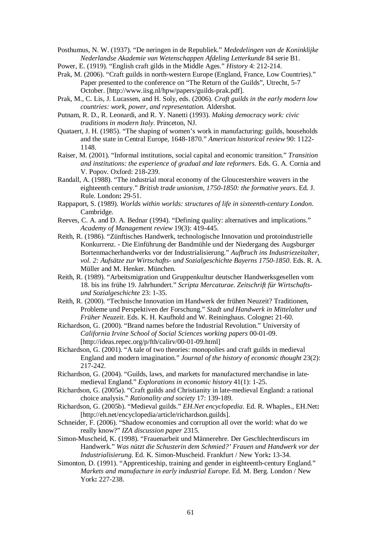Posthumus, N. W. (1937). "De neringen in de Republiek." *Mededelingen van de Koninklijke Nederlandse Akademie van Wetenschappen Afdeling Letterkunde* 84 serie B1.

Power, E. (1919). "English craft gilds in the Middle Ages." *History* 4: 212-214.

- Prak, M. (2006). "Craft guilds in north-western Europe (England, France, Low Countries)." Paper presented to the conference on "The Return of the Guilds", Utrecht, 5-7 October. [http://www.iisg.nl/hpw/papers/guilds-prak.pdf].
- Prak, M., C. Lis, J. Lucassen, and H. Soly, eds. (2006). *Craft guilds in the early modern low countries: work, power, and representation.* Aldershot.
- Putnam, R. D., R. Leonardi, and R. Y. Nanetti (1993). *Making democracy work: civic traditions in modern Italy*. Princeton, NJ.
- Quataert, J. H. (1985). "The shaping of women's work in manufacturing: guilds, households and the state in Central Europe, 1648-1870." *American historical review* 90: 1122- 1148.
- Raiser, M. (2001). "Informal institutions, social capital and economic transition." *Transition and institutions: the experience of gradual and late reformers*. Eds. G. A. Cornia and V. Popov. Oxford: 218-239.
- Randall, A. (1988). "The industrial moral economy of the Gloucestershire weavers in the eighteenth century." *British trade unionism, 1750-1850: the formative years*. Ed. J. Rule. London**:** 29-51.
- Rappaport, S. (1989). *Worlds within worlds: structures of life in sixteenth-century London*. Cambridge.
- Reeves, C. A. and D. A. Bednar (1994). "Defining quality: alternatives and implications." *Academy of Management review* 19(3): 419-445.
- Reith, R. (1986). "Zünftisches Handwerk, technologische Innovation und protoindustrielle Konkurrenz. - Die Einführung der Bandmühle und der Niedergang des Augsburger Bortenmacherhandwerks vor der Industrialisierung." *Aufbruch ins Industriezeitalter, vol. 2: Aufsätze zur Wirtschafts- und Sozialgeschichte Bayerns 1750-1850*. Eds. R. A. Müller and M. Henker. München.
- Reith, R. (1989). "Arbeitsmigration und Gruppenkultur deutscher Handwerksgesellen vom 18. bis ins frühe 19. Jahrhundert." *Scripta Mercaturae. Zeitschrift für Wirtschaftsund Sozialgeschichte* 23: 1-35.
- Reith, R. (2000). "Technische Innovation im Handwerk der frühen Neuzeit? Traditionen, Probleme und Perspektiven der Forschung." *Stadt und Handwerk in Mittelalter und Früher Neuzeit*. Eds. K. H. Kaufhold and W. Reininghaus. Cologne**:** 21-60.

Richardson, G. (2000). "Brand names before the Industrial Revolution." University of *California Irvine School of Social Sciences working papers* 00-01-09. [http://ideas.repec.org/p/fth/calirv/00-01-09.html]

- Richardson, G. (2001). "A tale of two theories: monopolies and craft guilds in medieval England and modern imagination." *Journal of the history of economic thought* 23(2): 217-242.
- Richardson, G. (2004). "Guilds, laws, and markets for manufactured merchandise in latemedieval England." *Explorations in economic history* 41(1): 1-25.
- Richardson, G. (2005a). "Craft guilds and Christianity in late-medieval England: a rational choice analysis." *Rationality and society* 17: 139-189.
- Richardson, G. (2005b). "Medieval guilds." *EH.Net encyclopedia*. Ed. R. Whaples., EH.Net**:**  [http://eh.net/encyclopedia/article/richardson.guilds].
- Schneider, F. (2006). "Shadow economies and corruption all over the world: what do we really know?" *IZA discussion paper* 2315.
- Simon-Muscheid, K. (1998). "Frauenarbeit und Männerehre. Der Geschlechterdiscurs im Handwerk." *Was nützt die Schusterin dem Schmied?' Frauen und Handwerk vor der Industrialisierung*. Ed. K. Simon-Muscheid. Frankfurt / New York**:** 13-34.
- Simonton, D. (1991). "Apprenticeship, training and gender in eighteenth-century England." *Markets and manufacture in early industrial Europe*. Ed. M. Berg. London / New York**:** 227-238.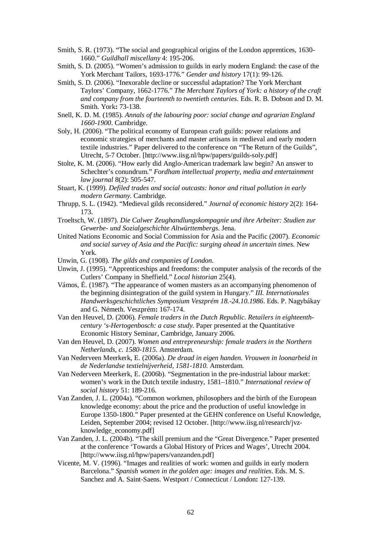- Smith, S. R. (1973). "The social and geographical origins of the London apprentices, 1630- 1660." *Guildhall miscellany* 4: 195-206.
- Smith, S. D. (2005). "Women's admission to guilds in early modern England: the case of the York Merchant Tailors, 1693-1776." *Gender and history* 17(1): 99-126.
- Smith, S. D. (2006). "Inexorable decline or successful adaptation? The York Merchant Taylors' Company, 1662-1776." *The Merchant Taylors of York: a history of the craft and company from the fourteenth to twentieth centuries*. Eds. R. B. Dobson and D. M. Smith. York**:** 73-138.
- Snell, K. D. M. (1985). *Annals of the labouring poor: social change and agrarian England 1660-1900*. Cambridge.
- Soly, H. (2006). "The political economy of European craft guilds: power relations and economic strategies of merchants and master artisans in medieval and early modern textile industries." Paper delivered to the conference on "The Return of the Guilds", Utrecht, 5-7 October. [http://www.iisg.nl/hpw/papers/guilds-soly.pdf]
- Stolte, K. M. (2006). "How early did Anglo-American trademark law begin? An answer to Schechter's conundrum." *Fordham intellectual property, media and entertainment law journal* 8(2): 505-547.
- Stuart, K. (1999). *Defiled trades and social outcasts: honor and ritual pollution in early modern Germany.* Cambridge.
- Thrupp, S. L. (1942). "Medieval gilds reconsidered." *Journal of economic history* 2(2): 164- 173.
- Troeltsch, W. (1897). *Die Calwer Zeughandlungskompagnie und ihre Arbeiter: Studien zur Gewerbe- und Sozialgeschichte Altwürttembergs*. Jena.
- United Nations Economic and Social Commission for Asia and the Pacific (2007). *Economic and social survey of Asia and the Pacific: surging ahead in uncertain times.* New York.
- Unwin, G. (1908). *The gilds and companies of London*.
- Unwin, J. (1995). "Apprenticeships and freedoms: the computer analysis of the records of the Cutlers' Company in Sheffield." *Local historian* 25(4).
- Vámos, É. (1987). "The appearance of women masters as an accompanying phenomenon of the beginning disintegration of the guild system in Hungary." *III. Internationales Handwerksgeschichtliches Symposium Veszprém 18.-24.10.1986*. Eds. P. Nagybákay and G. Németh. Veszprém**:** 167-174.
- Van den Heuvel, D. (2006). *Female traders in the Dutch Republic. Retailers in eighteenthcentury 's-Hertogenbosch: a case study*. Paper presented at the Quantitative Economic History Seminar, Cambridge, January 2006.
- Van den Heuvel, D. (2007). *Women and entrepreneurship: female traders in the Northern Netherlands, c. 1580-1815*. Amsterdam.
- Van Nederveen Meerkerk, E. (2006a). *De draad in eigen handen. Vrouwen in loonarbeid in de Nederlandse textielnijverheid, 1581-1810*. Amsterdam.
- Van Nederveen Meerkerk, E. (2006b). "Segmentation in the pre-industrial labour market: women's work in the Dutch textile industry, 1581–1810." *International review of social history* 51: 189-216.
- Van Zanden, J. L. (2004a). "Common workmen, philosophers and the birth of the European knowledge economy: about the price and the production of useful knowledge in Europe 1350-1800." Paper presented at the GEHN conference on Useful Knowledge, Leiden, September 2004; revised 12 October. [http://www.iisg.nl/research/jvzknowledge\_economy.pdf]
- Van Zanden, J. L. (2004b). "The skill premium and the "Great Divergence." Paper presented at the conference 'Towards a Global History of Prices and Wages', Utrecht 2004. [http://www.iisg.nl/hpw/papers/vanzanden.pdf]
- Vicente, M. V. (1996). "Images and realities of work: women and guilds in early modern Barcelona." *Spanish women in the golden age: images and realities*. Eds. M. S. Sanchez and A. Saint-Saens. Westport / Connecticut / London**:** 127-139.